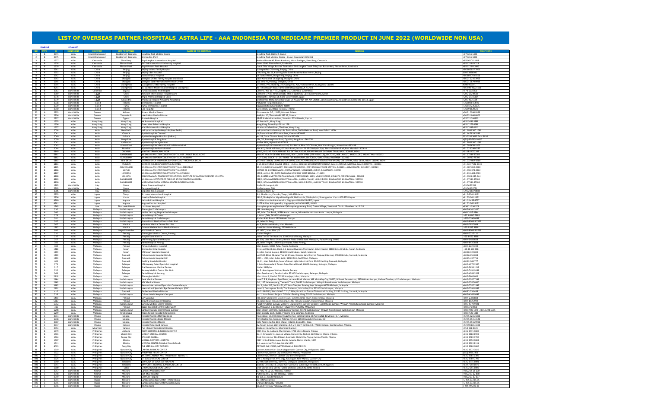| 3<br>3<br>388<br>713                                                                                                                                   |
|--------------------------------------------------------------------------------------------------------------------------------------------------------|
|                                                                                                                                                        |
|                                                                                                                                                        |
| 00                                                                                                                                                     |
| ,00<br>'000<br>}<br>;566<br>;900                                                                                                                       |
|                                                                                                                                                        |
|                                                                                                                                                        |
| 999                                                                                                                                                    |
|                                                                                                                                                        |
|                                                                                                                                                        |
|                                                                                                                                                        |
|                                                                                                                                                        |
| $\frac{11111}{3}$<br>66<br>64<br>4<br>00<br>535                                                                                                        |
|                                                                                                                                                        |
|                                                                                                                                                        |
| 70                                                                                                                                                     |
| <b>363</b>                                                                                                                                             |
| 000<br>00                                                                                                                                              |
| 88                                                                                                                                                     |
|                                                                                                                                                        |
| $\frac{88}{11}$<br>1066                                                                                                                                |
|                                                                                                                                                        |
| 1333<br>O Extn: 8810                                                                                                                                   |
| 0<br>1066<br>1066                                                                                                                                      |
|                                                                                                                                                        |
| 1000<br>800<br>280                                                                                                                                     |
|                                                                                                                                                        |
| 288<br>384                                                                                                                                             |
| 700                                                                                                                                                    |
| 3700<br>-2333                                                                                                                                          |
|                                                                                                                                                        |
| 0000<br>0000<br>0003                                                                                                                                   |
|                                                                                                                                                        |
| $-544$                                                                                                                                                 |
| $\frac{1}{384}$                                                                                                                                        |
| $rac{1}{384}$                                                                                                                                          |
| $\overline{1}$                                                                                                                                         |
| 889                                                                                                                                                    |
|                                                                                                                                                        |
| 151<br>151<br>777                                                                                                                                      |
|                                                                                                                                                        |
| 151<br>174                                                                                                                                             |
|                                                                                                                                                        |
| )00<br>44                                                                                                                                              |
| 888                                                                                                                                                    |
|                                                                                                                                                        |
|                                                                                                                                                        |
|                                                                                                                                                        |
|                                                                                                                                                        |
| 388<br>-7262<br><del>)</del> 9                                                                                                                         |
| 88<br>-5533                                                                                                                                            |
| l1<br>88                                                                                                                                               |
|                                                                                                                                                        |
| 38<br>38                                                                                                                                               |
|                                                                                                                                                        |
|                                                                                                                                                        |
|                                                                                                                                                        |
| $\frac{1}{2}$<br>88<br>$\overline{0}$<br>38<br>55                                                                                                      |
|                                                                                                                                                        |
|                                                                                                                                                        |
| 77<br>500<br>$\frac{1}{2}$                                                                                                                             |
| 191                                                                                                                                                    |
| 328<br>)0                                                                                                                                              |
|                                                                                                                                                        |
|                                                                                                                                                        |
|                                                                                                                                                        |
|                                                                                                                                                        |
|                                                                                                                                                        |
|                                                                                                                                                        |
| 398<br>500<br>992<br>989<br>$\overline{56}$<br>999<br>38<br>99                                                                                         |
|                                                                                                                                                        |
| 191                                                                                                                                                    |
| 0<br>78 , +6010 228 5585<br>88                                                                                                                         |
|                                                                                                                                                        |
| .800<br>}120                                                                                                                                           |
| 900<br>1400                                                                                                                                            |
| $\overline{13}$                                                                                                                                        |
|                                                                                                                                                        |
|                                                                                                                                                        |
|                                                                                                                                                        |
|                                                                                                                                                        |
|                                                                                                                                                        |
|                                                                                                                                                        |
|                                                                                                                                                        |
|                                                                                                                                                        |
|                                                                                                                                                        |
|                                                                                                                                                        |
|                                                                                                                                                        |
| $\overline{00}$<br>99<br>$\overline{00}$<br>88<br>31<br>$\overline{00}$<br>325<br>01<br>100<br>$\overline{00}$<br>$\overline{0}$ 1<br>)70<br>00<br>200 |
| 888                                                                                                                                                    |
|                                                                                                                                                        |
| 007<br>55<br>55<br>-33                                                                                                                                 |

| B<br>$3 \quad B$<br>1627<br>ASIA<br>Cambodia<br>Siam Reap<br>Royal Angkor International Hospital<br>National Route #6, Phum Kasekam, Khum Sra Ngea, Siem Reap, Cambodia<br>+855 63 761 888<br>$-4$<br>$\overline{B}$<br>1628<br>ASIA<br>Cambodia<br>Phnom Penh<br>Sen Sok International University Hospita<br>Street 1986, Phnom Penh, Cambodia<br>+855 23 883 713<br>1629<br>ASIA<br>5 <sub>1</sub><br>$\overline{B}$<br>Phnom Penh<br>Toeuk Thla Village, Russian Federation Blvd.Sangkat Toeuk Thla,Khan Russey Keo, Phnom Pehn, Cambodia<br>+855 12 991 000<br>Cambodia<br>Royal Phnom Penh Hospital<br>2341<br>ASIA<br>86 10 5927 7000<br>6<br>A<br>China<br><b>Beijing United Family Hospital</b><br>2 Jiangtai Rd, Chaoyang, Beijing, China<br>Beijing<br>7<br>A<br>2353<br>ASIA<br>010-53826000<br>China<br>E-Building, No.51, Kunming Lake South Road Haidian District, Beijing<br>Beijing<br>Beijing Eden Hospital<br>8<br>A.<br>2342<br>ASIA<br>China<br>12 Tiantan Nanli, Dongcheng, Beijing, China<br>86 10 6703 5566<br>Beijing<br>'iantan Puhua Hospital<br>9<br>A<br>2343<br>ASIA<br>China<br>Shanghai<br>Shanghai United Family Hospital and Clinics<br>139 Xianxia Rd, Changning, Shanghai, China<br>86 21 2216 3900<br>10<br>A.<br>1645<br>ASIA<br>China<br>Shanghai<br>150 Jimo Rd, Pudong, Shanghai, China<br>+86 21 5879 9999<br>Shanghai East International Medical Center<br>11<br>A<br>2354<br>ASIA<br>China<br>1F Annex, PICC Building, 301 Guangzhou Ave, Yuexiu District, Guangzhou 510600<br>4008-919191<br>Guangzhou<br>Guangzhou United Family Hospital<br>A<br>ASIA<br>12<br>4241<br>China<br>Guangzhou<br>St. Stamford Modern Cancer Hospital Guangzhou<br>No. 42 Lianquan Road, Tianhe District, Guangzhou, P.R.China<br>$+86 - 020 - 22221111$<br>13<br>B<br>2363<br>World Wide<br>Carrera 7 No. 117 - 15., Bogotá D.C., Colombia. Suramérica<br>+57 1 6030303<br>Colombia<br>Bogota<br>Fundacion Santa fe de Bogota<br>14<br>$\overline{B}$<br>2369<br>World Wide<br>Cairo<br>As Salam International Hospital Cairo<br>Corniche El Nile Athar an Nabi, Misr Al Qadimah, Cairo Governorate, Egypt<br>+20 2 25240066<br>Egypt<br>15<br>B<br>2378<br>World Wide<br>Cairo<br>Anglo American Hospital Cairo<br>+20 2 27356164<br>Egypt<br>3 Hadiget El Zohreya St. Cairo Governorate, Egypt<br>16 B<br>2379<br>World Wide<br>Alexandria<br>Andalusia Hospital Al Salama Alexandria<br>Mohammed Mohammed Motawae St, Al Azaritah WA Ash Shatebi, Qesm Bab Sharqi, Alexandria Governorate 21514, Egypt<br>+20 3 4275124<br>Egypt<br>17<br>$\mathsf{C}$<br>2338<br>World Wide<br>Finland<br>Helsinki<br>Mehilainen Hospital<br>Pohjoinen Hesperiankatu 17<br>+358 010 414 00<br>18<br>$\mathsf{C}$<br>2339<br>World Wide<br>Finland<br>Turku<br>+358 10 2353535<br>Turku Mehilainen Hospital<br>Kauppiaskatu 8/Aurakatu 9, 20100<br>19<br>358 9 1620570<br>2340<br>World Wide<br>Finland<br>Helsinki<br>Laivurinkatu 29, 00150 Helsinki, Finland<br>$\mathsf{C}$<br>Eira Hospital<br>20<br>A.<br>2335<br>World Wide<br>Greece<br>Athens<br><b>Athens Medical Center</b><br>Distomou str. 5-7, 15125, Marousi Athens<br>30 21 0360 9363<br>21<br>A.<br>2336<br>World Wide<br>Thessaloniki<br>Interbalkan Medical Center<br>Asklipiou 10, Thessaloniki 555 35, Greece<br>30 231 040 0000<br>Greece<br>22<br>A<br>2337<br>World Wide<br>Greece<br>Cyprus<br>55-57 Andrea Avraamides, Strovolos 2024 Nicosia, Cyprus<br>Aretaeio Hospital<br>+357 22 200300<br>23<br>$\overline{B}$<br>1655<br>ASIA<br>Hong Kong<br>Hong Kong<br>HK Adventist Hospital<br>40 Stubbs Rd, Hong Kong<br>+852 3651 8888<br>24 B<br>1656<br>ASIA<br>Hong Kong<br>Hong Kong<br>Tsuen Wan Adventist Hospital<br>Hong Kong, Tsuen Raja Circuit 199<br>+852 2275 6688<br>25 B<br>1657<br>ASIA<br>Hong Kong<br>+852 2849 0111<br>Matilda International Hospital<br>41 Mount Kellett Road, The Peak, Hong Kong<br>Hong Kong<br>26 B<br>2038<br>ASIA<br>New Delhi<br>Indraprastha Apollo Hospitals (New Delhi)<br>Indraprastha Apollo Hospitals, Sarita Vihar, Delhi-Mathura Road, New Delhi-110044<br>+91 1860 500 1066<br>India<br>27<br>B<br>2041<br>ASIA<br>India<br>Chennai<br>Apollo Hospitals Chennai<br>21, Greams Road off. Greams lane, Chennai-600006<br>+91 44 2829 3333<br>28 B<br>2040<br>ASIA<br>India<br>Kolkata<br>Apollo Gleneagles Hospital (Kolkata)<br>No. 58, Canal Circular Road, Kolkata-700 054<br>033 2320 3040 Extn: 8810<br>29 B<br>2039<br>ASIA<br>India<br>Bangalore<br>Apollo Hospital Bangalore<br>154 /11, Bannerghatta Road, Opp IIM, Bangalore - 560 076<br>$+(91)-80-26304050$<br>$30$ B<br>2042<br>ASIA<br>India<br>Hyderabad<br>Apollo Hospitals Hyderabad<br>Jubilee Hills, Hyderabad-500033<br>+91 1860 500 1066<br>2043<br>ASIA<br>$\overline{B}$<br>India<br>Ahmedabad<br>Apollo Hospitals International Ltd, Plot No.1A, Bhat GIDC Estate, Dist. Gandhinagar, Ahmedabad-382428<br>91 79 6670 1800<br>31<br>Apollo Hospitals International Ltd Ahmedabad<br>2044<br>Plot #13, Parsik Hill Road, Off Uran Road, Sector - 23, CBD Belapur, Opp. Nerul Wonders Park, Navi Mumbai - 400614<br>32<br>$\overline{B}$<br>ASIA<br>Mumbai<br>91 22 6280 6280<br>India<br>Apollo Hospitals-Navi Mumbai<br>33<br>$\overline{B}$<br>6149<br>ASIA<br>India<br>CHENNAI<br>MIOT INTERNATIONAL INDIA<br>I/112, MOUNT POONAMALLEE RD, SATHYA NAGAR, MANAPAKKAM, CHENNAI, TAMIL NADU 600089, INDIA<br>9144 42002288<br>34<br>B<br>6181<br>ASIA<br>India<br>BANGALORE<br>NARAYANA MULTISPECIALITY HOSPITAL HSR LAYOUT BANGALORE<br>BASANT HEALTH CENTRE BUILDING, NO-1, 18TH MAIN (OPP.HSR CLUB), SECTOR 3, HSR LAYOUT, BANGALORE, KARNATAKA - 560102<br>91 97384-97384<br>35<br>$\overline{B}$<br>6182<br>ASIA<br>India<br>GURUGRAM<br>NARAYANA SUPERSPECIALITY HOSPITAL GURUGRAM<br>PLOT 3201, BLOCK - V , DLF PHASE - III, NATHUPUR, SECTOR 24, GURUGRAM, HARYANA - 122002<br>+91 79700-79700<br>B<br>36<br>6183<br>ASIA<br>NEW DELHI<br>DHARAMSHILA NARAYANA SUPERSPECIALITY HOSPITAL DELHI<br>METRO STATION, DHARAMSHILA MARG, VASUNDHARA ENCLAVE NEAR ASHOK NAGAR, DALLUPURA, NEW DELHI, DELHI 110096, INDIA<br>+91 737-007-3700<br>India<br>37<br>B<br>6184<br>ASIA<br>MUMBAI<br>NH SRCC CHILDREN'S HOSPITAL MUMBAI<br>1-1A, KESHAVRAO KHADYE MARG, HAJI ALI, HAJI ALI GOVERNMENT COLONY, MAHALAKSHMI, MUMBAI, MAHARASHTRA - 400034<br>+91 022-7122-2333<br>India<br>38<br>B<br>ASIA<br>AHMEDABAD<br>NARAYANA MULTISPECIALITY HOSPITAL AHMEDABAD<br>NR. CHAKUDIYA MAHADEV, RAKHIAL CROSS ROAD, OPP. RAKHIAL POLICE STATION, RAKHIAL, AHMEDABAD, GUJARAT - 380023<br>+91 787-810-0900<br>6185<br>India<br>NARAYANA MULTISPECIALITY HOSPITAL JAIPUR<br>SECTOR 28, KUMBHA MARG, PRATAP NAGAR, SANGANER, JAIPUR, RAJASTHAN - 302033<br>39<br>$\overline{B}$<br>6186<br>ASIA<br>India<br>JAIPUR<br>+91 998-373-2222<br>40<br>$\overline{B}$<br>ASIA<br>India<br>HOWRAH<br>NARAYANA SUPERSPECIALITY HOSPITAL HOWRAH<br>120/1, ANDUL RD, NEAR NABANNA HOWRAH, WEST BENGAL - 711103<br>+91 833-483-0003<br>6187<br>41<br>B<br>6188<br>ASIA<br>India<br>KOLKATA<br>RABINDRANATH TAGORE INTERNATIONAL INSTITUTE OF CARDIAC SCIENCES KOLKATA<br>124, EASTERN METROPOLITAN BYPASS, PREMISES NO: 1489, MUKUNDAPUR, KOLKATA, WEST BENGAL - 700099<br>+91 9903-335-544<br>BANGALORE<br>42<br>6189<br>ASIA<br>NARAYANA INSTITUTE OF CARDIAC SCIENCES BOMMASANDRA<br>258/A, BOMMASANDRA INDUSTRIAL AREA , ANEKAL TALUK, HOSUR ROAD, BANGALORE, KARNATAKA - 560099<br>$\overline{B}$<br>India<br>+91 97384-97384<br>43<br>6190<br>ASIA<br>BANGALORE<br>MAZUMDAR SHAW MEDICAL CENTER BOMMASANDRA<br>258/A, BOMMASANDRA INDUSTRIAL AREA, HOSUR ROAD, ANEKAL TALUK, BANGALORE, KARNATAKA - 560099<br>B<br>India<br>+91 97384-97384<br>44<br>World Wide<br>C.<br>1885<br>Italy<br>Rome<br>Rome American Hospital<br>Via Emilio Longoni, 69<br>+39 06 22551<br>45<br>$\mathsf{C}$<br>2305<br>Italy<br>Rome<br>+39 06 659751<br>World Wide<br>European Hospita<br>Via Portuense, 700<br>$\mathsf{C}$<br>Milano<br>46<br>2306<br>World Wide<br>Italy<br>Ospedale San Giuseppe<br>Via San Vittore, 12<br>+39 02 8687 8889<br>$\mathsf{C}$<br>Tokyo<br>47<br>2355<br>ASIA<br>+81 3-3541-5151<br>Japan<br>St. Lukes International Hospital<br>9-1. Akashi-cho, Chuo-ku, Tokyo, 104-8560 Japan<br>$\mathsf{C}$<br>48<br>2356<br>ASIA<br>+81 75-361-1351<br>Kyoto<br>Koseikai Takeda Hospital<br>541-5, Shiokoji-cho, Higashiiru-higashi, Nishinotoin, Shiokoji-dori, Shimogyo-ku, Kyoto 600-8558 Japan<br>Japan<br>$\mathsf{C}$<br>49<br>4280<br>ASIA<br>Nagoya<br>Kaikoukai Josai Hospital<br>4-1 Kitahata-cho Nakamura-ku, Nagoya-shi Aichi 453-0815, Japan<br>$+81-52-485-3777$<br>Japan<br>50<br>$\mathsf{C}$<br>4281<br>ASIA<br>1-172 Hokke, Nakagawa-ku, Nagoya-shi, Aichi454-0933, JAPAN<br>+81 52-362-5151<br>Japan<br>Nagoya<br>Nagoya Kyoritsu Hospita<br>51<br>B<br>1763<br>ASIA<br>Sisattanak District<br>Khamphengmeuang Boulevard/Khamphengmeuang Road, Donkoi Village, Sisattanak District Vientiane Lao P.D.R.<br>+856 21 330 374<br>Laos<br>Lao Asean Hospital<br>52<br>330<br>ASIA<br>A<br>Malaysia<br>Kuala Lumpur<br>Gleneagles Kuala Lumpur<br>286 Jalan Ampang<br>+60 3-4141 3000<br>53<br>340<br>ASIA<br>A<br>Malaysia<br>Kuala Lumpur<br>145, Jalan Tun Razak, 50586 Kuala Lumpur, Wilayah Persekutuan Kuala Lumpur, Malaysia<br>+603 2617 8844<br>Institut Jantung Negara Kuala Lumpur<br>378<br>ASIA<br>54<br>A<br>Malaysia<br>60 3-9145 2888<br>Kuala Lumpur<br>Pantai Hospital Cheras<br>Jalan 1/96a, 56100 Kuala Lumpur<br>381<br>8 Jalan Bukit Pantai 59100 Kuala Lumpur<br>55<br>A<br>ASIA<br>603-2296 0888<br>Malaysia<br>Kuala Lumpur<br>Pantai Hospital Kuala Lumpur<br>56<br>A.<br>387<br>ASIA<br>Malaysia<br>Kuala Lumpur<br>Prince Court Medical Centre Sdn. Bhd.<br>39, Jalan Kia Peng<br>60 1-800-88-7262<br>57<br>A<br>367<br>ASIA<br>Melaka<br>Malaysia<br>Mahkota Medical Centre Sdn. Bho<br>No.3, Mahkota Melaka, Jalan Merdeka<br>60 6-285 2999<br>A<br>58<br>1297<br>ASIA<br>Malaysia<br>Melaka<br>Oriental Melaka Straits Medical Centre<br>Pusat Perubatan Klebang, 75200 Malacca<br>+60 6-315 8888<br>A<br>59<br>ASIA<br>992<br>Malaysia<br>Negeri Sembilar<br>Nilai Medical Centre<br>PT 13717, Jalan BBN 2/1<br>+60 1-800-88-5533<br>60<br>A<br>ASIA<br>331<br>Malaysia<br>Gleneagles Medical Centre, Penang<br>+60 4-222 9111<br>Penane<br>1 Jalan Pangko<br>61<br>A<br>ASIA<br>337<br>Malaysia<br>Jalan Tan Sri Teh Hwe Lim, 11600 Pulau Pinang, Malaysia<br>+60 4-652 8888<br>Penang<br>Hospital Lam Wah Ee<br>62<br>A<br>357<br>ASIA<br>Malaysia<br>Penang<br><b>KPJ Penang Specialist Hospital</b><br>No 570, Jalan Perda Utama, Bandar Perda 14000 Bukit Mertajam, Pulau Pinang, 14000<br>+60 4-548 6688<br>63<br>A<br>382<br>ASIA<br>Malaysia<br>82, Jalan Tengah, 11900 Bayan Lepas, Pulau Pinang,<br>+60 4-643 3888<br>Penang<br>Pantai Hospital Penang<br>64<br>A<br>384<br>ASIA<br>Malaysia<br>Penang<br>Penang Adventist Hospital<br>Jalan Burma, 10350 Pulau Pinang, Malaysia<br>+60 4-222 7200<br>65<br>1488<br>ASIA<br>Riverson@Sembulan Block A-1, Lorong Riverson@Sembulan, Jalan Coastal, 88100 Kota Kinabalu, Sabah, Malaysia<br>A<br>Malaysia<br>Sabah<br>Gleneagles Kota Kinabalu<br>+60 88-518 888<br>1299<br>ASIA<br>Sabah<br>66<br>A<br>Malaysia<br><b>KPJ Sabah Specialist Hospital</b><br>2, Jalan Damai, Luyang, 88300 Kota Kinabalu, Sabah, Malaysia<br>+60 88-322 000<br>ASIA<br>67<br>A<br>1300<br>Malaysia<br>Columbia Asia Hospital-Bintulu<br>Lot 3582, Block 26, Jalan Tan Sri Ikhwan, Kemena Land District, Tanjung Kidurong, 97000 Bintulu, Sarawak, Malaysia<br>60 86-251 888<br>Sarawak<br>68<br>A.<br>1390<br>ASIA<br>Malaysia<br>Sarawak<br>Columbia Asia Hospital-Miri<br>1035 - 1039, Jalan Bulan Sabit, 98009 Miri, SARAWAK, Malaysia<br>60 85-437 755<br>69<br>A<br>11, 11, Jalan Setia Raja, Muara Tabuan Light Industrial Park, 93450 Kuching, Sarawak, Malaysia<br>405<br>ASIA<br>Malaysia<br>Sarawak<br>Kuching Specialist Hospital<br>60 82-365 777<br>70<br>A.<br>375<br>ASIA<br>Malaysia<br>Selangor<br>l, Jalan Memanda 9, Taman Dato Ahmad Razali, 68000 Ampang, Selangor, Malaysia<br>60 3-4270 2500<br>KPJ Ampang Puteri Specialist Hospital<br>A<br>71<br>317<br>ASIA<br>+60 3-5639 1212<br>Malaysia<br>Selangor<br>Ara Damansara Medical Centre<br>1 Jalan SS12/1A<br>72<br>A<br>ASIA<br>320<br>Malaysia<br>+60 3-7491 919<br>Selangor<br>Sunway Medical Centre Sdn. Bho<br>No.5 Jalan Lagoon Selatan, Bandar Sunway<br>73<br>A<br>363<br>ASIA<br>+60 3-4289 2828<br>Malaysia<br>Selangor<br>Pantai Hospital Ampang<br>Jalan Perubatan 1, Pandan Indah, 55100 Kuala Lumpur, Selangor, Malaysia<br>74   A<br>2418<br>ASIA<br>Malaysia<br>Johor<br>lalan Utara 4, Medini, 79250 Nusajaya, Johor, Malaysia<br>60 7-560 1000<br><b>Gleneagles Medir</b><br>75 A<br>2464<br>ASIA<br>Malaysia<br>Kuala Lumpur<br><b>Iheal Medical Centre</b><br>Level 7 & 8, Lingkaran Syed Putra, Annexe Block Menara IGB Midvalley City, 59200, Wilayah Persekutuan, 59200 Kuala Lumpur, Federal Territory of Kuala Lumpur, Malaysia<br>+60 3-2287 7398<br>76 A<br>2463<br>ASIA<br>Malaysia<br>Kuala Lumpur<br>5-1, 187, Jalan Ampang, Taman U Thant, 50450 Kuala Lumpur, Wilayah Persekutuan Kuala Lumpur, Malaysia<br>60 3-2787 0500<br><b>HSC Medical Center</b><br>77 A<br>3185<br>ASIA<br>Malaysia<br>Beacon International Specialist Centre-Malaysia<br>No. 1, Jalan 215, Section 51, Off Jalan Templer Petaling Jaya Selangor 46050 Malaysia, Malaysia<br>Kuala Lumpur<br>+60 3-7787 299.<br>$78$ A<br>2401<br>ASIA<br>Malaysia<br>Kuala Lumpur<br>International Specialist Eye Centre Malaysia (ISEC)<br>Level 8, Centrepoint South, The Boulevard, Mid Valley City, 59200 Kuala Lumpur, Malaysia<br>+60 3-2284 8989<br>79<br>A<br>- 410<br>ASIA<br>Malaysia<br>Sarawak<br>'imberland Medical Centre<br>Lot 5164-5165, Block 16 KCLD 2 1/2 Mile, Rock Road Taman Timberland Kuching, 93250 Kuching, Sarawak, Malaysia<br>+60 82-234 466<br>80 A<br>526<br>ASIA<br>No. 1, Jalan Danau Saujana Off Jalan Genting Klang, 53300 Kuala Lumpur, Malaysia<br>+60 3-4145 9999<br>Malaysia<br>Kuala Lumpur<br>Columbia Asia Hospital - Setapak<br>81<br>A<br>1450<br>ASIA<br>Malaysia<br>Penang<br>238, Jalan Macalister, George Town, 10400 George Town, Pulau Pinang, Malaysia<br>604-238 8888<br>Loh Guan Lye<br>82 A<br>5307<br>ASIA<br>Malaysia<br>Mount Miriam Cancer Hospital<br>23, Jalan Bulan, Tanjung Tokong, 11200 Tanjung Bungah, Pulau Pinang, Malaysia<br>60 4-892 3999<br>Penang<br>83<br>A<br>5912<br>ASIA<br>Malaysia<br>Kuala Lumpur<br>Sunway Medical Centre Velocity<br>Pusat Perubatan Sunway Velocity, Lingkaran SV, Sunway Velocity, 55100 Kuala Lumpur, Wilayah Persekutuan Kuala Lumpur, Malaysia<br>60 3-9772 9191<br>84 A<br>ASIA<br>315<br>Malaysia<br>Penang<br>Bagan Specialist Centre Butterworth<br>JALAN BAGAN 1. 13400 BUTTERWORTH, PENANG, MALAYSIA<br>+604 371 0000<br>A<br>6298<br>ASIA<br>Malaysia<br>Jalan Stesen Sentral 5, Kuala Lumpur Sentral, 50470 Kuala Lumpur, Wilayah Persekutuan Kuala Lumpur, Malaysia<br>- 85 - 1<br>Cardiac Vascular Sentral Kuala Lumpur<br>Kuala Lumpur<br>86   A<br>ASIA<br>6299<br>Malaysia<br>Regen Rehab Hospital Petaling Jaya<br>Jalan Bersatu 13/4, 46200, Petaling Jaya, Selangor, Malaysia<br>+603 7626 1388<br>Petaling Jaya<br>87 C<br>2311<br>World Wide<br>Mexico<br>Mexico<br>Hospital Angeles Metropolitano<br>Tlacotalpan, 59, Delegación Cuauhtémoc, Colonia Roma, 06760 Ciudad de Mexico, D.F., Meksiko<br>+52 55 5265 1800<br>88 C<br>World Wide<br>Mexico<br>Mexico<br>Hospital Angeles Santa Monica<br>Temístocles 210, Polanco, Polanco IV Secc, 11560 Ciudad de México, D.F.<br>+52 55 5531 3120<br>1948<br>89 C<br>2307<br>World Wide<br>Mexico<br>Mexico<br><b>Hospital Angeles Mexico</b><br>Calle Agrarismo No. 208, Miguel Hidalgo, Escandón I Secc,<br>+52 55 5516 9900<br>90 C<br>Mexico<br>Cancun<br>Av. Tulum Sur no. 260, Manzanas 4, 5 y 9, Sm 7, Centro, C.P. 77500, Cancún, Quintana Roo, México.<br>2317<br>World Wide<br><b>Hospital Amerimed Cancun</b><br>+52 998 881 3400<br>ASIA<br>+95 1 368 4323<br>91 A<br>2053<br>Myanmar<br>Yangon<br>Pun Hlaing International Hospital<br>Address: Hlaingtharya, Myanmar (Burma)<br>ASIA<br>Alabang<br>ASIAN HOSPITAL & MEDICAL CENTER<br>92<br>B<br>1379<br>Phillipines<br>2205 Civic Dr, Alabang, Muntinlupa, 1780 Metro Manila, Filipina<br>+63 2 8771 9000<br>93 B<br>1503<br>ASIA<br>Phillipines<br>Makati City<br><b>MAKATI MEDICAL CENTER</b><br>No. 2, Amorsolo St., Legaspi Village, Makati City, Makati, 1229 Metro Manila, Filipina<br>+63 2 8888 8999<br>94<br>B<br>1504<br>ASIA<br>Phillipines<br><b>Taguig City</b><br><b>ST.LUKES GLOBAL</b><br>Rizal Drive corner 32nd Street, Bonifacio Global City, Taguig, Metro Manila, Filipina<br>63 2 8789 7700<br>95 B<br>1507<br>ASIA<br>Manila<br>MANILA DOCTORS HOSPITAL<br>#667 United Nations Ave, Ermita, Manila, Metro Manila, 1000<br>+63 2 8558 0888<br>Phillipines<br>96 B<br>Manila<br>MEDICAL CENTER-MANILA (Manila Med)<br>1511<br>ASIA<br>Phillipines<br>U.N. Ave corner Taft Ave, Manila 1000<br>+63 2 8523 8131<br>$97$ $\overline{B}$<br>ASIA<br>THE MEDICAL CITY ORTIGAS<br>ORTIGAS AVE, PASIG, METRO MANILA, PHILIPPINES<br>6023<br>Phillipines<br>Pasig City<br>+63 2 8988 1000<br>98 B<br>CAPITOL MEDICAL CENTER<br>1519<br>ASIA<br>Phillipines<br>Quezon City<br>Quezon Avenue Cor. Scout Magbanua St Quezon City, Philippines, 1103<br>+63 2 8372 3825<br>99 B<br>1522<br>ASIA<br>Phillipines<br>Quezon City<br>PHILIPPINE HEART CENTER<br>East Avenue, Quezon City 1100, Metro Manila, Philippines<br>(632) 89252401<br>$100$ B<br>1523<br>ASIA<br>Phillipines<br>Quezon City<br>NATIONAL KIDNEY AND TRANSPLANT INSTITUTE<br>East Avenue, Diliman, Quezon City 1101 Philippines<br>+63 2 8981 0300<br>$101$ B<br>1524<br>ASIA<br>Phillipines<br>ST. LUKES MEDICAL CENTER<br>279 E. Rodriguez Sr. Ave, Brgy. Kalusugan, New Manila, Quezon City<br>+63 2 8789 7700<br>Quezon City<br>ASIA<br>OUR LADY OF LOURDES HOSPITAL<br>102 B<br>1540<br>Phillipines<br>Zambales<br>02 RH5 National Hwy, Barretto, Olongapo, Zambales, Philippines<br>+63 2 8716 8001<br>$103$ B<br>1541<br>ASIA<br>BAYPOINTE HOSPITAL & MEDICAL CENTER<br>Zambales<br>Block 8, Lot 1A & 1B, Dewey Ave. CBD Area, Subic Bay Freeport Zone, Philippines<br>+63 47 250 6070<br>Phillipines<br>1600<br>ASIA<br>104 B<br>CHONG HUA MEDICAL CENTER<br>Don Mariano Cui Street, Fuente Osmeña, Cebu City, 6000, Filipina<br>63 32 255 8000<br>Cebu<br>Phillipines<br>105 C<br>2347<br>48 22 35 58 200<br>World Wide<br>Carolina Medical Center<br>ul. Porv 78, 02-757 Warsaw, Poland<br>Poland<br>Warsaw<br>106 C<br>2348<br>World Wide<br>Poland<br>Warsaw<br>LUX MED Hospital<br>Puławska 455, 02-801 Warsaw, Poland<br>48 22 33 22 888<br>107 C<br>2349<br>World Wide<br>Poland<br>Warsaw<br>Centrum Hospital<br>01-195, al. Solidarności 128<br>+48 22 23 07 007<br>108 C<br>2344<br>World Wide<br>Russia<br>Moscow<br>26 Trifonovskaya ul<br>+7 495 933 66 55<br>European Medical Center Trifonovskaya<br>109 C<br>2345<br>World Wide<br>Russia<br>Moscow<br>European Medical Center Spiridonievsky<br>5/1 Spiridonievsky Pereulok<br>+7 495 933 66 55<br>110 C 2346<br>World Wide<br>Russia<br>Moscow<br><b>JSC Medicina</b><br>10. 2nd Tverskov-Yamskov pereulok<br>7-495-995-00-33 | $\frac{1}{2}$  | <b>B</b><br>2374 | ASIA<br>ASIA | Brunei Darussalam | Bandar Seri Begawan | Jerudong Park Medical Centre | Jerudong Park, BG3122, Brunei                          | +673 261 1433                  |
|-----------------------------------------------------------------------------------------------------------------------------------------------------------------------------------------------------------------------------------------------------------------------------------------------------------------------------------------------------------------------------------------------------------------------------------------------------------------------------------------------------------------------------------------------------------------------------------------------------------------------------------------------------------------------------------------------------------------------------------------------------------------------------------------------------------------------------------------------------------------------------------------------------------------------------------------------------------------------------------------------------------------------------------------------------------------------------------------------------------------------------------------------------------------------------------------------------------------------------------------------------------------------------------------------------------------------------------------------------------------------------------------------------------------------------------------------------------------------------------------------------------------------------------------------------------------------------------------------------------------------------------------------------------------------------------------------------------------------------------------------------------------------------------------------------------------------------------------------------------------------------------------------------------------------------------------------------------------------------------------------------------------------------------------------------------------------------------------------------------------------------------------------------------------------------------------------------------------------------------------------------------------------------------------------------------------------------------------------------------------------------------------------------------------------------------------------------------------------------------------------------------------------------------------------------------------------------------------------------------------------------------------------------------------------------------------------------------------------------------------------------------------------------------------------------------------------------------------------------------------------------------------------------------------------------------------------------------------------------------------------------------------------------------------------------------------------------------------------------------------------------------------------------------------------------------------------------------------------------------------------------------------------------------------------------------------------------------------------------------------------------------------------------------------------------------------------------------------------------------------------------------------------------------------------------------------------------------------------------------------------------------------------------------------------------------------------------------------------------------------------------------------------------------------------------------------------------------------------------------------------------------------------------------------------------------------------------------------------------------------------------------------------------------------------------------------------------------------------------------------------------------------------------------------------------------------------------------------------------------------------------------------------------------------------------------------------------------------------------------------------------------------------------------------------------------------------------------------------------------------------------------------------------------------------------------------------------------------------------------------------------------------------------------------------------------------------------------------------------------------------------------------------------------------------------------------------------------------------------------------------------------------------------------------------------------------------------------------------------------------------------------------------------------------------------------------------------------------------------------------------------------------------------------------------------------------------------------------------------------------------------------------------------------------------------------------------------------------------------------------------------------------------------------------------------------------------------------------------------------------------------------------------------------------------------------------------------------------------------------------------------------------------------------------------------------------------------------------------------------------------------------------------------------------------------------------------------------------------------------------------------------------------------------------------------------------------------------------------------------------------------------------------------------------------------------------------------------------------------------------------------------------------------------------------------------------------------------------------------------------------------------------------------------------------------------------------------------------------------------------------------------------------------------------------------------------------------------------------------------------------------------------------------------------------------------------------------------------------------------------------------------------------------------------------------------------------------------------------------------------------------------------------------------------------------------------------------------------------------------------------------------------------------------------------------------------------------------------------------------------------------------------------------------------------------------------------------------------------------------------------------------------------------------------------------------------------------------------------------------------------------------------------------------------------------------------------------------------------------------------------------------------------------------------------------------------------------------------------------------------------------------------------------------------------------------------------------------------------------------------------------------------------------------------------------------------------------------------------------------------------------------------------------------------------------------------------------------------------------------------------------------------------------------------------------------------------------------------------------------------------------------------------------------------------------------------------------------------------------------------------------------------------------------------------------------------------------------------------------------------------------------------------------------------------------------------------------------------------------------------------------------------------------------------------------------------------------------------------------------------------------------------------------------------------------------------------------------------------------------------------------------------------------------------------------------------------------------------------------------------------------------------------------------------------------------------------------------------------------------------------------------------------------------------------------------------------------------------------------------------------------------------------------------------------------------------------------------------------------------------------------------------------------------------------------------------------------------------------------------------------------------------------------------------------------------------------------------------------------------------------------------------------------------------------------------------------------------------------------------------------------------------------------------------------------------------------------------------------------------------------------------------------------------------------------------------------------------------------------------------------------------------------------------------------------------------------------------------------------------------------------------------------------------------------------------------------------------------------------------------------------------------------------------------------------------------------------------------------------------------------------------------------------------------------------------------------------------------------------------------------------------------------------------------------------------------------------------------------------------------------------------------------------------------------------------------------------------------------------------------------------------------------------------------------------------------------------------------------------------------------------------------------------------------------------------------------------------------------------------------------------------------------------------------------------------------------------------------------------------------------------------------------------------------------------------------------------------------------------------------------------------------------------------------------------------------------------------------------------------------------------------------------------------------------------------------------------------------------------------------------------------------------------------------------------------------------------------------------------------------------------------------------------------------------------------------------------------------------------------------------------------------------------------------------------------------------------------------------------------------------------------------------------------------------------------------------------------------------------------------------------------------------------------------------------------------------------------------------------------------------------------------------------------------------------------------------------------------------------------------------------------------------------------------------------------------------------------------------------------------------------------------------------------------------------------------------------------------------------------------------------------------------------------------------------------------------------------------------------------------------------------------------------------------------------------------------------------------------------------------------------------------------------------------------------------------------------------------------------------------------------------------------------------------------------------------------------------------------------------------------------------------------------------------------------------------------------------------------------------------------------------------------------------------------------------------------------------------------------------------------------------------------------------------------------------------------------------------------------------------------------------------------------------------------------------------------------------------------------------------------------------------------------------------------------------------------------------------------------------------------------------------------------------------------------------------------------------------------------------------------------------------------------------------------------------------------------------------------------------------------------------------------------------------------------------------------------------------------------------------------------------------------------------------------------------------------------------------------------------------------------------------------------------------------------------------------------------------------------------------------------------------------------------------------------------------------------------------------------------------------------------------------------------------------------------------------------------------------------------------------------------------------------------------------------------------------------------------------------------------------------------------------------------------------------------------------------------------------------------------------------------------------------------------------------------------------------------------------------------------------------------------------------------------------------------------------------------------------------------------------------------------------------------------------------------------------------------------------------------------------------------------------------------------------------------------------------------------------------------------------------------------------------------------------------------------------------------------------------------------------------------------------------------------------------------------------------------------------------------------------------------------------------------------------------------------------------------------------------------------------------------------------------------------------------------------------------------------------------------------------------------------------------------------------------------------------------------------------------------------------------------------------------------------------------------------------------------------------------------------------------------------------------------------------------------------------------------------------------------------------------------------------------------------------------------------------------------------------------------------------------------------------------------------------------------------------------------------------------------------------------------------------------------------------------------------------------------------------------------------------------------------------------------------------------------------------------------------------------------------------------------------------------------------------------------------------------------------------------------------------------------------------------------------------------------------------------------------------------------------------------------------------------------------------------------------------------------------------------------------------------------------------------------------------------------------------------------------------------------------------------------------------------------------------------------------------------------------------------------------------------------------------------------------------------------------------------------------------------------------------------------------------------------------------------------------------------------------------------------------------------------------------------------------------------------------------------------------------------------------------------------------------------------------------------------------------------------------------------------------------------------------------------------------------------------------------------------------------------------------------------------------------------------------------------------------------------------------------------------------------------------------------------------------------------------------------------------------------------------------------------------------------------------------------------------------------------------------------------------------------------------------------------------------------------------------------------------------------------------------------------------------------------------------------------------------------------------------------------------------------------------------------------------------------------------------------------------------------------------------------------------------------------------------------------------------------------------------------------------------------------------------------------------------------------------------------------------------------------------------------------------------------------------------------------------------------------------------------------------------------------------------------------------------------------------------------------------------------------------------------------------------------------------------------------------------------------------------------------------------------------------------------------------------------------------------------------------------------------------------------------------------------------------------------------------------------------------------------------------------------------------------------------------------------------------------------------------------------------------------------------------------------------------------------------------------------------------------------------------|----------------|------------------|--------------|-------------------|---------------------|------------------------------|--------------------------------------------------------|--------------------------------|
|                                                                                                                                                                                                                                                                                                                                                                                                                                                                                                                                                                                                                                                                                                                                                                                                                                                                                                                                                                                                                                                                                                                                                                                                                                                                                                                                                                                                                                                                                                                                                                                                                                                                                                                                                                                                                                                                                                                                                                                                                                                                                                                                                                                                                                                                                                                                                                                                                                                                                                                                                                                                                                                                                                                                                                                                                                                                                                                                                                                                                                                                                                                                                                                                                                                                                                                                                                                                                                                                                                                                                                                                                                                                                                                                                                                                                                                                                                                                                                                                                                                                                                                                                                                                                                                                                                                                                                                                                                                                                                                                                                                                                                                                                                                                                                                                                                                                                                                                                                                                                                                                                                                                                                                                                                                                                                                                                                                                                                                                                                                                                                                                                                                                                                                                                                                                                                                                                                                                                                                                                                                                                                                                                                                                                                                                                                                                                                                                                                                                                                                                                                                                                                                                                                                                                                                                                                                                                                                                                                                                                                                                                                                                                                                                                                                                                                                                                                                                                                                                                                                                                                                                                                                                                                                                                                                                                                                                                                                                                                                                                                                                                                                                                                                                                                                                                                                                                                                                                                                                                                                                                                                                                                                                                                                                                                                                                                                                                                                                                                                                                                                                                                                                                                                                                                                                                                                                                                                                                                                                                                                                                                                                                                                                                                                                                                                                                                                                                                                                                                                                                                                                                                                                                                                                                                                                                                                                                                                                                                                                                                                                                                                                                                                                                                                                                                                                                                                                                                                                                                                                                                                                                                                                                                                                                                                                                                                                                                                                                                                                                                                                                                                                                                                                                                                                                                                                                                                                                                                                                                                                                                                                                                                                                                                                                                                                                                                                                                                                                                                                                                                                                                                                                                                                                                                                                                                                                                                                                                                                                                                                                                                                                                                                                                                                                                                                                                                                                                                                                                                                                                                                                                                                                                                                                                                                                                                                                                                                                                                                                                                                                                                                                                                                                                                                                                                                                                                                                                                                                                                                                                                                                                                                                                                                                                                                                                                                                                                                                                                                                                                                                                                                                                                                                                                                                                                                                                                                                                                                                                                                                                                                                                                                                                                                                                                                                                                                                                                                                                                                                                                                                                                                                                                                                                                                                                                                                                                                                                                                                                                                                                                                                                                                                                                                                                                                                                                                                                                                                                                                                                                                                                                                                                                                                                                                                                                                                                                                                                                                                                                                                                                                                                                                                                                                                                                                                                                                                                                                                                                                                                                                                                                                                                                                                                                                                                                                                                                                                                                                                                                                                                                                                                                                                                                                                                                                                                                                                                                                                                                                                                                                                                                                                                                                                                                                                                                                                                                                                                                                                                                                                   | $\overline{2}$ | 2375             |              | Brunei Darussalam | Bandar Seri Begawan | <b>Gleneagles JPMC</b>       | lerudong Park Medical Centre, Brunei Darussalam BN2311 | +673 261 1883                  |
|                                                                                                                                                                                                                                                                                                                                                                                                                                                                                                                                                                                                                                                                                                                                                                                                                                                                                                                                                                                                                                                                                                                                                                                                                                                                                                                                                                                                                                                                                                                                                                                                                                                                                                                                                                                                                                                                                                                                                                                                                                                                                                                                                                                                                                                                                                                                                                                                                                                                                                                                                                                                                                                                                                                                                                                                                                                                                                                                                                                                                                                                                                                                                                                                                                                                                                                                                                                                                                                                                                                                                                                                                                                                                                                                                                                                                                                                                                                                                                                                                                                                                                                                                                                                                                                                                                                                                                                                                                                                                                                                                                                                                                                                                                                                                                                                                                                                                                                                                                                                                                                                                                                                                                                                                                                                                                                                                                                                                                                                                                                                                                                                                                                                                                                                                                                                                                                                                                                                                                                                                                                                                                                                                                                                                                                                                                                                                                                                                                                                                                                                                                                                                                                                                                                                                                                                                                                                                                                                                                                                                                                                                                                                                                                                                                                                                                                                                                                                                                                                                                                                                                                                                                                                                                                                                                                                                                                                                                                                                                                                                                                                                                                                                                                                                                                                                                                                                                                                                                                                                                                                                                                                                                                                                                                                                                                                                                                                                                                                                                                                                                                                                                                                                                                                                                                                                                                                                                                                                                                                                                                                                                                                                                                                                                                                                                                                                                                                                                                                                                                                                                                                                                                                                                                                                                                                                                                                                                                                                                                                                                                                                                                                                                                                                                                                                                                                                                                                                                                                                                                                                                                                                                                                                                                                                                                                                                                                                                                                                                                                                                                                                                                                                                                                                                                                                                                                                                                                                                                                                                                                                                                                                                                                                                                                                                                                                                                                                                                                                                                                                                                                                                                                                                                                                                                                                                                                                                                                                                                                                                                                                                                                                                                                                                                                                                                                                                                                                                                                                                                                                                                                                                                                                                                                                                                                                                                                                                                                                                                                                                                                                                                                                                                                                                                                                                                                                                                                                                                                                                                                                                                                                                                                                                                                                                                                                                                                                                                                                                                                                                                                                                                                                                                                                                                                                                                                                                                                                                                                                                                                                                                                                                                                                                                                                                                                                                                                                                                                                                                                                                                                                                                                                                                                                                                                                                                                                                                                                                                                                                                                                                                                                                                                                                                                                                                                                                                                                                                                                                                                                                                                                                                                                                                                                                                                                                                                                                                                                                                                                                                                                                                                                                                                                                                                                                                                                                                                                                                                                                                                                                                                                                                                                                                                                                                                                                                                                                                                                                                                                                                                                                                                                                                                                                                                                                                                                                                                                                                                                                                                                                                                                                                                                                                                                                                                                                                                                                                                                                                                                                                                                   |                |                  |              |                   |                     |                              |                                                        |                                |
|                                                                                                                                                                                                                                                                                                                                                                                                                                                                                                                                                                                                                                                                                                                                                                                                                                                                                                                                                                                                                                                                                                                                                                                                                                                                                                                                                                                                                                                                                                                                                                                                                                                                                                                                                                                                                                                                                                                                                                                                                                                                                                                                                                                                                                                                                                                                                                                                                                                                                                                                                                                                                                                                                                                                                                                                                                                                                                                                                                                                                                                                                                                                                                                                                                                                                                                                                                                                                                                                                                                                                                                                                                                                                                                                                                                                                                                                                                                                                                                                                                                                                                                                                                                                                                                                                                                                                                                                                                                                                                                                                                                                                                                                                                                                                                                                                                                                                                                                                                                                                                                                                                                                                                                                                                                                                                                                                                                                                                                                                                                                                                                                                                                                                                                                                                                                                                                                                                                                                                                                                                                                                                                                                                                                                                                                                                                                                                                                                                                                                                                                                                                                                                                                                                                                                                                                                                                                                                                                                                                                                                                                                                                                                                                                                                                                                                                                                                                                                                                                                                                                                                                                                                                                                                                                                                                                                                                                                                                                                                                                                                                                                                                                                                                                                                                                                                                                                                                                                                                                                                                                                                                                                                                                                                                                                                                                                                                                                                                                                                                                                                                                                                                                                                                                                                                                                                                                                                                                                                                                                                                                                                                                                                                                                                                                                                                                                                                                                                                                                                                                                                                                                                                                                                                                                                                                                                                                                                                                                                                                                                                                                                                                                                                                                                                                                                                                                                                                                                                                                                                                                                                                                                                                                                                                                                                                                                                                                                                                                                                                                                                                                                                                                                                                                                                                                                                                                                                                                                                                                                                                                                                                                                                                                                                                                                                                                                                                                                                                                                                                                                                                                                                                                                                                                                                                                                                                                                                                                                                                                                                                                                                                                                                                                                                                                                                                                                                                                                                                                                                                                                                                                                                                                                                                                                                                                                                                                                                                                                                                                                                                                                                                                                                                                                                                                                                                                                                                                                                                                                                                                                                                                                                                                                                                                                                                                                                                                                                                                                                                                                                                                                                                                                                                                                                                                                                                                                                                                                                                                                                                                                                                                                                                                                                                                                                                                                                                                                                                                                                                                                                                                                                                                                                                                                                                                                                                                                                                                                                                                                                                                                                                                                                                                                                                                                                                                                                                                                                                                                                                                                                                                                                                                                                                                                                                                                                                                                                                                                                                                                                                                                                                                                                                                                                                                                                                                                                                                                                                                                                                                                                                                                                                                                                                                                                                                                                                                                                                                                                                                                                                                                                                                                                                                                                                                                                                                                                                                                                                                                                                                                                                                                                                                                                                                                                                                                                                                                                                                                                                                                                                                   |                |                  |              |                   |                     |                              |                                                        |                                |
|                                                                                                                                                                                                                                                                                                                                                                                                                                                                                                                                                                                                                                                                                                                                                                                                                                                                                                                                                                                                                                                                                                                                                                                                                                                                                                                                                                                                                                                                                                                                                                                                                                                                                                                                                                                                                                                                                                                                                                                                                                                                                                                                                                                                                                                                                                                                                                                                                                                                                                                                                                                                                                                                                                                                                                                                                                                                                                                                                                                                                                                                                                                                                                                                                                                                                                                                                                                                                                                                                                                                                                                                                                                                                                                                                                                                                                                                                                                                                                                                                                                                                                                                                                                                                                                                                                                                                                                                                                                                                                                                                                                                                                                                                                                                                                                                                                                                                                                                                                                                                                                                                                                                                                                                                                                                                                                                                                                                                                                                                                                                                                                                                                                                                                                                                                                                                                                                                                                                                                                                                                                                                                                                                                                                                                                                                                                                                                                                                                                                                                                                                                                                                                                                                                                                                                                                                                                                                                                                                                                                                                                                                                                                                                                                                                                                                                                                                                                                                                                                                                                                                                                                                                                                                                                                                                                                                                                                                                                                                                                                                                                                                                                                                                                                                                                                                                                                                                                                                                                                                                                                                                                                                                                                                                                                                                                                                                                                                                                                                                                                                                                                                                                                                                                                                                                                                                                                                                                                                                                                                                                                                                                                                                                                                                                                                                                                                                                                                                                                                                                                                                                                                                                                                                                                                                                                                                                                                                                                                                                                                                                                                                                                                                                                                                                                                                                                                                                                                                                                                                                                                                                                                                                                                                                                                                                                                                                                                                                                                                                                                                                                                                                                                                                                                                                                                                                                                                                                                                                                                                                                                                                                                                                                                                                                                                                                                                                                                                                                                                                                                                                                                                                                                                                                                                                                                                                                                                                                                                                                                                                                                                                                                                                                                                                                                                                                                                                                                                                                                                                                                                                                                                                                                                                                                                                                                                                                                                                                                                                                                                                                                                                                                                                                                                                                                                                                                                                                                                                                                                                                                                                                                                                                                                                                                                                                                                                                                                                                                                                                                                                                                                                                                                                                                                                                                                                                                                                                                                                                                                                                                                                                                                                                                                                                                                                                                                                                                                                                                                                                                                                                                                                                                                                                                                                                                                                                                                                                                                                                                                                                                                                                                                                                                                                                                                                                                                                                                                                                                                                                                                                                                                                                                                                                                                                                                                                                                                                                                                                                                                                                                                                                                                                                                                                                                                                                                                                                                                                                                                                                                                                                                                                                                                                                                                                                                                                                                                                                                                                                                                                                                                                                                                                                                                                                                                                                                                                                                                                                                                                                                                                                                                                                                                                                                                                                                                                                                                                                                                                                                                                                                   |                |                  |              |                   |                     |                              |                                                        |                                |
|                                                                                                                                                                                                                                                                                                                                                                                                                                                                                                                                                                                                                                                                                                                                                                                                                                                                                                                                                                                                                                                                                                                                                                                                                                                                                                                                                                                                                                                                                                                                                                                                                                                                                                                                                                                                                                                                                                                                                                                                                                                                                                                                                                                                                                                                                                                                                                                                                                                                                                                                                                                                                                                                                                                                                                                                                                                                                                                                                                                                                                                                                                                                                                                                                                                                                                                                                                                                                                                                                                                                                                                                                                                                                                                                                                                                                                                                                                                                                                                                                                                                                                                                                                                                                                                                                                                                                                                                                                                                                                                                                                                                                                                                                                                                                                                                                                                                                                                                                                                                                                                                                                                                                                                                                                                                                                                                                                                                                                                                                                                                                                                                                                                                                                                                                                                                                                                                                                                                                                                                                                                                                                                                                                                                                                                                                                                                                                                                                                                                                                                                                                                                                                                                                                                                                                                                                                                                                                                                                                                                                                                                                                                                                                                                                                                                                                                                                                                                                                                                                                                                                                                                                                                                                                                                                                                                                                                                                                                                                                                                                                                                                                                                                                                                                                                                                                                                                                                                                                                                                                                                                                                                                                                                                                                                                                                                                                                                                                                                                                                                                                                                                                                                                                                                                                                                                                                                                                                                                                                                                                                                                                                                                                                                                                                                                                                                                                                                                                                                                                                                                                                                                                                                                                                                                                                                                                                                                                                                                                                                                                                                                                                                                                                                                                                                                                                                                                                                                                                                                                                                                                                                                                                                                                                                                                                                                                                                                                                                                                                                                                                                                                                                                                                                                                                                                                                                                                                                                                                                                                                                                                                                                                                                                                                                                                                                                                                                                                                                                                                                                                                                                                                                                                                                                                                                                                                                                                                                                                                                                                                                                                                                                                                                                                                                                                                                                                                                                                                                                                                                                                                                                                                                                                                                                                                                                                                                                                                                                                                                                                                                                                                                                                                                                                                                                                                                                                                                                                                                                                                                                                                                                                                                                                                                                                                                                                                                                                                                                                                                                                                                                                                                                                                                                                                                                                                                                                                                                                                                                                                                                                                                                                                                                                                                                                                                                                                                                                                                                                                                                                                                                                                                                                                                                                                                                                                                                                                                                                                                                                                                                                                                                                                                                                                                                                                                                                                                                                                                                                                                                                                                                                                                                                                                                                                                                                                                                                                                                                                                                                                                                                                                                                                                                                                                                                                                                                                                                                                                                                                                                                                                                                                                                                                                                                                                                                                                                                                                                                                                                                                                                                                                                                                                                                                                                                                                                                                                                                                                                                                                                                                                                                                                                                                                                                                                                                                                                                                                                                                                                                                                                   |                |                  |              |                   |                     |                              |                                                        |                                |
|                                                                                                                                                                                                                                                                                                                                                                                                                                                                                                                                                                                                                                                                                                                                                                                                                                                                                                                                                                                                                                                                                                                                                                                                                                                                                                                                                                                                                                                                                                                                                                                                                                                                                                                                                                                                                                                                                                                                                                                                                                                                                                                                                                                                                                                                                                                                                                                                                                                                                                                                                                                                                                                                                                                                                                                                                                                                                                                                                                                                                                                                                                                                                                                                                                                                                                                                                                                                                                                                                                                                                                                                                                                                                                                                                                                                                                                                                                                                                                                                                                                                                                                                                                                                                                                                                                                                                                                                                                                                                                                                                                                                                                                                                                                                                                                                                                                                                                                                                                                                                                                                                                                                                                                                                                                                                                                                                                                                                                                                                                                                                                                                                                                                                                                                                                                                                                                                                                                                                                                                                                                                                                                                                                                                                                                                                                                                                                                                                                                                                                                                                                                                                                                                                                                                                                                                                                                                                                                                                                                                                                                                                                                                                                                                                                                                                                                                                                                                                                                                                                                                                                                                                                                                                                                                                                                                                                                                                                                                                                                                                                                                                                                                                                                                                                                                                                                                                                                                                                                                                                                                                                                                                                                                                                                                                                                                                                                                                                                                                                                                                                                                                                                                                                                                                                                                                                                                                                                                                                                                                                                                                                                                                                                                                                                                                                                                                                                                                                                                                                                                                                                                                                                                                                                                                                                                                                                                                                                                                                                                                                                                                                                                                                                                                                                                                                                                                                                                                                                                                                                                                                                                                                                                                                                                                                                                                                                                                                                                                                                                                                                                                                                                                                                                                                                                                                                                                                                                                                                                                                                                                                                                                                                                                                                                                                                                                                                                                                                                                                                                                                                                                                                                                                                                                                                                                                                                                                                                                                                                                                                                                                                                                                                                                                                                                                                                                                                                                                                                                                                                                                                                                                                                                                                                                                                                                                                                                                                                                                                                                                                                                                                                                                                                                                                                                                                                                                                                                                                                                                                                                                                                                                                                                                                                                                                                                                                                                                                                                                                                                                                                                                                                                                                                                                                                                                                                                                                                                                                                                                                                                                                                                                                                                                                                                                                                                                                                                                                                                                                                                                                                                                                                                                                                                                                                                                                                                                                                                                                                                                                                                                                                                                                                                                                                                                                                                                                                                                                                                                                                                                                                                                                                                                                                                                                                                                                                                                                                                                                                                                                                                                                                                                                                                                                                                                                                                                                                                                                                                                                                                                                                                                                                                                                                                                                                                                                                                                                                                                                                                                                                                                                                                                                                                                                                                                                                                                                                                                                                                                                                                                                                                                                                                                                                                                                                                                                                                                                                                                                                                                                                                   |                |                  |              |                   |                     |                              |                                                        |                                |
|                                                                                                                                                                                                                                                                                                                                                                                                                                                                                                                                                                                                                                                                                                                                                                                                                                                                                                                                                                                                                                                                                                                                                                                                                                                                                                                                                                                                                                                                                                                                                                                                                                                                                                                                                                                                                                                                                                                                                                                                                                                                                                                                                                                                                                                                                                                                                                                                                                                                                                                                                                                                                                                                                                                                                                                                                                                                                                                                                                                                                                                                                                                                                                                                                                                                                                                                                                                                                                                                                                                                                                                                                                                                                                                                                                                                                                                                                                                                                                                                                                                                                                                                                                                                                                                                                                                                                                                                                                                                                                                                                                                                                                                                                                                                                                                                                                                                                                                                                                                                                                                                                                                                                                                                                                                                                                                                                                                                                                                                                                                                                                                                                                                                                                                                                                                                                                                                                                                                                                                                                                                                                                                                                                                                                                                                                                                                                                                                                                                                                                                                                                                                                                                                                                                                                                                                                                                                                                                                                                                                                                                                                                                                                                                                                                                                                                                                                                                                                                                                                                                                                                                                                                                                                                                                                                                                                                                                                                                                                                                                                                                                                                                                                                                                                                                                                                                                                                                                                                                                                                                                                                                                                                                                                                                                                                                                                                                                                                                                                                                                                                                                                                                                                                                                                                                                                                                                                                                                                                                                                                                                                                                                                                                                                                                                                                                                                                                                                                                                                                                                                                                                                                                                                                                                                                                                                                                                                                                                                                                                                                                                                                                                                                                                                                                                                                                                                                                                                                                                                                                                                                                                                                                                                                                                                                                                                                                                                                                                                                                                                                                                                                                                                                                                                                                                                                                                                                                                                                                                                                                                                                                                                                                                                                                                                                                                                                                                                                                                                                                                                                                                                                                                                                                                                                                                                                                                                                                                                                                                                                                                                                                                                                                                                                                                                                                                                                                                                                                                                                                                                                                                                                                                                                                                                                                                                                                                                                                                                                                                                                                                                                                                                                                                                                                                                                                                                                                                                                                                                                                                                                                                                                                                                                                                                                                                                                                                                                                                                                                                                                                                                                                                                                                                                                                                                                                                                                                                                                                                                                                                                                                                                                                                                                                                                                                                                                                                                                                                                                                                                                                                                                                                                                                                                                                                                                                                                                                                                                                                                                                                                                                                                                                                                                                                                                                                                                                                                                                                                                                                                                                                                                                                                                                                                                                                                                                                                                                                                                                                                                                                                                                                                                                                                                                                                                                                                                                                                                                                                                                                                                                                                                                                                                                                                                                                                                                                                                                                                                                                                                                                                                                                                                                                                                                                                                                                                                                                                                                                                                                                                                                                                                                                                                                                                                                                                                                                                                                                                                                                                                                                                   |                |                  |              |                   |                     |                              |                                                        |                                |
|                                                                                                                                                                                                                                                                                                                                                                                                                                                                                                                                                                                                                                                                                                                                                                                                                                                                                                                                                                                                                                                                                                                                                                                                                                                                                                                                                                                                                                                                                                                                                                                                                                                                                                                                                                                                                                                                                                                                                                                                                                                                                                                                                                                                                                                                                                                                                                                                                                                                                                                                                                                                                                                                                                                                                                                                                                                                                                                                                                                                                                                                                                                                                                                                                                                                                                                                                                                                                                                                                                                                                                                                                                                                                                                                                                                                                                                                                                                                                                                                                                                                                                                                                                                                                                                                                                                                                                                                                                                                                                                                                                                                                                                                                                                                                                                                                                                                                                                                                                                                                                                                                                                                                                                                                                                                                                                                                                                                                                                                                                                                                                                                                                                                                                                                                                                                                                                                                                                                                                                                                                                                                                                                                                                                                                                                                                                                                                                                                                                                                                                                                                                                                                                                                                                                                                                                                                                                                                                                                                                                                                                                                                                                                                                                                                                                                                                                                                                                                                                                                                                                                                                                                                                                                                                                                                                                                                                                                                                                                                                                                                                                                                                                                                                                                                                                                                                                                                                                                                                                                                                                                                                                                                                                                                                                                                                                                                                                                                                                                                                                                                                                                                                                                                                                                                                                                                                                                                                                                                                                                                                                                                                                                                                                                                                                                                                                                                                                                                                                                                                                                                                                                                                                                                                                                                                                                                                                                                                                                                                                                                                                                                                                                                                                                                                                                                                                                                                                                                                                                                                                                                                                                                                                                                                                                                                                                                                                                                                                                                                                                                                                                                                                                                                                                                                                                                                                                                                                                                                                                                                                                                                                                                                                                                                                                                                                                                                                                                                                                                                                                                                                                                                                                                                                                                                                                                                                                                                                                                                                                                                                                                                                                                                                                                                                                                                                                                                                                                                                                                                                                                                                                                                                                                                                                                                                                                                                                                                                                                                                                                                                                                                                                                                                                                                                                                                                                                                                                                                                                                                                                                                                                                                                                                                                                                                                                                                                                                                                                                                                                                                                                                                                                                                                                                                                                                                                                                                                                                                                                                                                                                                                                                                                                                                                                                                                                                                                                                                                                                                                                                                                                                                                                                                                                                                                                                                                                                                                                                                                                                                                                                                                                                                                                                                                                                                                                                                                                                                                                                                                                                                                                                                                                                                                                                                                                                                                                                                                                                                                                                                                                                                                                                                                                                                                                                                                                                                                                                                                                                                                                                                                                                                                                                                                                                                                                                                                                                                                                                                                                                                                                                                                                                                                                                                                                                                                                                                                                                                                                                                                                                                                                                                                                                                                                                                                                                                                                                                                                                                                                                                                                   |                |                  |              |                   |                     |                              |                                                        |                                |
|                                                                                                                                                                                                                                                                                                                                                                                                                                                                                                                                                                                                                                                                                                                                                                                                                                                                                                                                                                                                                                                                                                                                                                                                                                                                                                                                                                                                                                                                                                                                                                                                                                                                                                                                                                                                                                                                                                                                                                                                                                                                                                                                                                                                                                                                                                                                                                                                                                                                                                                                                                                                                                                                                                                                                                                                                                                                                                                                                                                                                                                                                                                                                                                                                                                                                                                                                                                                                                                                                                                                                                                                                                                                                                                                                                                                                                                                                                                                                                                                                                                                                                                                                                                                                                                                                                                                                                                                                                                                                                                                                                                                                                                                                                                                                                                                                                                                                                                                                                                                                                                                                                                                                                                                                                                                                                                                                                                                                                                                                                                                                                                                                                                                                                                                                                                                                                                                                                                                                                                                                                                                                                                                                                                                                                                                                                                                                                                                                                                                                                                                                                                                                                                                                                                                                                                                                                                                                                                                                                                                                                                                                                                                                                                                                                                                                                                                                                                                                                                                                                                                                                                                                                                                                                                                                                                                                                                                                                                                                                                                                                                                                                                                                                                                                                                                                                                                                                                                                                                                                                                                                                                                                                                                                                                                                                                                                                                                                                                                                                                                                                                                                                                                                                                                                                                                                                                                                                                                                                                                                                                                                                                                                                                                                                                                                                                                                                                                                                                                                                                                                                                                                                                                                                                                                                                                                                                                                                                                                                                                                                                                                                                                                                                                                                                                                                                                                                                                                                                                                                                                                                                                                                                                                                                                                                                                                                                                                                                                                                                                                                                                                                                                                                                                                                                                                                                                                                                                                                                                                                                                                                                                                                                                                                                                                                                                                                                                                                                                                                                                                                                                                                                                                                                                                                                                                                                                                                                                                                                                                                                                                                                                                                                                                                                                                                                                                                                                                                                                                                                                                                                                                                                                                                                                                                                                                                                                                                                                                                                                                                                                                                                                                                                                                                                                                                                                                                                                                                                                                                                                                                                                                                                                                                                                                                                                                                                                                                                                                                                                                                                                                                                                                                                                                                                                                                                                                                                                                                                                                                                                                                                                                                                                                                                                                                                                                                                                                                                                                                                                                                                                                                                                                                                                                                                                                                                                                                                                                                                                                                                                                                                                                                                                                                                                                                                                                                                                                                                                                                                                                                                                                                                                                                                                                                                                                                                                                                                                                                                                                                                                                                                                                                                                                                                                                                                                                                                                                                                                                                                                                                                                                                                                                                                                                                                                                                                                                                                                                                                                                                                                                                                                                                                                                                                                                                                                                                                                                                                                                                                                                                                                                                                                                                                                                                                                                                                                                                                                                                                                                                                                                   |                |                  |              |                   |                     |                              |                                                        |                                |
|                                                                                                                                                                                                                                                                                                                                                                                                                                                                                                                                                                                                                                                                                                                                                                                                                                                                                                                                                                                                                                                                                                                                                                                                                                                                                                                                                                                                                                                                                                                                                                                                                                                                                                                                                                                                                                                                                                                                                                                                                                                                                                                                                                                                                                                                                                                                                                                                                                                                                                                                                                                                                                                                                                                                                                                                                                                                                                                                                                                                                                                                                                                                                                                                                                                                                                                                                                                                                                                                                                                                                                                                                                                                                                                                                                                                                                                                                                                                                                                                                                                                                                                                                                                                                                                                                                                                                                                                                                                                                                                                                                                                                                                                                                                                                                                                                                                                                                                                                                                                                                                                                                                                                                                                                                                                                                                                                                                                                                                                                                                                                                                                                                                                                                                                                                                                                                                                                                                                                                                                                                                                                                                                                                                                                                                                                                                                                                                                                                                                                                                                                                                                                                                                                                                                                                                                                                                                                                                                                                                                                                                                                                                                                                                                                                                                                                                                                                                                                                                                                                                                                                                                                                                                                                                                                                                                                                                                                                                                                                                                                                                                                                                                                                                                                                                                                                                                                                                                                                                                                                                                                                                                                                                                                                                                                                                                                                                                                                                                                                                                                                                                                                                                                                                                                                                                                                                                                                                                                                                                                                                                                                                                                                                                                                                                                                                                                                                                                                                                                                                                                                                                                                                                                                                                                                                                                                                                                                                                                                                                                                                                                                                                                                                                                                                                                                                                                                                                                                                                                                                                                                                                                                                                                                                                                                                                                                                                                                                                                                                                                                                                                                                                                                                                                                                                                                                                                                                                                                                                                                                                                                                                                                                                                                                                                                                                                                                                                                                                                                                                                                                                                                                                                                                                                                                                                                                                                                                                                                                                                                                                                                                                                                                                                                                                                                                                                                                                                                                                                                                                                                                                                                                                                                                                                                                                                                                                                                                                                                                                                                                                                                                                                                                                                                                                                                                                                                                                                                                                                                                                                                                                                                                                                                                                                                                                                                                                                                                                                                                                                                                                                                                                                                                                                                                                                                                                                                                                                                                                                                                                                                                                                                                                                                                                                                                                                                                                                                                                                                                                                                                                                                                                                                                                                                                                                                                                                                                                                                                                                                                                                                                                                                                                                                                                                                                                                                                                                                                                                                                                                                                                                                                                                                                                                                                                                                                                                                                                                                                                                                                                                                                                                                                                                                                                                                                                                                                                                                                                                                                                                                                                                                                                                                                                                                                                                                                                                                                                                                                                                                                                                                                                                                                                                                                                                                                                                                                                                                                                                                                                                                                                                                                                                                                                                                                                                                                                                                                                                                                                                                                                                   |                |                  |              |                   |                     |                              |                                                        |                                |
|                                                                                                                                                                                                                                                                                                                                                                                                                                                                                                                                                                                                                                                                                                                                                                                                                                                                                                                                                                                                                                                                                                                                                                                                                                                                                                                                                                                                                                                                                                                                                                                                                                                                                                                                                                                                                                                                                                                                                                                                                                                                                                                                                                                                                                                                                                                                                                                                                                                                                                                                                                                                                                                                                                                                                                                                                                                                                                                                                                                                                                                                                                                                                                                                                                                                                                                                                                                                                                                                                                                                                                                                                                                                                                                                                                                                                                                                                                                                                                                                                                                                                                                                                                                                                                                                                                                                                                                                                                                                                                                                                                                                                                                                                                                                                                                                                                                                                                                                                                                                                                                                                                                                                                                                                                                                                                                                                                                                                                                                                                                                                                                                                                                                                                                                                                                                                                                                                                                                                                                                                                                                                                                                                                                                                                                                                                                                                                                                                                                                                                                                                                                                                                                                                                                                                                                                                                                                                                                                                                                                                                                                                                                                                                                                                                                                                                                                                                                                                                                                                                                                                                                                                                                                                                                                                                                                                                                                                                                                                                                                                                                                                                                                                                                                                                                                                                                                                                                                                                                                                                                                                                                                                                                                                                                                                                                                                                                                                                                                                                                                                                                                                                                                                                                                                                                                                                                                                                                                                                                                                                                                                                                                                                                                                                                                                                                                                                                                                                                                                                                                                                                                                                                                                                                                                                                                                                                                                                                                                                                                                                                                                                                                                                                                                                                                                                                                                                                                                                                                                                                                                                                                                                                                                                                                                                                                                                                                                                                                                                                                                                                                                                                                                                                                                                                                                                                                                                                                                                                                                                                                                                                                                                                                                                                                                                                                                                                                                                                                                                                                                                                                                                                                                                                                                                                                                                                                                                                                                                                                                                                                                                                                                                                                                                                                                                                                                                                                                                                                                                                                                                                                                                                                                                                                                                                                                                                                                                                                                                                                                                                                                                                                                                                                                                                                                                                                                                                                                                                                                                                                                                                                                                                                                                                                                                                                                                                                                                                                                                                                                                                                                                                                                                                                                                                                                                                                                                                                                                                                                                                                                                                                                                                                                                                                                                                                                                                                                                                                                                                                                                                                                                                                                                                                                                                                                                                                                                                                                                                                                                                                                                                                                                                                                                                                                                                                                                                                                                                                                                                                                                                                                                                                                                                                                                                                                                                                                                                                                                                                                                                                                                                                                                                                                                                                                                                                                                                                                                                                                                                                                                                                                                                                                                                                                                                                                                                                                                                                                                                                                                                                                                                                                                                                                                                                                                                                                                                                                                                                                                                                                                                                                                                                                                                                                                                                                                                                                                                                                                                                                                                                                   |                |                  |              |                   |                     |                              |                                                        |                                |
|                                                                                                                                                                                                                                                                                                                                                                                                                                                                                                                                                                                                                                                                                                                                                                                                                                                                                                                                                                                                                                                                                                                                                                                                                                                                                                                                                                                                                                                                                                                                                                                                                                                                                                                                                                                                                                                                                                                                                                                                                                                                                                                                                                                                                                                                                                                                                                                                                                                                                                                                                                                                                                                                                                                                                                                                                                                                                                                                                                                                                                                                                                                                                                                                                                                                                                                                                                                                                                                                                                                                                                                                                                                                                                                                                                                                                                                                                                                                                                                                                                                                                                                                                                                                                                                                                                                                                                                                                                                                                                                                                                                                                                                                                                                                                                                                                                                                                                                                                                                                                                                                                                                                                                                                                                                                                                                                                                                                                                                                                                                                                                                                                                                                                                                                                                                                                                                                                                                                                                                                                                                                                                                                                                                                                                                                                                                                                                                                                                                                                                                                                                                                                                                                                                                                                                                                                                                                                                                                                                                                                                                                                                                                                                                                                                                                                                                                                                                                                                                                                                                                                                                                                                                                                                                                                                                                                                                                                                                                                                                                                                                                                                                                                                                                                                                                                                                                                                                                                                                                                                                                                                                                                                                                                                                                                                                                                                                                                                                                                                                                                                                                                                                                                                                                                                                                                                                                                                                                                                                                                                                                                                                                                                                                                                                                                                                                                                                                                                                                                                                                                                                                                                                                                                                                                                                                                                                                                                                                                                                                                                                                                                                                                                                                                                                                                                                                                                                                                                                                                                                                                                                                                                                                                                                                                                                                                                                                                                                                                                                                                                                                                                                                                                                                                                                                                                                                                                                                                                                                                                                                                                                                                                                                                                                                                                                                                                                                                                                                                                                                                                                                                                                                                                                                                                                                                                                                                                                                                                                                                                                                                                                                                                                                                                                                                                                                                                                                                                                                                                                                                                                                                                                                                                                                                                                                                                                                                                                                                                                                                                                                                                                                                                                                                                                                                                                                                                                                                                                                                                                                                                                                                                                                                                                                                                                                                                                                                                                                                                                                                                                                                                                                                                                                                                                                                                                                                                                                                                                                                                                                                                                                                                                                                                                                                                                                                                                                                                                                                                                                                                                                                                                                                                                                                                                                                                                                                                                                                                                                                                                                                                                                                                                                                                                                                                                                                                                                                                                                                                                                                                                                                                                                                                                                                                                                                                                                                                                                                                                                                                                                                                                                                                                                                                                                                                                                                                                                                                                                                                                                                                                                                                                                                                                                                                                                                                                                                                                                                                                                                                                                                                                                                                                                                                                                                                                                                                                                                                                                                                                                                                                                                                                                                                                                                                                                                                                                                                                                                                                                                                                                                   |                |                  |              |                   |                     |                              |                                                        |                                |
|                                                                                                                                                                                                                                                                                                                                                                                                                                                                                                                                                                                                                                                                                                                                                                                                                                                                                                                                                                                                                                                                                                                                                                                                                                                                                                                                                                                                                                                                                                                                                                                                                                                                                                                                                                                                                                                                                                                                                                                                                                                                                                                                                                                                                                                                                                                                                                                                                                                                                                                                                                                                                                                                                                                                                                                                                                                                                                                                                                                                                                                                                                                                                                                                                                                                                                                                                                                                                                                                                                                                                                                                                                                                                                                                                                                                                                                                                                                                                                                                                                                                                                                                                                                                                                                                                                                                                                                                                                                                                                                                                                                                                                                                                                                                                                                                                                                                                                                                                                                                                                                                                                                                                                                                                                                                                                                                                                                                                                                                                                                                                                                                                                                                                                                                                                                                                                                                                                                                                                                                                                                                                                                                                                                                                                                                                                                                                                                                                                                                                                                                                                                                                                                                                                                                                                                                                                                                                                                                                                                                                                                                                                                                                                                                                                                                                                                                                                                                                                                                                                                                                                                                                                                                                                                                                                                                                                                                                                                                                                                                                                                                                                                                                                                                                                                                                                                                                                                                                                                                                                                                                                                                                                                                                                                                                                                                                                                                                                                                                                                                                                                                                                                                                                                                                                                                                                                                                                                                                                                                                                                                                                                                                                                                                                                                                                                                                                                                                                                                                                                                                                                                                                                                                                                                                                                                                                                                                                                                                                                                                                                                                                                                                                                                                                                                                                                                                                                                                                                                                                                                                                                                                                                                                                                                                                                                                                                                                                                                                                                                                                                                                                                                                                                                                                                                                                                                                                                                                                                                                                                                                                                                                                                                                                                                                                                                                                                                                                                                                                                                                                                                                                                                                                                                                                                                                                                                                                                                                                                                                                                                                                                                                                                                                                                                                                                                                                                                                                                                                                                                                                                                                                                                                                                                                                                                                                                                                                                                                                                                                                                                                                                                                                                                                                                                                                                                                                                                                                                                                                                                                                                                                                                                                                                                                                                                                                                                                                                                                                                                                                                                                                                                                                                                                                                                                                                                                                                                                                                                                                                                                                                                                                                                                                                                                                                                                                                                                                                                                                                                                                                                                                                                                                                                                                                                                                                                                                                                                                                                                                                                                                                                                                                                                                                                                                                                                                                                                                                                                                                                                                                                                                                                                                                                                                                                                                                                                                                                                                                                                                                                                                                                                                                                                                                                                                                                                                                                                                                                                                                                                                                                                                                                                                                                                                                                                                                                                                                                                                                                                                                                                                                                                                                                                                                                                                                                                                                                                                                                                                                                                                                                                                                                                                                                                                                                                                                                                                                                                                                                                                                                                   |                |                  |              |                   |                     |                              |                                                        |                                |
|                                                                                                                                                                                                                                                                                                                                                                                                                                                                                                                                                                                                                                                                                                                                                                                                                                                                                                                                                                                                                                                                                                                                                                                                                                                                                                                                                                                                                                                                                                                                                                                                                                                                                                                                                                                                                                                                                                                                                                                                                                                                                                                                                                                                                                                                                                                                                                                                                                                                                                                                                                                                                                                                                                                                                                                                                                                                                                                                                                                                                                                                                                                                                                                                                                                                                                                                                                                                                                                                                                                                                                                                                                                                                                                                                                                                                                                                                                                                                                                                                                                                                                                                                                                                                                                                                                                                                                                                                                                                                                                                                                                                                                                                                                                                                                                                                                                                                                                                                                                                                                                                                                                                                                                                                                                                                                                                                                                                                                                                                                                                                                                                                                                                                                                                                                                                                                                                                                                                                                                                                                                                                                                                                                                                                                                                                                                                                                                                                                                                                                                                                                                                                                                                                                                                                                                                                                                                                                                                                                                                                                                                                                                                                                                                                                                                                                                                                                                                                                                                                                                                                                                                                                                                                                                                                                                                                                                                                                                                                                                                                                                                                                                                                                                                                                                                                                                                                                                                                                                                                                                                                                                                                                                                                                                                                                                                                                                                                                                                                                                                                                                                                                                                                                                                                                                                                                                                                                                                                                                                                                                                                                                                                                                                                                                                                                                                                                                                                                                                                                                                                                                                                                                                                                                                                                                                                                                                                                                                                                                                                                                                                                                                                                                                                                                                                                                                                                                                                                                                                                                                                                                                                                                                                                                                                                                                                                                                                                                                                                                                                                                                                                                                                                                                                                                                                                                                                                                                                                                                                                                                                                                                                                                                                                                                                                                                                                                                                                                                                                                                                                                                                                                                                                                                                                                                                                                                                                                                                                                                                                                                                                                                                                                                                                                                                                                                                                                                                                                                                                                                                                                                                                                                                                                                                                                                                                                                                                                                                                                                                                                                                                                                                                                                                                                                                                                                                                                                                                                                                                                                                                                                                                                                                                                                                                                                                                                                                                                                                                                                                                                                                                                                                                                                                                                                                                                                                                                                                                                                                                                                                                                                                                                                                                                                                                                                                                                                                                                                                                                                                                                                                                                                                                                                                                                                                                                                                                                                                                                                                                                                                                                                                                                                                                                                                                                                                                                                                                                                                                                                                                                                                                                                                                                                                                                                                                                                                                                                                                                                                                                                                                                                                                                                                                                                                                                                                                                                                                                                                                                                                                                                                                                                                                                                                                                                                                                                                                                                                                                                                                                                                                                                                                                                                                                                                                                                                                                                                                                                                                                                                                                                                                                                                                                                                                                                                                                                                                                                                                                                                                                                                   |                |                  |              |                   |                     |                              |                                                        |                                |
|                                                                                                                                                                                                                                                                                                                                                                                                                                                                                                                                                                                                                                                                                                                                                                                                                                                                                                                                                                                                                                                                                                                                                                                                                                                                                                                                                                                                                                                                                                                                                                                                                                                                                                                                                                                                                                                                                                                                                                                                                                                                                                                                                                                                                                                                                                                                                                                                                                                                                                                                                                                                                                                                                                                                                                                                                                                                                                                                                                                                                                                                                                                                                                                                                                                                                                                                                                                                                                                                                                                                                                                                                                                                                                                                                                                                                                                                                                                                                                                                                                                                                                                                                                                                                                                                                                                                                                                                                                                                                                                                                                                                                                                                                                                                                                                                                                                                                                                                                                                                                                                                                                                                                                                                                                                                                                                                                                                                                                                                                                                                                                                                                                                                                                                                                                                                                                                                                                                                                                                                                                                                                                                                                                                                                                                                                                                                                                                                                                                                                                                                                                                                                                                                                                                                                                                                                                                                                                                                                                                                                                                                                                                                                                                                                                                                                                                                                                                                                                                                                                                                                                                                                                                                                                                                                                                                                                                                                                                                                                                                                                                                                                                                                                                                                                                                                                                                                                                                                                                                                                                                                                                                                                                                                                                                                                                                                                                                                                                                                                                                                                                                                                                                                                                                                                                                                                                                                                                                                                                                                                                                                                                                                                                                                                                                                                                                                                                                                                                                                                                                                                                                                                                                                                                                                                                                                                                                                                                                                                                                                                                                                                                                                                                                                                                                                                                                                                                                                                                                                                                                                                                                                                                                                                                                                                                                                                                                                                                                                                                                                                                                                                                                                                                                                                                                                                                                                                                                                                                                                                                                                                                                                                                                                                                                                                                                                                                                                                                                                                                                                                                                                                                                                                                                                                                                                                                                                                                                                                                                                                                                                                                                                                                                                                                                                                                                                                                                                                                                                                                                                                                                                                                                                                                                                                                                                                                                                                                                                                                                                                                                                                                                                                                                                                                                                                                                                                                                                                                                                                                                                                                                                                                                                                                                                                                                                                                                                                                                                                                                                                                                                                                                                                                                                                                                                                                                                                                                                                                                                                                                                                                                                                                                                                                                                                                                                                                                                                                                                                                                                                                                                                                                                                                                                                                                                                                                                                                                                                                                                                                                                                                                                                                                                                                                                                                                                                                                                                                                                                                                                                                                                                                                                                                                                                                                                                                                                                                                                                                                                                                                                                                                                                                                                                                                                                                                                                                                                                                                                                                                                                                                                                                                                                                                                                                                                                                                                                                                                                                                                                                                                                                                                                                                                                                                                                                                                                                                                                                                                                                                                                                                                                                                                                                                                                                                                                                                                                                                                                                                                                                                                   |                |                  |              |                   |                     |                              |                                                        |                                |
|                                                                                                                                                                                                                                                                                                                                                                                                                                                                                                                                                                                                                                                                                                                                                                                                                                                                                                                                                                                                                                                                                                                                                                                                                                                                                                                                                                                                                                                                                                                                                                                                                                                                                                                                                                                                                                                                                                                                                                                                                                                                                                                                                                                                                                                                                                                                                                                                                                                                                                                                                                                                                                                                                                                                                                                                                                                                                                                                                                                                                                                                                                                                                                                                                                                                                                                                                                                                                                                                                                                                                                                                                                                                                                                                                                                                                                                                                                                                                                                                                                                                                                                                                                                                                                                                                                                                                                                                                                                                                                                                                                                                                                                                                                                                                                                                                                                                                                                                                                                                                                                                                                                                                                                                                                                                                                                                                                                                                                                                                                                                                                                                                                                                                                                                                                                                                                                                                                                                                                                                                                                                                                                                                                                                                                                                                                                                                                                                                                                                                                                                                                                                                                                                                                                                                                                                                                                                                                                                                                                                                                                                                                                                                                                                                                                                                                                                                                                                                                                                                                                                                                                                                                                                                                                                                                                                                                                                                                                                                                                                                                                                                                                                                                                                                                                                                                                                                                                                                                                                                                                                                                                                                                                                                                                                                                                                                                                                                                                                                                                                                                                                                                                                                                                                                                                                                                                                                                                                                                                                                                                                                                                                                                                                                                                                                                                                                                                                                                                                                                                                                                                                                                                                                                                                                                                                                                                                                                                                                                                                                                                                                                                                                                                                                                                                                                                                                                                                                                                                                                                                                                                                                                                                                                                                                                                                                                                                                                                                                                                                                                                                                                                                                                                                                                                                                                                                                                                                                                                                                                                                                                                                                                                                                                                                                                                                                                                                                                                                                                                                                                                                                                                                                                                                                                                                                                                                                                                                                                                                                                                                                                                                                                                                                                                                                                                                                                                                                                                                                                                                                                                                                                                                                                                                                                                                                                                                                                                                                                                                                                                                                                                                                                                                                                                                                                                                                                                                                                                                                                                                                                                                                                                                                                                                                                                                                                                                                                                                                                                                                                                                                                                                                                                                                                                                                                                                                                                                                                                                                                                                                                                                                                                                                                                                                                                                                                                                                                                                                                                                                                                                                                                                                                                                                                                                                                                                                                                                                                                                                                                                                                                                                                                                                                                                                                                                                                                                                                                                                                                                                                                                                                                                                                                                                                                                                                                                                                                                                                                                                                                                                                                                                                                                                                                                                                                                                                                                                                                                                                                                                                                                                                                                                                                                                                                                                                                                                                                                                                                                                                                                                                                                                                                                                                                                                                                                                                                                                                                                                                                                                                                                                                                                                                                                                                                                                                                                                                                                                                                                                                                                                   |                |                  |              |                   |                     |                              |                                                        |                                |
|                                                                                                                                                                                                                                                                                                                                                                                                                                                                                                                                                                                                                                                                                                                                                                                                                                                                                                                                                                                                                                                                                                                                                                                                                                                                                                                                                                                                                                                                                                                                                                                                                                                                                                                                                                                                                                                                                                                                                                                                                                                                                                                                                                                                                                                                                                                                                                                                                                                                                                                                                                                                                                                                                                                                                                                                                                                                                                                                                                                                                                                                                                                                                                                                                                                                                                                                                                                                                                                                                                                                                                                                                                                                                                                                                                                                                                                                                                                                                                                                                                                                                                                                                                                                                                                                                                                                                                                                                                                                                                                                                                                                                                                                                                                                                                                                                                                                                                                                                                                                                                                                                                                                                                                                                                                                                                                                                                                                                                                                                                                                                                                                                                                                                                                                                                                                                                                                                                                                                                                                                                                                                                                                                                                                                                                                                                                                                                                                                                                                                                                                                                                                                                                                                                                                                                                                                                                                                                                                                                                                                                                                                                                                                                                                                                                                                                                                                                                                                                                                                                                                                                                                                                                                                                                                                                                                                                                                                                                                                                                                                                                                                                                                                                                                                                                                                                                                                                                                                                                                                                                                                                                                                                                                                                                                                                                                                                                                                                                                                                                                                                                                                                                                                                                                                                                                                                                                                                                                                                                                                                                                                                                                                                                                                                                                                                                                                                                                                                                                                                                                                                                                                                                                                                                                                                                                                                                                                                                                                                                                                                                                                                                                                                                                                                                                                                                                                                                                                                                                                                                                                                                                                                                                                                                                                                                                                                                                                                                                                                                                                                                                                                                                                                                                                                                                                                                                                                                                                                                                                                                                                                                                                                                                                                                                                                                                                                                                                                                                                                                                                                                                                                                                                                                                                                                                                                                                                                                                                                                                                                                                                                                                                                                                                                                                                                                                                                                                                                                                                                                                                                                                                                                                                                                                                                                                                                                                                                                                                                                                                                                                                                                                                                                                                                                                                                                                                                                                                                                                                                                                                                                                                                                                                                                                                                                                                                                                                                                                                                                                                                                                                                                                                                                                                                                                                                                                                                                                                                                                                                                                                                                                                                                                                                                                                                                                                                                                                                                                                                                                                                                                                                                                                                                                                                                                                                                                                                                                                                                                                                                                                                                                                                                                                                                                                                                                                                                                                                                                                                                                                                                                                                                                                                                                                                                                                                                                                                                                                                                                                                                                                                                                                                                                                                                                                                                                                                                                                                                                                                                                                                                                                                                                                                                                                                                                                                                                                                                                                                                                                                                                                                                                                                                                                                                                                                                                                                                                                                                                                                                                                                                                                                                                                                                                                                                                                                                                                                                                                                                                                                                                                   |                |                  |              |                   |                     |                              |                                                        |                                |
|                                                                                                                                                                                                                                                                                                                                                                                                                                                                                                                                                                                                                                                                                                                                                                                                                                                                                                                                                                                                                                                                                                                                                                                                                                                                                                                                                                                                                                                                                                                                                                                                                                                                                                                                                                                                                                                                                                                                                                                                                                                                                                                                                                                                                                                                                                                                                                                                                                                                                                                                                                                                                                                                                                                                                                                                                                                                                                                                                                                                                                                                                                                                                                                                                                                                                                                                                                                                                                                                                                                                                                                                                                                                                                                                                                                                                                                                                                                                                                                                                                                                                                                                                                                                                                                                                                                                                                                                                                                                                                                                                                                                                                                                                                                                                                                                                                                                                                                                                                                                                                                                                                                                                                                                                                                                                                                                                                                                                                                                                                                                                                                                                                                                                                                                                                                                                                                                                                                                                                                                                                                                                                                                                                                                                                                                                                                                                                                                                                                                                                                                                                                                                                                                                                                                                                                                                                                                                                                                                                                                                                                                                                                                                                                                                                                                                                                                                                                                                                                                                                                                                                                                                                                                                                                                                                                                                                                                                                                                                                                                                                                                                                                                                                                                                                                                                                                                                                                                                                                                                                                                                                                                                                                                                                                                                                                                                                                                                                                                                                                                                                                                                                                                                                                                                                                                                                                                                                                                                                                                                                                                                                                                                                                                                                                                                                                                                                                                                                                                                                                                                                                                                                                                                                                                                                                                                                                                                                                                                                                                                                                                                                                                                                                                                                                                                                                                                                                                                                                                                                                                                                                                                                                                                                                                                                                                                                                                                                                                                                                                                                                                                                                                                                                                                                                                                                                                                                                                                                                                                                                                                                                                                                                                                                                                                                                                                                                                                                                                                                                                                                                                                                                                                                                                                                                                                                                                                                                                                                                                                                                                                                                                                                                                                                                                                                                                                                                                                                                                                                                                                                                                                                                                                                                                                                                                                                                                                                                                                                                                                                                                                                                                                                                                                                                                                                                                                                                                                                                                                                                                                                                                                                                                                                                                                                                                                                                                                                                                                                                                                                                                                                                                                                                                                                                                                                                                                                                                                                                                                                                                                                                                                                                                                                                                                                                                                                                                                                                                                                                                                                                                                                                                                                                                                                                                                                                                                                                                                                                                                                                                                                                                                                                                                                                                                                                                                                                                                                                                                                                                                                                                                                                                                                                                                                                                                                                                                                                                                                                                                                                                                                                                                                                                                                                                                                                                                                                                                                                                                                                                                                                                                                                                                                                                                                                                                                                                                                                                                                                                                                                                                                                                                                                                                                                                                                                                                                                                                                                                                                                                                                                                                                                                                                                                                                                                                                                                                                                                                                                                                                                                                   |                |                  |              |                   |                     |                              |                                                        |                                |
|                                                                                                                                                                                                                                                                                                                                                                                                                                                                                                                                                                                                                                                                                                                                                                                                                                                                                                                                                                                                                                                                                                                                                                                                                                                                                                                                                                                                                                                                                                                                                                                                                                                                                                                                                                                                                                                                                                                                                                                                                                                                                                                                                                                                                                                                                                                                                                                                                                                                                                                                                                                                                                                                                                                                                                                                                                                                                                                                                                                                                                                                                                                                                                                                                                                                                                                                                                                                                                                                                                                                                                                                                                                                                                                                                                                                                                                                                                                                                                                                                                                                                                                                                                                                                                                                                                                                                                                                                                                                                                                                                                                                                                                                                                                                                                                                                                                                                                                                                                                                                                                                                                                                                                                                                                                                                                                                                                                                                                                                                                                                                                                                                                                                                                                                                                                                                                                                                                                                                                                                                                                                                                                                                                                                                                                                                                                                                                                                                                                                                                                                                                                                                                                                                                                                                                                                                                                                                                                                                                                                                                                                                                                                                                                                                                                                                                                                                                                                                                                                                                                                                                                                                                                                                                                                                                                                                                                                                                                                                                                                                                                                                                                                                                                                                                                                                                                                                                                                                                                                                                                                                                                                                                                                                                                                                                                                                                                                                                                                                                                                                                                                                                                                                                                                                                                                                                                                                                                                                                                                                                                                                                                                                                                                                                                                                                                                                                                                                                                                                                                                                                                                                                                                                                                                                                                                                                                                                                                                                                                                                                                                                                                                                                                                                                                                                                                                                                                                                                                                                                                                                                                                                                                                                                                                                                                                                                                                                                                                                                                                                                                                                                                                                                                                                                                                                                                                                                                                                                                                                                                                                                                                                                                                                                                                                                                                                                                                                                                                                                                                                                                                                                                                                                                                                                                                                                                                                                                                                                                                                                                                                                                                                                                                                                                                                                                                                                                                                                                                                                                                                                                                                                                                                                                                                                                                                                                                                                                                                                                                                                                                                                                                                                                                                                                                                                                                                                                                                                                                                                                                                                                                                                                                                                                                                                                                                                                                                                                                                                                                                                                                                                                                                                                                                                                                                                                                                                                                                                                                                                                                                                                                                                                                                                                                                                                                                                                                                                                                                                                                                                                                                                                                                                                                                                                                                                                                                                                                                                                                                                                                                                                                                                                                                                                                                                                                                                                                                                                                                                                                                                                                                                                                                                                                                                                                                                                                                                                                                                                                                                                                                                                                                                                                                                                                                                                                                                                                                                                                                                                                                                                                                                                                                                                                                                                                                                                                                                                                                                                                                                                                                                                                                                                                                                                                                                                                                                                                                                                                                                                                                                                                                                                                                                                                                                                                                                                                                                                                                                                                                                                                                   |                |                  |              |                   |                     |                              |                                                        |                                |
|                                                                                                                                                                                                                                                                                                                                                                                                                                                                                                                                                                                                                                                                                                                                                                                                                                                                                                                                                                                                                                                                                                                                                                                                                                                                                                                                                                                                                                                                                                                                                                                                                                                                                                                                                                                                                                                                                                                                                                                                                                                                                                                                                                                                                                                                                                                                                                                                                                                                                                                                                                                                                                                                                                                                                                                                                                                                                                                                                                                                                                                                                                                                                                                                                                                                                                                                                                                                                                                                                                                                                                                                                                                                                                                                                                                                                                                                                                                                                                                                                                                                                                                                                                                                                                                                                                                                                                                                                                                                                                                                                                                                                                                                                                                                                                                                                                                                                                                                                                                                                                                                                                                                                                                                                                                                                                                                                                                                                                                                                                                                                                                                                                                                                                                                                                                                                                                                                                                                                                                                                                                                                                                                                                                                                                                                                                                                                                                                                                                                                                                                                                                                                                                                                                                                                                                                                                                                                                                                                                                                                                                                                                                                                                                                                                                                                                                                                                                                                                                                                                                                                                                                                                                                                                                                                                                                                                                                                                                                                                                                                                                                                                                                                                                                                                                                                                                                                                                                                                                                                                                                                                                                                                                                                                                                                                                                                                                                                                                                                                                                                                                                                                                                                                                                                                                                                                                                                                                                                                                                                                                                                                                                                                                                                                                                                                                                                                                                                                                                                                                                                                                                                                                                                                                                                                                                                                                                                                                                                                                                                                                                                                                                                                                                                                                                                                                                                                                                                                                                                                                                                                                                                                                                                                                                                                                                                                                                                                                                                                                                                                                                                                                                                                                                                                                                                                                                                                                                                                                                                                                                                                                                                                                                                                                                                                                                                                                                                                                                                                                                                                                                                                                                                                                                                                                                                                                                                                                                                                                                                                                                                                                                                                                                                                                                                                                                                                                                                                                                                                                                                                                                                                                                                                                                                                                                                                                                                                                                                                                                                                                                                                                                                                                                                                                                                                                                                                                                                                                                                                                                                                                                                                                                                                                                                                                                                                                                                                                                                                                                                                                                                                                                                                                                                                                                                                                                                                                                                                                                                                                                                                                                                                                                                                                                                                                                                                                                                                                                                                                                                                                                                                                                                                                                                                                                                                                                                                                                                                                                                                                                                                                                                                                                                                                                                                                                                                                                                                                                                                                                                                                                                                                                                                                                                                                                                                                                                                                                                                                                                                                                                                                                                                                                                                                                                                                                                                                                                                                                                                                                                                                                                                                                                                                                                                                                                                                                                                                                                                                                                                                                                                                                                                                                                                                                                                                                                                                                                                                                                                                                                                                                                                                                                                                                                                                                                                                                                                                                                                                                                                                                                   |                |                  |              |                   |                     |                              |                                                        |                                |
|                                                                                                                                                                                                                                                                                                                                                                                                                                                                                                                                                                                                                                                                                                                                                                                                                                                                                                                                                                                                                                                                                                                                                                                                                                                                                                                                                                                                                                                                                                                                                                                                                                                                                                                                                                                                                                                                                                                                                                                                                                                                                                                                                                                                                                                                                                                                                                                                                                                                                                                                                                                                                                                                                                                                                                                                                                                                                                                                                                                                                                                                                                                                                                                                                                                                                                                                                                                                                                                                                                                                                                                                                                                                                                                                                                                                                                                                                                                                                                                                                                                                                                                                                                                                                                                                                                                                                                                                                                                                                                                                                                                                                                                                                                                                                                                                                                                                                                                                                                                                                                                                                                                                                                                                                                                                                                                                                                                                                                                                                                                                                                                                                                                                                                                                                                                                                                                                                                                                                                                                                                                                                                                                                                                                                                                                                                                                                                                                                                                                                                                                                                                                                                                                                                                                                                                                                                                                                                                                                                                                                                                                                                                                                                                                                                                                                                                                                                                                                                                                                                                                                                                                                                                                                                                                                                                                                                                                                                                                                                                                                                                                                                                                                                                                                                                                                                                                                                                                                                                                                                                                                                                                                                                                                                                                                                                                                                                                                                                                                                                                                                                                                                                                                                                                                                                                                                                                                                                                                                                                                                                                                                                                                                                                                                                                                                                                                                                                                                                                                                                                                                                                                                                                                                                                                                                                                                                                                                                                                                                                                                                                                                                                                                                                                                                                                                                                                                                                                                                                                                                                                                                                                                                                                                                                                                                                                                                                                                                                                                                                                                                                                                                                                                                                                                                                                                                                                                                                                                                                                                                                                                                                                                                                                                                                                                                                                                                                                                                                                                                                                                                                                                                                                                                                                                                                                                                                                                                                                                                                                                                                                                                                                                                                                                                                                                                                                                                                                                                                                                                                                                                                                                                                                                                                                                                                                                                                                                                                                                                                                                                                                                                                                                                                                                                                                                                                                                                                                                                                                                                                                                                                                                                                                                                                                                                                                                                                                                                                                                                                                                                                                                                                                                                                                                                                                                                                                                                                                                                                                                                                                                                                                                                                                                                                                                                                                                                                                                                                                                                                                                                                                                                                                                                                                                                                                                                                                                                                                                                                                                                                                                                                                                                                                                                                                                                                                                                                                                                                                                                                                                                                                                                                                                                                                                                                                                                                                                                                                                                                                                                                                                                                                                                                                                                                                                                                                                                                                                                                                                                                                                                                                                                                                                                                                                                                                                                                                                                                                                                                                                                                                                                                                                                                                                                                                                                                                                                                                                                                                                                                                                                                                                                                                                                                                                                                                                                                                                                                                                                                                                                                                   |                |                  |              |                   |                     |                              |                                                        |                                |
|                                                                                                                                                                                                                                                                                                                                                                                                                                                                                                                                                                                                                                                                                                                                                                                                                                                                                                                                                                                                                                                                                                                                                                                                                                                                                                                                                                                                                                                                                                                                                                                                                                                                                                                                                                                                                                                                                                                                                                                                                                                                                                                                                                                                                                                                                                                                                                                                                                                                                                                                                                                                                                                                                                                                                                                                                                                                                                                                                                                                                                                                                                                                                                                                                                                                                                                                                                                                                                                                                                                                                                                                                                                                                                                                                                                                                                                                                                                                                                                                                                                                                                                                                                                                                                                                                                                                                                                                                                                                                                                                                                                                                                                                                                                                                                                                                                                                                                                                                                                                                                                                                                                                                                                                                                                                                                                                                                                                                                                                                                                                                                                                                                                                                                                                                                                                                                                                                                                                                                                                                                                                                                                                                                                                                                                                                                                                                                                                                                                                                                                                                                                                                                                                                                                                                                                                                                                                                                                                                                                                                                                                                                                                                                                                                                                                                                                                                                                                                                                                                                                                                                                                                                                                                                                                                                                                                                                                                                                                                                                                                                                                                                                                                                                                                                                                                                                                                                                                                                                                                                                                                                                                                                                                                                                                                                                                                                                                                                                                                                                                                                                                                                                                                                                                                                                                                                                                                                                                                                                                                                                                                                                                                                                                                                                                                                                                                                                                                                                                                                                                                                                                                                                                                                                                                                                                                                                                                                                                                                                                                                                                                                                                                                                                                                                                                                                                                                                                                                                                                                                                                                                                                                                                                                                                                                                                                                                                                                                                                                                                                                                                                                                                                                                                                                                                                                                                                                                                                                                                                                                                                                                                                                                                                                                                                                                                                                                                                                                                                                                                                                                                                                                                                                                                                                                                                                                                                                                                                                                                                                                                                                                                                                                                                                                                                                                                                                                                                                                                                                                                                                                                                                                                                                                                                                                                                                                                                                                                                                                                                                                                                                                                                                                                                                                                                                                                                                                                                                                                                                                                                                                                                                                                                                                                                                                                                                                                                                                                                                                                                                                                                                                                                                                                                                                                                                                                                                                                                                                                                                                                                                                                                                                                                                                                                                                                                                                                                                                                                                                                                                                                                                                                                                                                                                                                                                                                                                                                                                                                                                                                                                                                                                                                                                                                                                                                                                                                                                                                                                                                                                                                                                                                                                                                                                                                                                                                                                                                                                                                                                                                                                                                                                                                                                                                                                                                                                                                                                                                                                                                                                                                                                                                                                                                                                                                                                                                                                                                                                                                                                                                                                                                                                                                                                                                                                                                                                                                                                                                                                                                                                                                                                                                                                                                                                                                                                                                                                                                                                                                                                                                                   |                |                  |              |                   |                     |                              |                                                        |                                |
|                                                                                                                                                                                                                                                                                                                                                                                                                                                                                                                                                                                                                                                                                                                                                                                                                                                                                                                                                                                                                                                                                                                                                                                                                                                                                                                                                                                                                                                                                                                                                                                                                                                                                                                                                                                                                                                                                                                                                                                                                                                                                                                                                                                                                                                                                                                                                                                                                                                                                                                                                                                                                                                                                                                                                                                                                                                                                                                                                                                                                                                                                                                                                                                                                                                                                                                                                                                                                                                                                                                                                                                                                                                                                                                                                                                                                                                                                                                                                                                                                                                                                                                                                                                                                                                                                                                                                                                                                                                                                                                                                                                                                                                                                                                                                                                                                                                                                                                                                                                                                                                                                                                                                                                                                                                                                                                                                                                                                                                                                                                                                                                                                                                                                                                                                                                                                                                                                                                                                                                                                                                                                                                                                                                                                                                                                                                                                                                                                                                                                                                                                                                                                                                                                                                                                                                                                                                                                                                                                                                                                                                                                                                                                                                                                                                                                                                                                                                                                                                                                                                                                                                                                                                                                                                                                                                                                                                                                                                                                                                                                                                                                                                                                                                                                                                                                                                                                                                                                                                                                                                                                                                                                                                                                                                                                                                                                                                                                                                                                                                                                                                                                                                                                                                                                                                                                                                                                                                                                                                                                                                                                                                                                                                                                                                                                                                                                                                                                                                                                                                                                                                                                                                                                                                                                                                                                                                                                                                                                                                                                                                                                                                                                                                                                                                                                                                                                                                                                                                                                                                                                                                                                                                                                                                                                                                                                                                                                                                                                                                                                                                                                                                                                                                                                                                                                                                                                                                                                                                                                                                                                                                                                                                                                                                                                                                                                                                                                                                                                                                                                                                                                                                                                                                                                                                                                                                                                                                                                                                                                                                                                                                                                                                                                                                                                                                                                                                                                                                                                                                                                                                                                                                                                                                                                                                                                                                                                                                                                                                                                                                                                                                                                                                                                                                                                                                                                                                                                                                                                                                                                                                                                                                                                                                                                                                                                                                                                                                                                                                                                                                                                                                                                                                                                                                                                                                                                                                                                                                                                                                                                                                                                                                                                                                                                                                                                                                                                                                                                                                                                                                                                                                                                                                                                                                                                                                                                                                                                                                                                                                                                                                                                                                                                                                                                                                                                                                                                                                                                                                                                                                                                                                                                                                                                                                                                                                                                                                                                                                                                                                                                                                                                                                                                                                                                                                                                                                                                                                                                                                                                                                                                                                                                                                                                                                                                                                                                                                                                                                                                                                                                                                                                                                                                                                                                                                                                                                                                                                                                                                                                                                                                                                                                                                                                                                                                                                                                                                                                                                                                                                                                   |                |                  |              |                   |                     |                              |                                                        |                                |
|                                                                                                                                                                                                                                                                                                                                                                                                                                                                                                                                                                                                                                                                                                                                                                                                                                                                                                                                                                                                                                                                                                                                                                                                                                                                                                                                                                                                                                                                                                                                                                                                                                                                                                                                                                                                                                                                                                                                                                                                                                                                                                                                                                                                                                                                                                                                                                                                                                                                                                                                                                                                                                                                                                                                                                                                                                                                                                                                                                                                                                                                                                                                                                                                                                                                                                                                                                                                                                                                                                                                                                                                                                                                                                                                                                                                                                                                                                                                                                                                                                                                                                                                                                                                                                                                                                                                                                                                                                                                                                                                                                                                                                                                                                                                                                                                                                                                                                                                                                                                                                                                                                                                                                                                                                                                                                                                                                                                                                                                                                                                                                                                                                                                                                                                                                                                                                                                                                                                                                                                                                                                                                                                                                                                                                                                                                                                                                                                                                                                                                                                                                                                                                                                                                                                                                                                                                                                                                                                                                                                                                                                                                                                                                                                                                                                                                                                                                                                                                                                                                                                                                                                                                                                                                                                                                                                                                                                                                                                                                                                                                                                                                                                                                                                                                                                                                                                                                                                                                                                                                                                                                                                                                                                                                                                                                                                                                                                                                                                                                                                                                                                                                                                                                                                                                                                                                                                                                                                                                                                                                                                                                                                                                                                                                                                                                                                                                                                                                                                                                                                                                                                                                                                                                                                                                                                                                                                                                                                                                                                                                                                                                                                                                                                                                                                                                                                                                                                                                                                                                                                                                                                                                                                                                                                                                                                                                                                                                                                                                                                                                                                                                                                                                                                                                                                                                                                                                                                                                                                                                                                                                                                                                                                                                                                                                                                                                                                                                                                                                                                                                                                                                                                                                                                                                                                                                                                                                                                                                                                                                                                                                                                                                                                                                                                                                                                                                                                                                                                                                                                                                                                                                                                                                                                                                                                                                                                                                                                                                                                                                                                                                                                                                                                                                                                                                                                                                                                                                                                                                                                                                                                                                                                                                                                                                                                                                                                                                                                                                                                                                                                                                                                                                                                                                                                                                                                                                                                                                                                                                                                                                                                                                                                                                                                                                                                                                                                                                                                                                                                                                                                                                                                                                                                                                                                                                                                                                                                                                                                                                                                                                                                                                                                                                                                                                                                                                                                                                                                                                                                                                                                                                                                                                                                                                                                                                                                                                                                                                                                                                                                                                                                                                                                                                                                                                                                                                                                                                                                                                                                                                                                                                                                                                                                                                                                                                                                                                                                                                                                                                                                                                                                                                                                                                                                                                                                                                                                                                                                                                                                                                                                                                                                                                                                                                                                                                                                                                                                                                                                                                                                                   |                |                  |              |                   |                     |                              |                                                        |                                |
|                                                                                                                                                                                                                                                                                                                                                                                                                                                                                                                                                                                                                                                                                                                                                                                                                                                                                                                                                                                                                                                                                                                                                                                                                                                                                                                                                                                                                                                                                                                                                                                                                                                                                                                                                                                                                                                                                                                                                                                                                                                                                                                                                                                                                                                                                                                                                                                                                                                                                                                                                                                                                                                                                                                                                                                                                                                                                                                                                                                                                                                                                                                                                                                                                                                                                                                                                                                                                                                                                                                                                                                                                                                                                                                                                                                                                                                                                                                                                                                                                                                                                                                                                                                                                                                                                                                                                                                                                                                                                                                                                                                                                                                                                                                                                                                                                                                                                                                                                                                                                                                                                                                                                                                                                                                                                                                                                                                                                                                                                                                                                                                                                                                                                                                                                                                                                                                                                                                                                                                                                                                                                                                                                                                                                                                                                                                                                                                                                                                                                                                                                                                                                                                                                                                                                                                                                                                                                                                                                                                                                                                                                                                                                                                                                                                                                                                                                                                                                                                                                                                                                                                                                                                                                                                                                                                                                                                                                                                                                                                                                                                                                                                                                                                                                                                                                                                                                                                                                                                                                                                                                                                                                                                                                                                                                                                                                                                                                                                                                                                                                                                                                                                                                                                                                                                                                                                                                                                                                                                                                                                                                                                                                                                                                                                                                                                                                                                                                                                                                                                                                                                                                                                                                                                                                                                                                                                                                                                                                                                                                                                                                                                                                                                                                                                                                                                                                                                                                                                                                                                                                                                                                                                                                                                                                                                                                                                                                                                                                                                                                                                                                                                                                                                                                                                                                                                                                                                                                                                                                                                                                                                                                                                                                                                                                                                                                                                                                                                                                                                                                                                                                                                                                                                                                                                                                                                                                                                                                                                                                                                                                                                                                                                                                                                                                                                                                                                                                                                                                                                                                                                                                                                                                                                                                                                                                                                                                                                                                                                                                                                                                                                                                                                                                                                                                                                                                                                                                                                                                                                                                                                                                                                                                                                                                                                                                                                                                                                                                                                                                                                                                                                                                                                                                                                                                                                                                                                                                                                                                                                                                                                                                                                                                                                                                                                                                                                                                                                                                                                                                                                                                                                                                                                                                                                                                                                                                                                                                                                                                                                                                                                                                                                                                                                                                                                                                                                                                                                                                                                                                                                                                                                                                                                                                                                                                                                                                                                                                                                                                                                                                                                                                                                                                                                                                                                                                                                                                                                                                                                                                                                                                                                                                                                                                                                                                                                                                                                                                                                                                                                                                                                                                                                                                                                                                                                                                                                                                                                                                                                                                                                                                                                                                                                                                                                                                                                                                                                                                                                                                                                                                   |                |                  |              |                   |                     |                              |                                                        |                                |
|                                                                                                                                                                                                                                                                                                                                                                                                                                                                                                                                                                                                                                                                                                                                                                                                                                                                                                                                                                                                                                                                                                                                                                                                                                                                                                                                                                                                                                                                                                                                                                                                                                                                                                                                                                                                                                                                                                                                                                                                                                                                                                                                                                                                                                                                                                                                                                                                                                                                                                                                                                                                                                                                                                                                                                                                                                                                                                                                                                                                                                                                                                                                                                                                                                                                                                                                                                                                                                                                                                                                                                                                                                                                                                                                                                                                                                                                                                                                                                                                                                                                                                                                                                                                                                                                                                                                                                                                                                                                                                                                                                                                                                                                                                                                                                                                                                                                                                                                                                                                                                                                                                                                                                                                                                                                                                                                                                                                                                                                                                                                                                                                                                                                                                                                                                                                                                                                                                                                                                                                                                                                                                                                                                                                                                                                                                                                                                                                                                                                                                                                                                                                                                                                                                                                                                                                                                                                                                                                                                                                                                                                                                                                                                                                                                                                                                                                                                                                                                                                                                                                                                                                                                                                                                                                                                                                                                                                                                                                                                                                                                                                                                                                                                                                                                                                                                                                                                                                                                                                                                                                                                                                                                                                                                                                                                                                                                                                                                                                                                                                                                                                                                                                                                                                                                                                                                                                                                                                                                                                                                                                                                                                                                                                                                                                                                                                                                                                                                                                                                                                                                                                                                                                                                                                                                                                                                                                                                                                                                                                                                                                                                                                                                                                                                                                                                                                                                                                                                                                                                                                                                                                                                                                                                                                                                                                                                                                                                                                                                                                                                                                                                                                                                                                                                                                                                                                                                                                                                                                                                                                                                                                                                                                                                                                                                                                                                                                                                                                                                                                                                                                                                                                                                                                                                                                                                                                                                                                                                                                                                                                                                                                                                                                                                                                                                                                                                                                                                                                                                                                                                                                                                                                                                                                                                                                                                                                                                                                                                                                                                                                                                                                                                                                                                                                                                                                                                                                                                                                                                                                                                                                                                                                                                                                                                                                                                                                                                                                                                                                                                                                                                                                                                                                                                                                                                                                                                                                                                                                                                                                                                                                                                                                                                                                                                                                                                                                                                                                                                                                                                                                                                                                                                                                                                                                                                                                                                                                                                                                                                                                                                                                                                                                                                                                                                                                                                                                                                                                                                                                                                                                                                                                                                                                                                                                                                                                                                                                                                                                                                                                                                                                                                                                                                                                                                                                                                                                                                                                                                                                                                                                                                                                                                                                                                                                                                                                                                                                                                                                                                                                                                                                                                                                                                                                                                                                                                                                                                                                                                                                                                                                                                                                                                                                                                                                                                                                                                                                                                                                                                                                                   |                |                  |              |                   |                     |                              |                                                        |                                |
|                                                                                                                                                                                                                                                                                                                                                                                                                                                                                                                                                                                                                                                                                                                                                                                                                                                                                                                                                                                                                                                                                                                                                                                                                                                                                                                                                                                                                                                                                                                                                                                                                                                                                                                                                                                                                                                                                                                                                                                                                                                                                                                                                                                                                                                                                                                                                                                                                                                                                                                                                                                                                                                                                                                                                                                                                                                                                                                                                                                                                                                                                                                                                                                                                                                                                                                                                                                                                                                                                                                                                                                                                                                                                                                                                                                                                                                                                                                                                                                                                                                                                                                                                                                                                                                                                                                                                                                                                                                                                                                                                                                                                                                                                                                                                                                                                                                                                                                                                                                                                                                                                                                                                                                                                                                                                                                                                                                                                                                                                                                                                                                                                                                                                                                                                                                                                                                                                                                                                                                                                                                                                                                                                                                                                                                                                                                                                                                                                                                                                                                                                                                                                                                                                                                                                                                                                                                                                                                                                                                                                                                                                                                                                                                                                                                                                                                                                                                                                                                                                                                                                                                                                                                                                                                                                                                                                                                                                                                                                                                                                                                                                                                                                                                                                                                                                                                                                                                                                                                                                                                                                                                                                                                                                                                                                                                                                                                                                                                                                                                                                                                                                                                                                                                                                                                                                                                                                                                                                                                                                                                                                                                                                                                                                                                                                                                                                                                                                                                                                                                                                                                                                                                                                                                                                                                                                                                                                                                                                                                                                                                                                                                                                                                                                                                                                                                                                                                                                                                                                                                                                                                                                                                                                                                                                                                                                                                                                                                                                                                                                                                                                                                                                                                                                                                                                                                                                                                                                                                                                                                                                                                                                                                                                                                                                                                                                                                                                                                                                                                                                                                                                                                                                                                                                                                                                                                                                                                                                                                                                                                                                                                                                                                                                                                                                                                                                                                                                                                                                                                                                                                                                                                                                                                                                                                                                                                                                                                                                                                                                                                                                                                                                                                                                                                                                                                                                                                                                                                                                                                                                                                                                                                                                                                                                                                                                                                                                                                                                                                                                                                                                                                                                                                                                                                                                                                                                                                                                                                                                                                                                                                                                                                                                                                                                                                                                                                                                                                                                                                                                                                                                                                                                                                                                                                                                                                                                                                                                                                                                                                                                                                                                                                                                                                                                                                                                                                                                                                                                                                                                                                                                                                                                                                                                                                                                                                                                                                                                                                                                                                                                                                                                                                                                                                                                                                                                                                                                                                                                                                                                                                                                                                                                                                                                                                                                                                                                                                                                                                                                                                                                                                                                                                                                                                                                                                                                                                                                                                                                                                                                                                                                                                                                                                                                                                                                                                                                                                                                                                                                                                                                   |                |                  |              |                   |                     |                              |                                                        |                                |
|                                                                                                                                                                                                                                                                                                                                                                                                                                                                                                                                                                                                                                                                                                                                                                                                                                                                                                                                                                                                                                                                                                                                                                                                                                                                                                                                                                                                                                                                                                                                                                                                                                                                                                                                                                                                                                                                                                                                                                                                                                                                                                                                                                                                                                                                                                                                                                                                                                                                                                                                                                                                                                                                                                                                                                                                                                                                                                                                                                                                                                                                                                                                                                                                                                                                                                                                                                                                                                                                                                                                                                                                                                                                                                                                                                                                                                                                                                                                                                                                                                                                                                                                                                                                                                                                                                                                                                                                                                                                                                                                                                                                                                                                                                                                                                                                                                                                                                                                                                                                                                                                                                                                                                                                                                                                                                                                                                                                                                                                                                                                                                                                                                                                                                                                                                                                                                                                                                                                                                                                                                                                                                                                                                                                                                                                                                                                                                                                                                                                                                                                                                                                                                                                                                                                                                                                                                                                                                                                                                                                                                                                                                                                                                                                                                                                                                                                                                                                                                                                                                                                                                                                                                                                                                                                                                                                                                                                                                                                                                                                                                                                                                                                                                                                                                                                                                                                                                                                                                                                                                                                                                                                                                                                                                                                                                                                                                                                                                                                                                                                                                                                                                                                                                                                                                                                                                                                                                                                                                                                                                                                                                                                                                                                                                                                                                                                                                                                                                                                                                                                                                                                                                                                                                                                                                                                                                                                                                                                                                                                                                                                                                                                                                                                                                                                                                                                                                                                                                                                                                                                                                                                                                                                                                                                                                                                                                                                                                                                                                                                                                                                                                                                                                                                                                                                                                                                                                                                                                                                                                                                                                                                                                                                                                                                                                                                                                                                                                                                                                                                                                                                                                                                                                                                                                                                                                                                                                                                                                                                                                                                                                                                                                                                                                                                                                                                                                                                                                                                                                                                                                                                                                                                                                                                                                                                                                                                                                                                                                                                                                                                                                                                                                                                                                                                                                                                                                                                                                                                                                                                                                                                                                                                                                                                                                                                                                                                                                                                                                                                                                                                                                                                                                                                                                                                                                                                                                                                                                                                                                                                                                                                                                                                                                                                                                                                                                                                                                                                                                                                                                                                                                                                                                                                                                                                                                                                                                                                                                                                                                                                                                                                                                                                                                                                                                                                                                                                                                                                                                                                                                                                                                                                                                                                                                                                                                                                                                                                                                                                                                                                                                                                                                                                                                                                                                                                                                                                                                                                                                                                                                                                                                                                                                                                                                                                                                                                                                                                                                                                                                                                                                                                                                                                                                                                                                                                                                                                                                                                                                                                                                                                                                                                                                                                                                                                                                                                                                                                                                                                                                                                                   |                |                  |              |                   |                     |                              |                                                        |                                |
|                                                                                                                                                                                                                                                                                                                                                                                                                                                                                                                                                                                                                                                                                                                                                                                                                                                                                                                                                                                                                                                                                                                                                                                                                                                                                                                                                                                                                                                                                                                                                                                                                                                                                                                                                                                                                                                                                                                                                                                                                                                                                                                                                                                                                                                                                                                                                                                                                                                                                                                                                                                                                                                                                                                                                                                                                                                                                                                                                                                                                                                                                                                                                                                                                                                                                                                                                                                                                                                                                                                                                                                                                                                                                                                                                                                                                                                                                                                                                                                                                                                                                                                                                                                                                                                                                                                                                                                                                                                                                                                                                                                                                                                                                                                                                                                                                                                                                                                                                                                                                                                                                                                                                                                                                                                                                                                                                                                                                                                                                                                                                                                                                                                                                                                                                                                                                                                                                                                                                                                                                                                                                                                                                                                                                                                                                                                                                                                                                                                                                                                                                                                                                                                                                                                                                                                                                                                                                                                                                                                                                                                                                                                                                                                                                                                                                                                                                                                                                                                                                                                                                                                                                                                                                                                                                                                                                                                                                                                                                                                                                                                                                                                                                                                                                                                                                                                                                                                                                                                                                                                                                                                                                                                                                                                                                                                                                                                                                                                                                                                                                                                                                                                                                                                                                                                                                                                                                                                                                                                                                                                                                                                                                                                                                                                                                                                                                                                                                                                                                                                                                                                                                                                                                                                                                                                                                                                                                                                                                                                                                                                                                                                                                                                                                                                                                                                                                                                                                                                                                                                                                                                                                                                                                                                                                                                                                                                                                                                                                                                                                                                                                                                                                                                                                                                                                                                                                                                                                                                                                                                                                                                                                                                                                                                                                                                                                                                                                                                                                                                                                                                                                                                                                                                                                                                                                                                                                                                                                                                                                                                                                                                                                                                                                                                                                                                                                                                                                                                                                                                                                                                                                                                                                                                                                                                                                                                                                                                                                                                                                                                                                                                                                                                                                                                                                                                                                                                                                                                                                                                                                                                                                                                                                                                                                                                                                                                                                                                                                                                                                                                                                                                                                                                                                                                                                                                                                                                                                                                                                                                                                                                                                                                                                                                                                                                                                                                                                                                                                                                                                                                                                                                                                                                                                                                                                                                                                                                                                                                                                                                                                                                                                                                                                                                                                                                                                                                                                                                                                                                                                                                                                                                                                                                                                                                                                                                                                                                                                                                                                                                                                                                                                                                                                                                                                                                                                                                                                                                                                                                                                                                                                                                                                                                                                                                                                                                                                                                                                                                                                                                                                                                                                                                                                                                                                                                                                                                                                                                                                                                                                                                                                                                                                                                                                                                                                                                                                                                                                                                                                                                                                   |                |                  |              |                   |                     |                              |                                                        |                                |
|                                                                                                                                                                                                                                                                                                                                                                                                                                                                                                                                                                                                                                                                                                                                                                                                                                                                                                                                                                                                                                                                                                                                                                                                                                                                                                                                                                                                                                                                                                                                                                                                                                                                                                                                                                                                                                                                                                                                                                                                                                                                                                                                                                                                                                                                                                                                                                                                                                                                                                                                                                                                                                                                                                                                                                                                                                                                                                                                                                                                                                                                                                                                                                                                                                                                                                                                                                                                                                                                                                                                                                                                                                                                                                                                                                                                                                                                                                                                                                                                                                                                                                                                                                                                                                                                                                                                                                                                                                                                                                                                                                                                                                                                                                                                                                                                                                                                                                                                                                                                                                                                                                                                                                                                                                                                                                                                                                                                                                                                                                                                                                                                                                                                                                                                                                                                                                                                                                                                                                                                                                                                                                                                                                                                                                                                                                                                                                                                                                                                                                                                                                                                                                                                                                                                                                                                                                                                                                                                                                                                                                                                                                                                                                                                                                                                                                                                                                                                                                                                                                                                                                                                                                                                                                                                                                                                                                                                                                                                                                                                                                                                                                                                                                                                                                                                                                                                                                                                                                                                                                                                                                                                                                                                                                                                                                                                                                                                                                                                                                                                                                                                                                                                                                                                                                                                                                                                                                                                                                                                                                                                                                                                                                                                                                                                                                                                                                                                                                                                                                                                                                                                                                                                                                                                                                                                                                                                                                                                                                                                                                                                                                                                                                                                                                                                                                                                                                                                                                                                                                                                                                                                                                                                                                                                                                                                                                                                                                                                                                                                                                                                                                                                                                                                                                                                                                                                                                                                                                                                                                                                                                                                                                                                                                                                                                                                                                                                                                                                                                                                                                                                                                                                                                                                                                                                                                                                                                                                                                                                                                                                                                                                                                                                                                                                                                                                                                                                                                                                                                                                                                                                                                                                                                                                                                                                                                                                                                                                                                                                                                                                                                                                                                                                                                                                                                                                                                                                                                                                                                                                                                                                                                                                                                                                                                                                                                                                                                                                                                                                                                                                                                                                                                                                                                                                                                                                                                                                                                                                                                                                                                                                                                                                                                                                                                                                                                                                                                                                                                                                                                                                                                                                                                                                                                                                                                                                                                                                                                                                                                                                                                                                                                                                                                                                                                                                                                                                                                                                                                                                                                                                                                                                                                                                                                                                                                                                                                                                                                                                                                                                                                                                                                                                                                                                                                                                                                                                                                                                                                                                                                                                                                                                                                                                                                                                                                                                                                                                                                                                                                                                                                                                                                                                                                                                                                                                                                                                                                                                                                                                                                                                                                                                                                                                                                                                                                                                                                                                                                                                                                                                                   |                |                  |              |                   |                     |                              |                                                        |                                |
|                                                                                                                                                                                                                                                                                                                                                                                                                                                                                                                                                                                                                                                                                                                                                                                                                                                                                                                                                                                                                                                                                                                                                                                                                                                                                                                                                                                                                                                                                                                                                                                                                                                                                                                                                                                                                                                                                                                                                                                                                                                                                                                                                                                                                                                                                                                                                                                                                                                                                                                                                                                                                                                                                                                                                                                                                                                                                                                                                                                                                                                                                                                                                                                                                                                                                                                                                                                                                                                                                                                                                                                                                                                                                                                                                                                                                                                                                                                                                                                                                                                                                                                                                                                                                                                                                                                                                                                                                                                                                                                                                                                                                                                                                                                                                                                                                                                                                                                                                                                                                                                                                                                                                                                                                                                                                                                                                                                                                                                                                                                                                                                                                                                                                                                                                                                                                                                                                                                                                                                                                                                                                                                                                                                                                                                                                                                                                                                                                                                                                                                                                                                                                                                                                                                                                                                                                                                                                                                                                                                                                                                                                                                                                                                                                                                                                                                                                                                                                                                                                                                                                                                                                                                                                                                                                                                                                                                                                                                                                                                                                                                                                                                                                                                                                                                                                                                                                                                                                                                                                                                                                                                                                                                                                                                                                                                                                                                                                                                                                                                                                                                                                                                                                                                                                                                                                                                                                                                                                                                                                                                                                                                                                                                                                                                                                                                                                                                                                                                                                                                                                                                                                                                                                                                                                                                                                                                                                                                                                                                                                                                                                                                                                                                                                                                                                                                                                                                                                                                                                                                                                                                                                                                                                                                                                                                                                                                                                                                                                                                                                                                                                                                                                                                                                                                                                                                                                                                                                                                                                                                                                                                                                                                                                                                                                                                                                                                                                                                                                                                                                                                                                                                                                                                                                                                                                                                                                                                                                                                                                                                                                                                                                                                                                                                                                                                                                                                                                                                                                                                                                                                                                                                                                                                                                                                                                                                                                                                                                                                                                                                                                                                                                                                                                                                                                                                                                                                                                                                                                                                                                                                                                                                                                                                                                                                                                                                                                                                                                                                                                                                                                                                                                                                                                                                                                                                                                                                                                                                                                                                                                                                                                                                                                                                                                                                                                                                                                                                                                                                                                                                                                                                                                                                                                                                                                                                                                                                                                                                                                                                                                                                                                                                                                                                                                                                                                                                                                                                                                                                                                                                                                                                                                                                                                                                                                                                                                                                                                                                                                                                                                                                                                                                                                                                                                                                                                                                                                                                                                                                                                                                                                                                                                                                                                                                                                                                                                                                                                                                                                                                                                                                                                                                                                                                                                                                                                                                                                                                                                                                                                                                                                                                                                                                                                                                                                                                                                                                                                                                                                                                                                   |                |                  |              |                   |                     |                              |                                                        |                                |
|                                                                                                                                                                                                                                                                                                                                                                                                                                                                                                                                                                                                                                                                                                                                                                                                                                                                                                                                                                                                                                                                                                                                                                                                                                                                                                                                                                                                                                                                                                                                                                                                                                                                                                                                                                                                                                                                                                                                                                                                                                                                                                                                                                                                                                                                                                                                                                                                                                                                                                                                                                                                                                                                                                                                                                                                                                                                                                                                                                                                                                                                                                                                                                                                                                                                                                                                                                                                                                                                                                                                                                                                                                                                                                                                                                                                                                                                                                                                                                                                                                                                                                                                                                                                                                                                                                                                                                                                                                                                                                                                                                                                                                                                                                                                                                                                                                                                                                                                                                                                                                                                                                                                                                                                                                                                                                                                                                                                                                                                                                                                                                                                                                                                                                                                                                                                                                                                                                                                                                                                                                                                                                                                                                                                                                                                                                                                                                                                                                                                                                                                                                                                                                                                                                                                                                                                                                                                                                                                                                                                                                                                                                                                                                                                                                                                                                                                                                                                                                                                                                                                                                                                                                                                                                                                                                                                                                                                                                                                                                                                                                                                                                                                                                                                                                                                                                                                                                                                                                                                                                                                                                                                                                                                                                                                                                                                                                                                                                                                                                                                                                                                                                                                                                                                                                                                                                                                                                                                                                                                                                                                                                                                                                                                                                                                                                                                                                                                                                                                                                                                                                                                                                                                                                                                                                                                                                                                                                                                                                                                                                                                                                                                                                                                                                                                                                                                                                                                                                                                                                                                                                                                                                                                                                                                                                                                                                                                                                                                                                                                                                                                                                                                                                                                                                                                                                                                                                                                                                                                                                                                                                                                                                                                                                                                                                                                                                                                                                                                                                                                                                                                                                                                                                                                                                                                                                                                                                                                                                                                                                                                                                                                                                                                                                                                                                                                                                                                                                                                                                                                                                                                                                                                                                                                                                                                                                                                                                                                                                                                                                                                                                                                                                                                                                                                                                                                                                                                                                                                                                                                                                                                                                                                                                                                                                                                                                                                                                                                                                                                                                                                                                                                                                                                                                                                                                                                                                                                                                                                                                                                                                                                                                                                                                                                                                                                                                                                                                                                                                                                                                                                                                                                                                                                                                                                                                                                                                                                                                                                                                                                                                                                                                                                                                                                                                                                                                                                                                                                                                                                                                                                                                                                                                                                                                                                                                                                                                                                                                                                                                                                                                                                                                                                                                                                                                                                                                                                                                                                                                                                                                                                                                                                                                                                                                                                                                                                                                                                                                                                                                                                                                                                                                                                                                                                                                                                                                                                                                                                                                                                                                                                                                                                                                                                                                                                                                                                                                                                                                                                                                                                                   |                |                  |              |                   |                     |                              |                                                        |                                |
|                                                                                                                                                                                                                                                                                                                                                                                                                                                                                                                                                                                                                                                                                                                                                                                                                                                                                                                                                                                                                                                                                                                                                                                                                                                                                                                                                                                                                                                                                                                                                                                                                                                                                                                                                                                                                                                                                                                                                                                                                                                                                                                                                                                                                                                                                                                                                                                                                                                                                                                                                                                                                                                                                                                                                                                                                                                                                                                                                                                                                                                                                                                                                                                                                                                                                                                                                                                                                                                                                                                                                                                                                                                                                                                                                                                                                                                                                                                                                                                                                                                                                                                                                                                                                                                                                                                                                                                                                                                                                                                                                                                                                                                                                                                                                                                                                                                                                                                                                                                                                                                                                                                                                                                                                                                                                                                                                                                                                                                                                                                                                                                                                                                                                                                                                                                                                                                                                                                                                                                                                                                                                                                                                                                                                                                                                                                                                                                                                                                                                                                                                                                                                                                                                                                                                                                                                                                                                                                                                                                                                                                                                                                                                                                                                                                                                                                                                                                                                                                                                                                                                                                                                                                                                                                                                                                                                                                                                                                                                                                                                                                                                                                                                                                                                                                                                                                                                                                                                                                                                                                                                                                                                                                                                                                                                                                                                                                                                                                                                                                                                                                                                                                                                                                                                                                                                                                                                                                                                                                                                                                                                                                                                                                                                                                                                                                                                                                                                                                                                                                                                                                                                                                                                                                                                                                                                                                                                                                                                                                                                                                                                                                                                                                                                                                                                                                                                                                                                                                                                                                                                                                                                                                                                                                                                                                                                                                                                                                                                                                                                                                                                                                                                                                                                                                                                                                                                                                                                                                                                                                                                                                                                                                                                                                                                                                                                                                                                                                                                                                                                                                                                                                                                                                                                                                                                                                                                                                                                                                                                                                                                                                                                                                                                                                                                                                                                                                                                                                                                                                                                                                                                                                                                                                                                                                                                                                                                                                                                                                                                                                                                                                                                                                                                                                                                                                                                                                                                                                                                                                                                                                                                                                                                                                                                                                                                                                                                                                                                                                                                                                                                                                                                                                                                                                                                                                                                                                                                                                                                                                                                                                                                                                                                                                                                                                                                                                                                                                                                                                                                                                                                                                                                                                                                                                                                                                                                                                                                                                                                                                                                                                                                                                                                                                                                                                                                                                                                                                                                                                                                                                                                                                                                                                                                                                                                                                                                                                                                                                                                                                                                                                                                                                                                                                                                                                                                                                                                                                                                                                                                                                                                                                                                                                                                                                                                                                                                                                                                                                                                                                                                                                                                                                                                                                                                                                                                                                                                                                                                                                                                                                                                                                                                                                                                                                                                                                                                                                                                                                                                                                                                   |                |                  |              |                   |                     |                              |                                                        |                                |
|                                                                                                                                                                                                                                                                                                                                                                                                                                                                                                                                                                                                                                                                                                                                                                                                                                                                                                                                                                                                                                                                                                                                                                                                                                                                                                                                                                                                                                                                                                                                                                                                                                                                                                                                                                                                                                                                                                                                                                                                                                                                                                                                                                                                                                                                                                                                                                                                                                                                                                                                                                                                                                                                                                                                                                                                                                                                                                                                                                                                                                                                                                                                                                                                                                                                                                                                                                                                                                                                                                                                                                                                                                                                                                                                                                                                                                                                                                                                                                                                                                                                                                                                                                                                                                                                                                                                                                                                                                                                                                                                                                                                                                                                                                                                                                                                                                                                                                                                                                                                                                                                                                                                                                                                                                                                                                                                                                                                                                                                                                                                                                                                                                                                                                                                                                                                                                                                                                                                                                                                                                                                                                                                                                                                                                                                                                                                                                                                                                                                                                                                                                                                                                                                                                                                                                                                                                                                                                                                                                                                                                                                                                                                                                                                                                                                                                                                                                                                                                                                                                                                                                                                                                                                                                                                                                                                                                                                                                                                                                                                                                                                                                                                                                                                                                                                                                                                                                                                                                                                                                                                                                                                                                                                                                                                                                                                                                                                                                                                                                                                                                                                                                                                                                                                                                                                                                                                                                                                                                                                                                                                                                                                                                                                                                                                                                                                                                                                                                                                                                                                                                                                                                                                                                                                                                                                                                                                                                                                                                                                                                                                                                                                                                                                                                                                                                                                                                                                                                                                                                                                                                                                                                                                                                                                                                                                                                                                                                                                                                                                                                                                                                                                                                                                                                                                                                                                                                                                                                                                                                                                                                                                                                                                                                                                                                                                                                                                                                                                                                                                                                                                                                                                                                                                                                                                                                                                                                                                                                                                                                                                                                                                                                                                                                                                                                                                                                                                                                                                                                                                                                                                                                                                                                                                                                                                                                                                                                                                                                                                                                                                                                                                                                                                                                                                                                                                                                                                                                                                                                                                                                                                                                                                                                                                                                                                                                                                                                                                                                                                                                                                                                                                                                                                                                                                                                                                                                                                                                                                                                                                                                                                                                                                                                                                                                                                                                                                                                                                                                                                                                                                                                                                                                                                                                                                                                                                                                                                                                                                                                                                                                                                                                                                                                                                                                                                                                                                                                                                                                                                                                                                                                                                                                                                                                                                                                                                                                                                                                                                                                                                                                                                                                                                                                                                                                                                                                                                                                                                                                                                                                                                                                                                                                                                                                                                                                                                                                                                                                                                                                                                                                                                                                                                                                                                                                                                                                                                                                                                                                                                                                                                                                                                                                                                                                                                                                                                                                                                                                                                                                                                                   |                |                  |              |                   |                     |                              |                                                        |                                |
|                                                                                                                                                                                                                                                                                                                                                                                                                                                                                                                                                                                                                                                                                                                                                                                                                                                                                                                                                                                                                                                                                                                                                                                                                                                                                                                                                                                                                                                                                                                                                                                                                                                                                                                                                                                                                                                                                                                                                                                                                                                                                                                                                                                                                                                                                                                                                                                                                                                                                                                                                                                                                                                                                                                                                                                                                                                                                                                                                                                                                                                                                                                                                                                                                                                                                                                                                                                                                                                                                                                                                                                                                                                                                                                                                                                                                                                                                                                                                                                                                                                                                                                                                                                                                                                                                                                                                                                                                                                                                                                                                                                                                                                                                                                                                                                                                                                                                                                                                                                                                                                                                                                                                                                                                                                                                                                                                                                                                                                                                                                                                                                                                                                                                                                                                                                                                                                                                                                                                                                                                                                                                                                                                                                                                                                                                                                                                                                                                                                                                                                                                                                                                                                                                                                                                                                                                                                                                                                                                                                                                                                                                                                                                                                                                                                                                                                                                                                                                                                                                                                                                                                                                                                                                                                                                                                                                                                                                                                                                                                                                                                                                                                                                                                                                                                                                                                                                                                                                                                                                                                                                                                                                                                                                                                                                                                                                                                                                                                                                                                                                                                                                                                                                                                                                                                                                                                                                                                                                                                                                                                                                                                                                                                                                                                                                                                                                                                                                                                                                                                                                                                                                                                                                                                                                                                                                                                                                                                                                                                                                                                                                                                                                                                                                                                                                                                                                                                                                                                                                                                                                                                                                                                                                                                                                                                                                                                                                                                                                                                                                                                                                                                                                                                                                                                                                                                                                                                                                                                                                                                                                                                                                                                                                                                                                                                                                                                                                                                                                                                                                                                                                                                                                                                                                                                                                                                                                                                                                                                                                                                                                                                                                                                                                                                                                                                                                                                                                                                                                                                                                                                                                                                                                                                                                                                                                                                                                                                                                                                                                                                                                                                                                                                                                                                                                                                                                                                                                                                                                                                                                                                                                                                                                                                                                                                                                                                                                                                                                                                                                                                                                                                                                                                                                                                                                                                                                                                                                                                                                                                                                                                                                                                                                                                                                                                                                                                                                                                                                                                                                                                                                                                                                                                                                                                                                                                                                                                                                                                                                                                                                                                                                                                                                                                                                                                                                                                                                                                                                                                                                                                                                                                                                                                                                                                                                                                                                                                                                                                                                                                                                                                                                                                                                                                                                                                                                                                                                                                                                                                                                                                                                                                                                                                                                                                                                                                                                                                                                                                                                                                                                                                                                                                                                                                                                                                                                                                                                                                                                                                                                                                                                                                                                                                                                                                                                                                                                                                                                                                                                                                                                   |                |                  |              |                   |                     |                              |                                                        |                                |
|                                                                                                                                                                                                                                                                                                                                                                                                                                                                                                                                                                                                                                                                                                                                                                                                                                                                                                                                                                                                                                                                                                                                                                                                                                                                                                                                                                                                                                                                                                                                                                                                                                                                                                                                                                                                                                                                                                                                                                                                                                                                                                                                                                                                                                                                                                                                                                                                                                                                                                                                                                                                                                                                                                                                                                                                                                                                                                                                                                                                                                                                                                                                                                                                                                                                                                                                                                                                                                                                                                                                                                                                                                                                                                                                                                                                                                                                                                                                                                                                                                                                                                                                                                                                                                                                                                                                                                                                                                                                                                                                                                                                                                                                                                                                                                                                                                                                                                                                                                                                                                                                                                                                                                                                                                                                                                                                                                                                                                                                                                                                                                                                                                                                                                                                                                                                                                                                                                                                                                                                                                                                                                                                                                                                                                                                                                                                                                                                                                                                                                                                                                                                                                                                                                                                                                                                                                                                                                                                                                                                                                                                                                                                                                                                                                                                                                                                                                                                                                                                                                                                                                                                                                                                                                                                                                                                                                                                                                                                                                                                                                                                                                                                                                                                                                                                                                                                                                                                                                                                                                                                                                                                                                                                                                                                                                                                                                                                                                                                                                                                                                                                                                                                                                                                                                                                                                                                                                                                                                                                                                                                                                                                                                                                                                                                                                                                                                                                                                                                                                                                                                                                                                                                                                                                                                                                                                                                                                                                                                                                                                                                                                                                                                                                                                                                                                                                                                                                                                                                                                                                                                                                                                                                                                                                                                                                                                                                                                                                                                                                                                                                                                                                                                                                                                                                                                                                                                                                                                                                                                                                                                                                                                                                                                                                                                                                                                                                                                                                                                                                                                                                                                                                                                                                                                                                                                                                                                                                                                                                                                                                                                                                                                                                                                                                                                                                                                                                                                                                                                                                                                                                                                                                                                                                                                                                                                                                                                                                                                                                                                                                                                                                                                                                                                                                                                                                                                                                                                                                                                                                                                                                                                                                                                                                                                                                                                                                                                                                                                                                                                                                                                                                                                                                                                                                                                                                                                                                                                                                                                                                                                                                                                                                                                                                                                                                                                                                                                                                                                                                                                                                                                                                                                                                                                                                                                                                                                                                                                                                                                                                                                                                                                                                                                                                                                                                                                                                                                                                                                                                                                                                                                                                                                                                                                                                                                                                                                                                                                                                                                                                                                                                                                                                                                                                                                                                                                                                                                                                                                                                                                                                                                                                                                                                                                                                                                                                                                                                                                                                                                                                                                                                                                                                                                                                                                                                                                                                                                                                                                                                                                                                                                                                                                                                                                                                                                                                                                                                                                                                                                                                                   |                |                  |              |                   |                     |                              |                                                        |                                |
|                                                                                                                                                                                                                                                                                                                                                                                                                                                                                                                                                                                                                                                                                                                                                                                                                                                                                                                                                                                                                                                                                                                                                                                                                                                                                                                                                                                                                                                                                                                                                                                                                                                                                                                                                                                                                                                                                                                                                                                                                                                                                                                                                                                                                                                                                                                                                                                                                                                                                                                                                                                                                                                                                                                                                                                                                                                                                                                                                                                                                                                                                                                                                                                                                                                                                                                                                                                                                                                                                                                                                                                                                                                                                                                                                                                                                                                                                                                                                                                                                                                                                                                                                                                                                                                                                                                                                                                                                                                                                                                                                                                                                                                                                                                                                                                                                                                                                                                                                                                                                                                                                                                                                                                                                                                                                                                                                                                                                                                                                                                                                                                                                                                                                                                                                                                                                                                                                                                                                                                                                                                                                                                                                                                                                                                                                                                                                                                                                                                                                                                                                                                                                                                                                                                                                                                                                                                                                                                                                                                                                                                                                                                                                                                                                                                                                                                                                                                                                                                                                                                                                                                                                                                                                                                                                                                                                                                                                                                                                                                                                                                                                                                                                                                                                                                                                                                                                                                                                                                                                                                                                                                                                                                                                                                                                                                                                                                                                                                                                                                                                                                                                                                                                                                                                                                                                                                                                                                                                                                                                                                                                                                                                                                                                                                                                                                                                                                                                                                                                                                                                                                                                                                                                                                                                                                                                                                                                                                                                                                                                                                                                                                                                                                                                                                                                                                                                                                                                                                                                                                                                                                                                                                                                                                                                                                                                                                                                                                                                                                                                                                                                                                                                                                                                                                                                                                                                                                                                                                                                                                                                                                                                                                                                                                                                                                                                                                                                                                                                                                                                                                                                                                                                                                                                                                                                                                                                                                                                                                                                                                                                                                                                                                                                                                                                                                                                                                                                                                                                                                                                                                                                                                                                                                                                                                                                                                                                                                                                                                                                                                                                                                                                                                                                                                                                                                                                                                                                                                                                                                                                                                                                                                                                                                                                                                                                                                                                                                                                                                                                                                                                                                                                                                                                                                                                                                                                                                                                                                                                                                                                                                                                                                                                                                                                                                                                                                                                                                                                                                                                                                                                                                                                                                                                                                                                                                                                                                                                                                                                                                                                                                                                                                                                                                                                                                                                                                                                                                                                                                                                                                                                                                                                                                                                                                                                                                                                                                                                                                                                                                                                                                                                                                                                                                                                                                                                                                                                                                                                                                                                                                                                                                                                                                                                                                                                                                                                                                                                                                                                                                                                                                                                                                                                                                                                                                                                                                                                                                                                                                                                                                                                                                                                                                                                                                                                                                                                                                                                                                                                                                                                   |                |                  |              |                   |                     |                              |                                                        |                                |
|                                                                                                                                                                                                                                                                                                                                                                                                                                                                                                                                                                                                                                                                                                                                                                                                                                                                                                                                                                                                                                                                                                                                                                                                                                                                                                                                                                                                                                                                                                                                                                                                                                                                                                                                                                                                                                                                                                                                                                                                                                                                                                                                                                                                                                                                                                                                                                                                                                                                                                                                                                                                                                                                                                                                                                                                                                                                                                                                                                                                                                                                                                                                                                                                                                                                                                                                                                                                                                                                                                                                                                                                                                                                                                                                                                                                                                                                                                                                                                                                                                                                                                                                                                                                                                                                                                                                                                                                                                                                                                                                                                                                                                                                                                                                                                                                                                                                                                                                                                                                                                                                                                                                                                                                                                                                                                                                                                                                                                                                                                                                                                                                                                                                                                                                                                                                                                                                                                                                                                                                                                                                                                                                                                                                                                                                                                                                                                                                                                                                                                                                                                                                                                                                                                                                                                                                                                                                                                                                                                                                                                                                                                                                                                                                                                                                                                                                                                                                                                                                                                                                                                                                                                                                                                                                                                                                                                                                                                                                                                                                                                                                                                                                                                                                                                                                                                                                                                                                                                                                                                                                                                                                                                                                                                                                                                                                                                                                                                                                                                                                                                                                                                                                                                                                                                                                                                                                                                                                                                                                                                                                                                                                                                                                                                                                                                                                                                                                                                                                                                                                                                                                                                                                                                                                                                                                                                                                                                                                                                                                                                                                                                                                                                                                                                                                                                                                                                                                                                                                                                                                                                                                                                                                                                                                                                                                                                                                                                                                                                                                                                                                                                                                                                                                                                                                                                                                                                                                                                                                                                                                                                                                                                                                                                                                                                                                                                                                                                                                                                                                                                                                                                                                                                                                                                                                                                                                                                                                                                                                                                                                                                                                                                                                                                                                                                                                                                                                                                                                                                                                                                                                                                                                                                                                                                                                                                                                                                                                                                                                                                                                                                                                                                                                                                                                                                                                                                                                                                                                                                                                                                                                                                                                                                                                                                                                                                                                                                                                                                                                                                                                                                                                                                                                                                                                                                                                                                                                                                                                                                                                                                                                                                                                                                                                                                                                                                                                                                                                                                                                                                                                                                                                                                                                                                                                                                                                                                                                                                                                                                                                                                                                                                                                                                                                                                                                                                                                                                                                                                                                                                                                                                                                                                                                                                                                                                                                                                                                                                                                                                                                                                                                                                                                                                                                                                                                                                                                                                                                                                                                                                                                                                                                                                                                                                                                                                                                                                                                                                                                                                                                                                                                                                                                                                                                                                                                                                                                                                                                                                                                                                                                                                                                                                                                                                                                                                                                                                                                                                                                                                                                                   |                |                  |              |                   |                     |                              |                                                        |                                |
|                                                                                                                                                                                                                                                                                                                                                                                                                                                                                                                                                                                                                                                                                                                                                                                                                                                                                                                                                                                                                                                                                                                                                                                                                                                                                                                                                                                                                                                                                                                                                                                                                                                                                                                                                                                                                                                                                                                                                                                                                                                                                                                                                                                                                                                                                                                                                                                                                                                                                                                                                                                                                                                                                                                                                                                                                                                                                                                                                                                                                                                                                                                                                                                                                                                                                                                                                                                                                                                                                                                                                                                                                                                                                                                                                                                                                                                                                                                                                                                                                                                                                                                                                                                                                                                                                                                                                                                                                                                                                                                                                                                                                                                                                                                                                                                                                                                                                                                                                                                                                                                                                                                                                                                                                                                                                                                                                                                                                                                                                                                                                                                                                                                                                                                                                                                                                                                                                                                                                                                                                                                                                                                                                                                                                                                                                                                                                                                                                                                                                                                                                                                                                                                                                                                                                                                                                                                                                                                                                                                                                                                                                                                                                                                                                                                                                                                                                                                                                                                                                                                                                                                                                                                                                                                                                                                                                                                                                                                                                                                                                                                                                                                                                                                                                                                                                                                                                                                                                                                                                                                                                                                                                                                                                                                                                                                                                                                                                                                                                                                                                                                                                                                                                                                                                                                                                                                                                                                                                                                                                                                                                                                                                                                                                                                                                                                                                                                                                                                                                                                                                                                                                                                                                                                                                                                                                                                                                                                                                                                                                                                                                                                                                                                                                                                                                                                                                                                                                                                                                                                                                                                                                                                                                                                                                                                                                                                                                                                                                                                                                                                                                                                                                                                                                                                                                                                                                                                                                                                                                                                                                                                                                                                                                                                                                                                                                                                                                                                                                                                                                                                                                                                                                                                                                                                                                                                                                                                                                                                                                                                                                                                                                                                                                                                                                                                                                                                                                                                                                                                                                                                                                                                                                                                                                                                                                                                                                                                                                                                                                                                                                                                                                                                                                                                                                                                                                                                                                                                                                                                                                                                                                                                                                                                                                                                                                                                                                                                                                                                                                                                                                                                                                                                                                                                                                                                                                                                                                                                                                                                                                                                                                                                                                                                                                                                                                                                                                                                                                                                                                                                                                                                                                                                                                                                                                                                                                                                                                                                                                                                                                                                                                                                                                                                                                                                                                                                                                                                                                                                                                                                                                                                                                                                                                                                                                                                                                                                                                                                                                                                                                                                                                                                                                                                                                                                                                                                                                                                                                                                                                                                                                                                                                                                                                                                                                                                                                                                                                                                                                                                                                                                                                                                                                                                                                                                                                                                                                                                                                                                                                                                                                                                                                                                                                                                                                                                                                                                                                                                                                                                                                   |                |                  |              |                   |                     |                              |                                                        |                                |
|                                                                                                                                                                                                                                                                                                                                                                                                                                                                                                                                                                                                                                                                                                                                                                                                                                                                                                                                                                                                                                                                                                                                                                                                                                                                                                                                                                                                                                                                                                                                                                                                                                                                                                                                                                                                                                                                                                                                                                                                                                                                                                                                                                                                                                                                                                                                                                                                                                                                                                                                                                                                                                                                                                                                                                                                                                                                                                                                                                                                                                                                                                                                                                                                                                                                                                                                                                                                                                                                                                                                                                                                                                                                                                                                                                                                                                                                                                                                                                                                                                                                                                                                                                                                                                                                                                                                                                                                                                                                                                                                                                                                                                                                                                                                                                                                                                                                                                                                                                                                                                                                                                                                                                                                                                                                                                                                                                                                                                                                                                                                                                                                                                                                                                                                                                                                                                                                                                                                                                                                                                                                                                                                                                                                                                                                                                                                                                                                                                                                                                                                                                                                                                                                                                                                                                                                                                                                                                                                                                                                                                                                                                                                                                                                                                                                                                                                                                                                                                                                                                                                                                                                                                                                                                                                                                                                                                                                                                                                                                                                                                                                                                                                                                                                                                                                                                                                                                                                                                                                                                                                                                                                                                                                                                                                                                                                                                                                                                                                                                                                                                                                                                                                                                                                                                                                                                                                                                                                                                                                                                                                                                                                                                                                                                                                                                                                                                                                                                                                                                                                                                                                                                                                                                                                                                                                                                                                                                                                                                                                                                                                                                                                                                                                                                                                                                                                                                                                                                                                                                                                                                                                                                                                                                                                                                                                                                                                                                                                                                                                                                                                                                                                                                                                                                                                                                                                                                                                                                                                                                                                                                                                                                                                                                                                                                                                                                                                                                                                                                                                                                                                                                                                                                                                                                                                                                                                                                                                                                                                                                                                                                                                                                                                                                                                                                                                                                                                                                                                                                                                                                                                                                                                                                                                                                                                                                                                                                                                                                                                                                                                                                                                                                                                                                                                                                                                                                                                                                                                                                                                                                                                                                                                                                                                                                                                                                                                                                                                                                                                                                                                                                                                                                                                                                                                                                                                                                                                                                                                                                                                                                                                                                                                                                                                                                                                                                                                                                                                                                                                                                                                                                                                                                                                                                                                                                                                                                                                                                                                                                                                                                                                                                                                                                                                                                                                                                                                                                                                                                                                                                                                                                                                                                                                                                                                                                                                                                                                                                                                                                                                                                                                                                                                                                                                                                                                                                                                                                                                                                                                                                                                                                                                                                                                                                                                                                                                                                                                                                                                                                                                                                                                                                                                                                                                                                                                                                                                                                                                                                                                                                                                                                                                                                                                                                                                                                                                                                                                                                                                                                                                                   |                |                  |              |                   |                     |                              |                                                        |                                |
|                                                                                                                                                                                                                                                                                                                                                                                                                                                                                                                                                                                                                                                                                                                                                                                                                                                                                                                                                                                                                                                                                                                                                                                                                                                                                                                                                                                                                                                                                                                                                                                                                                                                                                                                                                                                                                                                                                                                                                                                                                                                                                                                                                                                                                                                                                                                                                                                                                                                                                                                                                                                                                                                                                                                                                                                                                                                                                                                                                                                                                                                                                                                                                                                                                                                                                                                                                                                                                                                                                                                                                                                                                                                                                                                                                                                                                                                                                                                                                                                                                                                                                                                                                                                                                                                                                                                                                                                                                                                                                                                                                                                                                                                                                                                                                                                                                                                                                                                                                                                                                                                                                                                                                                                                                                                                                                                                                                                                                                                                                                                                                                                                                                                                                                                                                                                                                                                                                                                                                                                                                                                                                                                                                                                                                                                                                                                                                                                                                                                                                                                                                                                                                                                                                                                                                                                                                                                                                                                                                                                                                                                                                                                                                                                                                                                                                                                                                                                                                                                                                                                                                                                                                                                                                                                                                                                                                                                                                                                                                                                                                                                                                                                                                                                                                                                                                                                                                                                                                                                                                                                                                                                                                                                                                                                                                                                                                                                                                                                                                                                                                                                                                                                                                                                                                                                                                                                                                                                                                                                                                                                                                                                                                                                                                                                                                                                                                                                                                                                                                                                                                                                                                                                                                                                                                                                                                                                                                                                                                                                                                                                                                                                                                                                                                                                                                                                                                                                                                                                                                                                                                                                                                                                                                                                                                                                                                                                                                                                                                                                                                                                                                                                                                                                                                                                                                                                                                                                                                                                                                                                                                                                                                                                                                                                                                                                                                                                                                                                                                                                                                                                                                                                                                                                                                                                                                                                                                                                                                                                                                                                                                                                                                                                                                                                                                                                                                                                                                                                                                                                                                                                                                                                                                                                                                                                                                                                                                                                                                                                                                                                                                                                                                                                                                                                                                                                                                                                                                                                                                                                                                                                                                                                                                                                                                                                                                                                                                                                                                                                                                                                                                                                                                                                                                                                                                                                                                                                                                                                                                                                                                                                                                                                                                                                                                                                                                                                                                                                                                                                                                                                                                                                                                                                                                                                                                                                                                                                                                                                                                                                                                                                                                                                                                                                                                                                                                                                                                                                                                                                                                                                                                                                                                                                                                                                                                                                                                                                                                                                                                                                                                                                                                                                                                                                                                                                                                                                                                                                                                                                                                                                                                                                                                                                                                                                                                                                                                                                                                                                                                                                                                                                                                                                                                                                                                                                                                                                                                                                                                                                                                                                                                                                                                                                                                                                                                                                                                                                                                                                                                                                                   |                |                  |              |                   |                     |                              |                                                        |                                |
|                                                                                                                                                                                                                                                                                                                                                                                                                                                                                                                                                                                                                                                                                                                                                                                                                                                                                                                                                                                                                                                                                                                                                                                                                                                                                                                                                                                                                                                                                                                                                                                                                                                                                                                                                                                                                                                                                                                                                                                                                                                                                                                                                                                                                                                                                                                                                                                                                                                                                                                                                                                                                                                                                                                                                                                                                                                                                                                                                                                                                                                                                                                                                                                                                                                                                                                                                                                                                                                                                                                                                                                                                                                                                                                                                                                                                                                                                                                                                                                                                                                                                                                                                                                                                                                                                                                                                                                                                                                                                                                                                                                                                                                                                                                                                                                                                                                                                                                                                                                                                                                                                                                                                                                                                                                                                                                                                                                                                                                                                                                                                                                                                                                                                                                                                                                                                                                                                                                                                                                                                                                                                                                                                                                                                                                                                                                                                                                                                                                                                                                                                                                                                                                                                                                                                                                                                                                                                                                                                                                                                                                                                                                                                                                                                                                                                                                                                                                                                                                                                                                                                                                                                                                                                                                                                                                                                                                                                                                                                                                                                                                                                                                                                                                                                                                                                                                                                                                                                                                                                                                                                                                                                                                                                                                                                                                                                                                                                                                                                                                                                                                                                                                                                                                                                                                                                                                                                                                                                                                                                                                                                                                                                                                                                                                                                                                                                                                                                                                                                                                                                                                                                                                                                                                                                                                                                                                                                                                                                                                                                                                                                                                                                                                                                                                                                                                                                                                                                                                                                                                                                                                                                                                                                                                                                                                                                                                                                                                                                                                                                                                                                                                                                                                                                                                                                                                                                                                                                                                                                                                                                                                                                                                                                                                                                                                                                                                                                                                                                                                                                                                                                                                                                                                                                                                                                                                                                                                                                                                                                                                                                                                                                                                                                                                                                                                                                                                                                                                                                                                                                                                                                                                                                                                                                                                                                                                                                                                                                                                                                                                                                                                                                                                                                                                                                                                                                                                                                                                                                                                                                                                                                                                                                                                                                                                                                                                                                                                                                                                                                                                                                                                                                                                                                                                                                                                                                                                                                                                                                                                                                                                                                                                                                                                                                                                                                                                                                                                                                                                                                                                                                                                                                                                                                                                                                                                                                                                                                                                                                                                                                                                                                                                                                                                                                                                                                                                                                                                                                                                                                                                                                                                                                                                                                                                                                                                                                                                                                                                                                                                                                                                                                                                                                                                                                                                                                                                                                                                                                                                                                                                                                                                                                                                                                                                                                                                                                                                                                                                                                                                                                                                                                                                                                                                                                                                                                                                                                                                                                                                                                                                                                                                                                                                                                                                                                                                                                                                                                                                                                                                                                   |                |                  |              |                   |                     |                              |                                                        |                                |
|                                                                                                                                                                                                                                                                                                                                                                                                                                                                                                                                                                                                                                                                                                                                                                                                                                                                                                                                                                                                                                                                                                                                                                                                                                                                                                                                                                                                                                                                                                                                                                                                                                                                                                                                                                                                                                                                                                                                                                                                                                                                                                                                                                                                                                                                                                                                                                                                                                                                                                                                                                                                                                                                                                                                                                                                                                                                                                                                                                                                                                                                                                                                                                                                                                                                                                                                                                                                                                                                                                                                                                                                                                                                                                                                                                                                                                                                                                                                                                                                                                                                                                                                                                                                                                                                                                                                                                                                                                                                                                                                                                                                                                                                                                                                                                                                                                                                                                                                                                                                                                                                                                                                                                                                                                                                                                                                                                                                                                                                                                                                                                                                                                                                                                                                                                                                                                                                                                                                                                                                                                                                                                                                                                                                                                                                                                                                                                                                                                                                                                                                                                                                                                                                                                                                                                                                                                                                                                                                                                                                                                                                                                                                                                                                                                                                                                                                                                                                                                                                                                                                                                                                                                                                                                                                                                                                                                                                                                                                                                                                                                                                                                                                                                                                                                                                                                                                                                                                                                                                                                                                                                                                                                                                                                                                                                                                                                                                                                                                                                                                                                                                                                                                                                                                                                                                                                                                                                                                                                                                                                                                                                                                                                                                                                                                                                                                                                                                                                                                                                                                                                                                                                                                                                                                                                                                                                                                                                                                                                                                                                                                                                                                                                                                                                                                                                                                                                                                                                                                                                                                                                                                                                                                                                                                                                                                                                                                                                                                                                                                                                                                                                                                                                                                                                                                                                                                                                                                                                                                                                                                                                                                                                                                                                                                                                                                                                                                                                                                                                                                                                                                                                                                                                                                                                                                                                                                                                                                                                                                                                                                                                                                                                                                                                                                                                                                                                                                                                                                                                                                                                                                                                                                                                                                                                                                                                                                                                                                                                                                                                                                                                                                                                                                                                                                                                                                                                                                                                                                                                                                                                                                                                                                                                                                                                                                                                                                                                                                                                                                                                                                                                                                                                                                                                                                                                                                                                                                                                                                                                                                                                                                                                                                                                                                                                                                                                                                                                                                                                                                                                                                                                                                                                                                                                                                                                                                                                                                                                                                                                                                                                                                                                                                                                                                                                                                                                                                                                                                                                                                                                                                                                                                                                                                                                                                                                                                                                                                                                                                                                                                                                                                                                                                                                                                                                                                                                                                                                                                                                                                                                                                                                                                                                                                                                                                                                                                                                                                                                                                                                                                                                                                                                                                                                                                                                                                                                                                                                                                                                                                                                                                                                                                                                                                                                                                                                                                                                                                                                                                                                                                                   |                |                  |              |                   |                     |                              |                                                        |                                |
|                                                                                                                                                                                                                                                                                                                                                                                                                                                                                                                                                                                                                                                                                                                                                                                                                                                                                                                                                                                                                                                                                                                                                                                                                                                                                                                                                                                                                                                                                                                                                                                                                                                                                                                                                                                                                                                                                                                                                                                                                                                                                                                                                                                                                                                                                                                                                                                                                                                                                                                                                                                                                                                                                                                                                                                                                                                                                                                                                                                                                                                                                                                                                                                                                                                                                                                                                                                                                                                                                                                                                                                                                                                                                                                                                                                                                                                                                                                                                                                                                                                                                                                                                                                                                                                                                                                                                                                                                                                                                                                                                                                                                                                                                                                                                                                                                                                                                                                                                                                                                                                                                                                                                                                                                                                                                                                                                                                                                                                                                                                                                                                                                                                                                                                                                                                                                                                                                                                                                                                                                                                                                                                                                                                                                                                                                                                                                                                                                                                                                                                                                                                                                                                                                                                                                                                                                                                                                                                                                                                                                                                                                                                                                                                                                                                                                                                                                                                                                                                                                                                                                                                                                                                                                                                                                                                                                                                                                                                                                                                                                                                                                                                                                                                                                                                                                                                                                                                                                                                                                                                                                                                                                                                                                                                                                                                                                                                                                                                                                                                                                                                                                                                                                                                                                                                                                                                                                                                                                                                                                                                                                                                                                                                                                                                                                                                                                                                                                                                                                                                                                                                                                                                                                                                                                                                                                                                                                                                                                                                                                                                                                                                                                                                                                                                                                                                                                                                                                                                                                                                                                                                                                                                                                                                                                                                                                                                                                                                                                                                                                                                                                                                                                                                                                                                                                                                                                                                                                                                                                                                                                                                                                                                                                                                                                                                                                                                                                                                                                                                                                                                                                                                                                                                                                                                                                                                                                                                                                                                                                                                                                                                                                                                                                                                                                                                                                                                                                                                                                                                                                                                                                                                                                                                                                                                                                                                                                                                                                                                                                                                                                                                                                                                                                                                                                                                                                                                                                                                                                                                                                                                                                                                                                                                                                                                                                                                                                                                                                                                                                                                                                                                                                                                                                                                                                                                                                                                                                                                                                                                                                                                                                                                                                                                                                                                                                                                                                                                                                                                                                                                                                                                                                                                                                                                                                                                                                                                                                                                                                                                                                                                                                                                                                                                                                                                                                                                                                                                                                                                                                                                                                                                                                                                                                                                                                                                                                                                                                                                                                                                                                                                                                                                                                                                                                                                                                                                                                                                                                                                                                                                                                                                                                                                                                                                                                                                                                                                                                                                                                                                                                                                                                                                                                                                                                                                                                                                                                                                                                                                                                                                                                                                                                                                                                                                                                                                                                                                                                                                                                                                                                   |                |                  |              |                   |                     |                              |                                                        |                                |
|                                                                                                                                                                                                                                                                                                                                                                                                                                                                                                                                                                                                                                                                                                                                                                                                                                                                                                                                                                                                                                                                                                                                                                                                                                                                                                                                                                                                                                                                                                                                                                                                                                                                                                                                                                                                                                                                                                                                                                                                                                                                                                                                                                                                                                                                                                                                                                                                                                                                                                                                                                                                                                                                                                                                                                                                                                                                                                                                                                                                                                                                                                                                                                                                                                                                                                                                                                                                                                                                                                                                                                                                                                                                                                                                                                                                                                                                                                                                                                                                                                                                                                                                                                                                                                                                                                                                                                                                                                                                                                                                                                                                                                                                                                                                                                                                                                                                                                                                                                                                                                                                                                                                                                                                                                                                                                                                                                                                                                                                                                                                                                                                                                                                                                                                                                                                                                                                                                                                                                                                                                                                                                                                                                                                                                                                                                                                                                                                                                                                                                                                                                                                                                                                                                                                                                                                                                                                                                                                                                                                                                                                                                                                                                                                                                                                                                                                                                                                                                                                                                                                                                                                                                                                                                                                                                                                                                                                                                                                                                                                                                                                                                                                                                                                                                                                                                                                                                                                                                                                                                                                                                                                                                                                                                                                                                                                                                                                                                                                                                                                                                                                                                                                                                                                                                                                                                                                                                                                                                                                                                                                                                                                                                                                                                                                                                                                                                                                                                                                                                                                                                                                                                                                                                                                                                                                                                                                                                                                                                                                                                                                                                                                                                                                                                                                                                                                                                                                                                                                                                                                                                                                                                                                                                                                                                                                                                                                                                                                                                                                                                                                                                                                                                                                                                                                                                                                                                                                                                                                                                                                                                                                                                                                                                                                                                                                                                                                                                                                                                                                                                                                                                                                                                                                                                                                                                                                                                                                                                                                                                                                                                                                                                                                                                                                                                                                                                                                                                                                                                                                                                                                                                                                                                                                                                                                                                                                                                                                                                                                                                                                                                                                                                                                                                                                                                                                                                                                                                                                                                                                                                                                                                                                                                                                                                                                                                                                                                                                                                                                                                                                                                                                                                                                                                                                                                                                                                                                                                                                                                                                                                                                                                                                                                                                                                                                                                                                                                                                                                                                                                                                                                                                                                                                                                                                                                                                                                                                                                                                                                                                                                                                                                                                                                                                                                                                                                                                                                                                                                                                                                                                                                                                                                                                                                                                                                                                                                                                                                                                                                                                                                                                                                                                                                                                                                                                                                                                                                                                                                                                                                                                                                                                                                                                                                                                                                                                                                                                                                                                                                                                                                                                                                                                                                                                                                                                                                                                                                                                                                                                                                                                                                                                                                                                                                                                                                                                                                                                                                                                                                                                                   |                |                  |              |                   |                     |                              |                                                        |                                |
|                                                                                                                                                                                                                                                                                                                                                                                                                                                                                                                                                                                                                                                                                                                                                                                                                                                                                                                                                                                                                                                                                                                                                                                                                                                                                                                                                                                                                                                                                                                                                                                                                                                                                                                                                                                                                                                                                                                                                                                                                                                                                                                                                                                                                                                                                                                                                                                                                                                                                                                                                                                                                                                                                                                                                                                                                                                                                                                                                                                                                                                                                                                                                                                                                                                                                                                                                                                                                                                                                                                                                                                                                                                                                                                                                                                                                                                                                                                                                                                                                                                                                                                                                                                                                                                                                                                                                                                                                                                                                                                                                                                                                                                                                                                                                                                                                                                                                                                                                                                                                                                                                                                                                                                                                                                                                                                                                                                                                                                                                                                                                                                                                                                                                                                                                                                                                                                                                                                                                                                                                                                                                                                                                                                                                                                                                                                                                                                                                                                                                                                                                                                                                                                                                                                                                                                                                                                                                                                                                                                                                                                                                                                                                                                                                                                                                                                                                                                                                                                                                                                                                                                                                                                                                                                                                                                                                                                                                                                                                                                                                                                                                                                                                                                                                                                                                                                                                                                                                                                                                                                                                                                                                                                                                                                                                                                                                                                                                                                                                                                                                                                                                                                                                                                                                                                                                                                                                                                                                                                                                                                                                                                                                                                                                                                                                                                                                                                                                                                                                                                                                                                                                                                                                                                                                                                                                                                                                                                                                                                                                                                                                                                                                                                                                                                                                                                                                                                                                                                                                                                                                                                                                                                                                                                                                                                                                                                                                                                                                                                                                                                                                                                                                                                                                                                                                                                                                                                                                                                                                                                                                                                                                                                                                                                                                                                                                                                                                                                                                                                                                                                                                                                                                                                                                                                                                                                                                                                                                                                                                                                                                                                                                                                                                                                                                                                                                                                                                                                                                                                                                                                                                                                                                                                                                                                                                                                                                                                                                                                                                                                                                                                                                                                                                                                                                                                                                                                                                                                                                                                                                                                                                                                                                                                                                                                                                                                                                                                                                                                                                                                                                                                                                                                                                                                                                                                                                                                                                                                                                                                                                                                                                                                                                                                                                                                                                                                                                                                                                                                                                                                                                                                                                                                                                                                                                                                                                                                                                                                                                                                                                                                                                                                                                                                                                                                                                                                                                                                                                                                                                                                                                                                                                                                                                                                                                                                                                                                                                                                                                                                                                                                                                                                                                                                                                                                                                                                                                                                                                                                                                                                                                                                                                                                                                                                                                                                                                                                                                                                                                                                                                                                                                                                                                                                                                                                                                                                                                                                                                                                                                                                                                                                                                                                                                                                                                                                                                                                                                                                                                                                                                   |                |                  |              |                   |                     |                              |                                                        |                                |
|                                                                                                                                                                                                                                                                                                                                                                                                                                                                                                                                                                                                                                                                                                                                                                                                                                                                                                                                                                                                                                                                                                                                                                                                                                                                                                                                                                                                                                                                                                                                                                                                                                                                                                                                                                                                                                                                                                                                                                                                                                                                                                                                                                                                                                                                                                                                                                                                                                                                                                                                                                                                                                                                                                                                                                                                                                                                                                                                                                                                                                                                                                                                                                                                                                                                                                                                                                                                                                                                                                                                                                                                                                                                                                                                                                                                                                                                                                                                                                                                                                                                                                                                                                                                                                                                                                                                                                                                                                                                                                                                                                                                                                                                                                                                                                                                                                                                                                                                                                                                                                                                                                                                                                                                                                                                                                                                                                                                                                                                                                                                                                                                                                                                                                                                                                                                                                                                                                                                                                                                                                                                                                                                                                                                                                                                                                                                                                                                                                                                                                                                                                                                                                                                                                                                                                                                                                                                                                                                                                                                                                                                                                                                                                                                                                                                                                                                                                                                                                                                                                                                                                                                                                                                                                                                                                                                                                                                                                                                                                                                                                                                                                                                                                                                                                                                                                                                                                                                                                                                                                                                                                                                                                                                                                                                                                                                                                                                                                                                                                                                                                                                                                                                                                                                                                                                                                                                                                                                                                                                                                                                                                                                                                                                                                                                                                                                                                                                                                                                                                                                                                                                                                                                                                                                                                                                                                                                                                                                                                                                                                                                                                                                                                                                                                                                                                                                                                                                                                                                                                                                                                                                                                                                                                                                                                                                                                                                                                                                                                                                                                                                                                                                                                                                                                                                                                                                                                                                                                                                                                                                                                                                                                                                                                                                                                                                                                                                                                                                                                                                                                                                                                                                                                                                                                                                                                                                                                                                                                                                                                                                                                                                                                                                                                                                                                                                                                                                                                                                                                                                                                                                                                                                                                                                                                                                                                                                                                                                                                                                                                                                                                                                                                                                                                                                                                                                                                                                                                                                                                                                                                                                                                                                                                                                                                                                                                                                                                                                                                                                                                                                                                                                                                                                                                                                                                                                                                                                                                                                                                                                                                                                                                                                                                                                                                                                                                                                                                                                                                                                                                                                                                                                                                                                                                                                                                                                                                                                                                                                                                                                                                                                                                                                                                                                                                                                                                                                                                                                                                                                                                                                                                                                                                                                                                                                                                                                                                                                                                                                                                                                                                                                                                                                                                                                                                                                                                                                                                                                                                                                                                                                                                                                                                                                                                                                                                                                                                                                                                                                                                                                                                                                                                                                                                                                                                                                                                                                                                                                                                                                                                                                                                                                                                                                                                                                                                                                                                                                                                                                                                                                                   |                |                  |              |                   |                     |                              |                                                        |                                |
|                                                                                                                                                                                                                                                                                                                                                                                                                                                                                                                                                                                                                                                                                                                                                                                                                                                                                                                                                                                                                                                                                                                                                                                                                                                                                                                                                                                                                                                                                                                                                                                                                                                                                                                                                                                                                                                                                                                                                                                                                                                                                                                                                                                                                                                                                                                                                                                                                                                                                                                                                                                                                                                                                                                                                                                                                                                                                                                                                                                                                                                                                                                                                                                                                                                                                                                                                                                                                                                                                                                                                                                                                                                                                                                                                                                                                                                                                                                                                                                                                                                                                                                                                                                                                                                                                                                                                                                                                                                                                                                                                                                                                                                                                                                                                                                                                                                                                                                                                                                                                                                                                                                                                                                                                                                                                                                                                                                                                                                                                                                                                                                                                                                                                                                                                                                                                                                                                                                                                                                                                                                                                                                                                                                                                                                                                                                                                                                                                                                                                                                                                                                                                                                                                                                                                                                                                                                                                                                                                                                                                                                                                                                                                                                                                                                                                                                                                                                                                                                                                                                                                                                                                                                                                                                                                                                                                                                                                                                                                                                                                                                                                                                                                                                                                                                                                                                                                                                                                                                                                                                                                                                                                                                                                                                                                                                                                                                                                                                                                                                                                                                                                                                                                                                                                                                                                                                                                                                                                                                                                                                                                                                                                                                                                                                                                                                                                                                                                                                                                                                                                                                                                                                                                                                                                                                                                                                                                                                                                                                                                                                                                                                                                                                                                                                                                                                                                                                                                                                                                                                                                                                                                                                                                                                                                                                                                                                                                                                                                                                                                                                                                                                                                                                                                                                                                                                                                                                                                                                                                                                                                                                                                                                                                                                                                                                                                                                                                                                                                                                                                                                                                                                                                                                                                                                                                                                                                                                                                                                                                                                                                                                                                                                                                                                                                                                                                                                                                                                                                                                                                                                                                                                                                                                                                                                                                                                                                                                                                                                                                                                                                                                                                                                                                                                                                                                                                                                                                                                                                                                                                                                                                                                                                                                                                                                                                                                                                                                                                                                                                                                                                                                                                                                                                                                                                                                                                                                                                                                                                                                                                                                                                                                                                                                                                                                                                                                                                                                                                                                                                                                                                                                                                                                                                                                                                                                                                                                                                                                                                                                                                                                                                                                                                                                                                                                                                                                                                                                                                                                                                                                                                                                                                                                                                                                                                                                                                                                                                                                                                                                                                                                                                                                                                                                                                                                                                                                                                                                                                                                                                                                                                                                                                                                                                                                                                                                                                                                                                                                                                                                                                                                                                                                                                                                                                                                                                                                                                                                                                                                                                                                                                                                                                                                                                                                                                                                                                                                                                                                                                                                                                   |                |                  |              |                   |                     |                              |                                                        |                                |
|                                                                                                                                                                                                                                                                                                                                                                                                                                                                                                                                                                                                                                                                                                                                                                                                                                                                                                                                                                                                                                                                                                                                                                                                                                                                                                                                                                                                                                                                                                                                                                                                                                                                                                                                                                                                                                                                                                                                                                                                                                                                                                                                                                                                                                                                                                                                                                                                                                                                                                                                                                                                                                                                                                                                                                                                                                                                                                                                                                                                                                                                                                                                                                                                                                                                                                                                                                                                                                                                                                                                                                                                                                                                                                                                                                                                                                                                                                                                                                                                                                                                                                                                                                                                                                                                                                                                                                                                                                                                                                                                                                                                                                                                                                                                                                                                                                                                                                                                                                                                                                                                                                                                                                                                                                                                                                                                                                                                                                                                                                                                                                                                                                                                                                                                                                                                                                                                                                                                                                                                                                                                                                                                                                                                                                                                                                                                                                                                                                                                                                                                                                                                                                                                                                                                                                                                                                                                                                                                                                                                                                                                                                                                                                                                                                                                                                                                                                                                                                                                                                                                                                                                                                                                                                                                                                                                                                                                                                                                                                                                                                                                                                                                                                                                                                                                                                                                                                                                                                                                                                                                                                                                                                                                                                                                                                                                                                                                                                                                                                                                                                                                                                                                                                                                                                                                                                                                                                                                                                                                                                                                                                                                                                                                                                                                                                                                                                                                                                                                                                                                                                                                                                                                                                                                                                                                                                                                                                                                                                                                                                                                                                                                                                                                                                                                                                                                                                                                                                                                                                                                                                                                                                                                                                                                                                                                                                                                                                                                                                                                                                                                                                                                                                                                                                                                                                                                                                                                                                                                                                                                                                                                                                                                                                                                                                                                                                                                                                                                                                                                                                                                                                                                                                                                                                                                                                                                                                                                                                                                                                                                                                                                                                                                                                                                                                                                                                                                                                                                                                                                                                                                                                                                                                                                                                                                                                                                                                                                                                                                                                                                                                                                                                                                                                                                                                                                                                                                                                                                                                                                                                                                                                                                                                                                                                                                                                                                                                                                                                                                                                                                                                                                                                                                                                                                                                                                                                                                                                                                                                                                                                                                                                                                                                                                                                                                                                                                                                                                                                                                                                                                                                                                                                                                                                                                                                                                                                                                                                                                                                                                                                                                                                                                                                                                                                                                                                                                                                                                                                                                                                                                                                                                                                                                                                                                                                                                                                                                                                                                                                                                                                                                                                                                                                                                                                                                                                                                                                                                                                                                                                                                                                                                                                                                                                                                                                                                                                                                                                                                                                                                                                                                                                                                                                                                                                                                                                                                                                                                                                                                                                                                                                                                                                                                                                                                                                                                                                                                                                                                                                                                                   |                |                  |              |                   |                     |                              |                                                        |                                |
|                                                                                                                                                                                                                                                                                                                                                                                                                                                                                                                                                                                                                                                                                                                                                                                                                                                                                                                                                                                                                                                                                                                                                                                                                                                                                                                                                                                                                                                                                                                                                                                                                                                                                                                                                                                                                                                                                                                                                                                                                                                                                                                                                                                                                                                                                                                                                                                                                                                                                                                                                                                                                                                                                                                                                                                                                                                                                                                                                                                                                                                                                                                                                                                                                                                                                                                                                                                                                                                                                                                                                                                                                                                                                                                                                                                                                                                                                                                                                                                                                                                                                                                                                                                                                                                                                                                                                                                                                                                                                                                                                                                                                                                                                                                                                                                                                                                                                                                                                                                                                                                                                                                                                                                                                                                                                                                                                                                                                                                                                                                                                                                                                                                                                                                                                                                                                                                                                                                                                                                                                                                                                                                                                                                                                                                                                                                                                                                                                                                                                                                                                                                                                                                                                                                                                                                                                                                                                                                                                                                                                                                                                                                                                                                                                                                                                                                                                                                                                                                                                                                                                                                                                                                                                                                                                                                                                                                                                                                                                                                                                                                                                                                                                                                                                                                                                                                                                                                                                                                                                                                                                                                                                                                                                                                                                                                                                                                                                                                                                                                                                                                                                                                                                                                                                                                                                                                                                                                                                                                                                                                                                                                                                                                                                                                                                                                                                                                                                                                                                                                                                                                                                                                                                                                                                                                                                                                                                                                                                                                                                                                                                                                                                                                                                                                                                                                                                                                                                                                                                                                                                                                                                                                                                                                                                                                                                                                                                                                                                                                                                                                                                                                                                                                                                                                                                                                                                                                                                                                                                                                                                                                                                                                                                                                                                                                                                                                                                                                                                                                                                                                                                                                                                                                                                                                                                                                                                                                                                                                                                                                                                                                                                                                                                                                                                                                                                                                                                                                                                                                                                                                                                                                                                                                                                                                                                                                                                                                                                                                                                                                                                                                                                                                                                                                                                                                                                                                                                                                                                                                                                                                                                                                                                                                                                                                                                                                                                                                                                                                                                                                                                                                                                                                                                                                                                                                                                                                                                                                                                                                                                                                                                                                                                                                                                                                                                                                                                                                                                                                                                                                                                                                                                                                                                                                                                                                                                                                                                                                                                                                                                                                                                                                                                                                                                                                                                                                                                                                                                                                                                                                                                                                                                                                                                                                                                                                                                                                                                                                                                                                                                                                                                                                                                                                                                                                                                                                                                                                                                                                                                                                                                                                                                                                                                                                                                                                                                                                                                                                                                                                                                                                                                                                                                                                                                                                                                                                                                                                                                                                                                                                                                                                                                                                                                                                                                                                                                                                                                                                                                                                                                   |                |                  |              |                   |                     |                              |                                                        |                                |
|                                                                                                                                                                                                                                                                                                                                                                                                                                                                                                                                                                                                                                                                                                                                                                                                                                                                                                                                                                                                                                                                                                                                                                                                                                                                                                                                                                                                                                                                                                                                                                                                                                                                                                                                                                                                                                                                                                                                                                                                                                                                                                                                                                                                                                                                                                                                                                                                                                                                                                                                                                                                                                                                                                                                                                                                                                                                                                                                                                                                                                                                                                                                                                                                                                                                                                                                                                                                                                                                                                                                                                                                                                                                                                                                                                                                                                                                                                                                                                                                                                                                                                                                                                                                                                                                                                                                                                                                                                                                                                                                                                                                                                                                                                                                                                                                                                                                                                                                                                                                                                                                                                                                                                                                                                                                                                                                                                                                                                                                                                                                                                                                                                                                                                                                                                                                                                                                                                                                                                                                                                                                                                                                                                                                                                                                                                                                                                                                                                                                                                                                                                                                                                                                                                                                                                                                                                                                                                                                                                                                                                                                                                                                                                                                                                                                                                                                                                                                                                                                                                                                                                                                                                                                                                                                                                                                                                                                                                                                                                                                                                                                                                                                                                                                                                                                                                                                                                                                                                                                                                                                                                                                                                                                                                                                                                                                                                                                                                                                                                                                                                                                                                                                                                                                                                                                                                                                                                                                                                                                                                                                                                                                                                                                                                                                                                                                                                                                                                                                                                                                                                                                                                                                                                                                                                                                                                                                                                                                                                                                                                                                                                                                                                                                                                                                                                                                                                                                                                                                                                                                                                                                                                                                                                                                                                                                                                                                                                                                                                                                                                                                                                                                                                                                                                                                                                                                                                                                                                                                                                                                                                                                                                                                                                                                                                                                                                                                                                                                                                                                                                                                                                                                                                                                                                                                                                                                                                                                                                                                                                                                                                                                                                                                                                                                                                                                                                                                                                                                                                                                                                                                                                                                                                                                                                                                                                                                                                                                                                                                                                                                                                                                                                                                                                                                                                                                                                                                                                                                                                                                                                                                                                                                                                                                                                                                                                                                                                                                                                                                                                                                                                                                                                                                                                                                                                                                                                                                                                                                                                                                                                                                                                                                                                                                                                                                                                                                                                                                                                                                                                                                                                                                                                                                                                                                                                                                                                                                                                                                                                                                                                                                                                                                                                                                                                                                                                                                                                                                                                                                                                                                                                                                                                                                                                                                                                                                                                                                                                                                                                                                                                                                                                                                                                                                                                                                                                                                                                                                                                                                                                                                                                                                                                                                                                                                                                                                                                                                                                                                                                                                                                                                                                                                                                                                                                                                                                                                                                                                                                                                                                                                                                                                                                                                                                                                                                                                                                                                                                                                                                                                                   |                |                  |              |                   |                     |                              |                                                        |                                |
|                                                                                                                                                                                                                                                                                                                                                                                                                                                                                                                                                                                                                                                                                                                                                                                                                                                                                                                                                                                                                                                                                                                                                                                                                                                                                                                                                                                                                                                                                                                                                                                                                                                                                                                                                                                                                                                                                                                                                                                                                                                                                                                                                                                                                                                                                                                                                                                                                                                                                                                                                                                                                                                                                                                                                                                                                                                                                                                                                                                                                                                                                                                                                                                                                                                                                                                                                                                                                                                                                                                                                                                                                                                                                                                                                                                                                                                                                                                                                                                                                                                                                                                                                                                                                                                                                                                                                                                                                                                                                                                                                                                                                                                                                                                                                                                                                                                                                                                                                                                                                                                                                                                                                                                                                                                                                                                                                                                                                                                                                                                                                                                                                                                                                                                                                                                                                                                                                                                                                                                                                                                                                                                                                                                                                                                                                                                                                                                                                                                                                                                                                                                                                                                                                                                                                                                                                                                                                                                                                                                                                                                                                                                                                                                                                                                                                                                                                                                                                                                                                                                                                                                                                                                                                                                                                                                                                                                                                                                                                                                                                                                                                                                                                                                                                                                                                                                                                                                                                                                                                                                                                                                                                                                                                                                                                                                                                                                                                                                                                                                                                                                                                                                                                                                                                                                                                                                                                                                                                                                                                                                                                                                                                                                                                                                                                                                                                                                                                                                                                                                                                                                                                                                                                                                                                                                                                                                                                                                                                                                                                                                                                                                                                                                                                                                                                                                                                                                                                                                                                                                                                                                                                                                                                                                                                                                                                                                                                                                                                                                                                                                                                                                                                                                                                                                                                                                                                                                                                                                                                                                                                                                                                                                                                                                                                                                                                                                                                                                                                                                                                                                                                                                                                                                                                                                                                                                                                                                                                                                                                                                                                                                                                                                                                                                                                                                                                                                                                                                                                                                                                                                                                                                                                                                                                                                                                                                                                                                                                                                                                                                                                                                                                                                                                                                                                                                                                                                                                                                                                                                                                                                                                                                                                                                                                                                                                                                                                                                                                                                                                                                                                                                                                                                                                                                                                                                                                                                                                                                                                                                                                                                                                                                                                                                                                                                                                                                                                                                                                                                                                                                                                                                                                                                                                                                                                                                                                                                                                                                                                                                                                                                                                                                                                                                                                                                                                                                                                                                                                                                                                                                                                                                                                                                                                                                                                                                                                                                                                                                                                                                                                                                                                                                                                                                                                                                                                                                                                                                                                                                                                                                                                                                                                                                                                                                                                                                                                                                                                                                                                                                                                                                                                                                                                                                                                                                                                                                                                                                                                                                                                                                                                                                                                                                                                                                                                                                                                                                                                                                                                                                                                   |                |                  |              |                   |                     |                              |                                                        |                                |
|                                                                                                                                                                                                                                                                                                                                                                                                                                                                                                                                                                                                                                                                                                                                                                                                                                                                                                                                                                                                                                                                                                                                                                                                                                                                                                                                                                                                                                                                                                                                                                                                                                                                                                                                                                                                                                                                                                                                                                                                                                                                                                                                                                                                                                                                                                                                                                                                                                                                                                                                                                                                                                                                                                                                                                                                                                                                                                                                                                                                                                                                                                                                                                                                                                                                                                                                                                                                                                                                                                                                                                                                                                                                                                                                                                                                                                                                                                                                                                                                                                                                                                                                                                                                                                                                                                                                                                                                                                                                                                                                                                                                                                                                                                                                                                                                                                                                                                                                                                                                                                                                                                                                                                                                                                                                                                                                                                                                                                                                                                                                                                                                                                                                                                                                                                                                                                                                                                                                                                                                                                                                                                                                                                                                                                                                                                                                                                                                                                                                                                                                                                                                                                                                                                                                                                                                                                                                                                                                                                                                                                                                                                                                                                                                                                                                                                                                                                                                                                                                                                                                                                                                                                                                                                                                                                                                                                                                                                                                                                                                                                                                                                                                                                                                                                                                                                                                                                                                                                                                                                                                                                                                                                                                                                                                                                                                                                                                                                                                                                                                                                                                                                                                                                                                                                                                                                                                                                                                                                                                                                                                                                                                                                                                                                                                                                                                                                                                                                                                                                                                                                                                                                                                                                                                                                                                                                                                                                                                                                                                                                                                                                                                                                                                                                                                                                                                                                                                                                                                                                                                                                                                                                                                                                                                                                                                                                                                                                                                                                                                                                                                                                                                                                                                                                                                                                                                                                                                                                                                                                                                                                                                                                                                                                                                                                                                                                                                                                                                                                                                                                                                                                                                                                                                                                                                                                                                                                                                                                                                                                                                                                                                                                                                                                                                                                                                                                                                                                                                                                                                                                                                                                                                                                                                                                                                                                                                                                                                                                                                                                                                                                                                                                                                                                                                                                                                                                                                                                                                                                                                                                                                                                                                                                                                                                                                                                                                                                                                                                                                                                                                                                                                                                                                                                                                                                                                                                                                                                                                                                                                                                                                                                                                                                                                                                                                                                                                                                                                                                                                                                                                                                                                                                                                                                                                                                                                                                                                                                                                                                                                                                                                                                                                                                                                                                                                                                                                                                                                                                                                                                                                                                                                                                                                                                                                                                                                                                                                                                                                                                                                                                                                                                                                                                                                                                                                                                                                                                                                                                                                                                                                                                                                                                                                                                                                                                                                                                                                                                                                                                                                                                                                                                                                                                                                                                                                                                                                                                                                                                                                                                                                                                                                                                                                                                                                                                                                                                                                                                                                                                                                                   |                |                  |              |                   |                     |                              |                                                        |                                |
|                                                                                                                                                                                                                                                                                                                                                                                                                                                                                                                                                                                                                                                                                                                                                                                                                                                                                                                                                                                                                                                                                                                                                                                                                                                                                                                                                                                                                                                                                                                                                                                                                                                                                                                                                                                                                                                                                                                                                                                                                                                                                                                                                                                                                                                                                                                                                                                                                                                                                                                                                                                                                                                                                                                                                                                                                                                                                                                                                                                                                                                                                                                                                                                                                                                                                                                                                                                                                                                                                                                                                                                                                                                                                                                                                                                                                                                                                                                                                                                                                                                                                                                                                                                                                                                                                                                                                                                                                                                                                                                                                                                                                                                                                                                                                                                                                                                                                                                                                                                                                                                                                                                                                                                                                                                                                                                                                                                                                                                                                                                                                                                                                                                                                                                                                                                                                                                                                                                                                                                                                                                                                                                                                                                                                                                                                                                                                                                                                                                                                                                                                                                                                                                                                                                                                                                                                                                                                                                                                                                                                                                                                                                                                                                                                                                                                                                                                                                                                                                                                                                                                                                                                                                                                                                                                                                                                                                                                                                                                                                                                                                                                                                                                                                                                                                                                                                                                                                                                                                                                                                                                                                                                                                                                                                                                                                                                                                                                                                                                                                                                                                                                                                                                                                                                                                                                                                                                                                                                                                                                                                                                                                                                                                                                                                                                                                                                                                                                                                                                                                                                                                                                                                                                                                                                                                                                                                                                                                                                                                                                                                                                                                                                                                                                                                                                                                                                                                                                                                                                                                                                                                                                                                                                                                                                                                                                                                                                                                                                                                                                                                                                                                                                                                                                                                                                                                                                                                                                                                                                                                                                                                                                                                                                                                                                                                                                                                                                                                                                                                                                                                                                                                                                                                                                                                                                                                                                                                                                                                                                                                                                                                                                                                                                                                                                                                                                                                                                                                                                                                                                                                                                                                                                                                                                                                                                                                                                                                                                                                                                                                                                                                                                                                                                                                                                                                                                                                                                                                                                                                                                                                                                                                                                                                                                                                                                                                                                                                                                                                                                                                                                                                                                                                                                                                                                                                                                                                                                                                                                                                                                                                                                                                                                                                                                                                                                                                                                                                                                                                                                                                                                                                                                                                                                                                                                                                                                                                                                                                                                                                                                                                                                                                                                                                                                                                                                                                                                                                                                                                                                                                                                                                                                                                                                                                                                                                                                                                                                                                                                                                                                                                                                                                                                                                                                                                                                                                                                                                                                                                                                                                                                                                                                                                                                                                                                                                                                                                                                                                                                                                                                                                                                                                                                                                                                                                                                                                                                                                                                                                                                                                                                                                                                                                                                                                                                                                                                                                                                                                                                                                                                   |                |                  |              |                   |                     |                              |                                                        |                                |
|                                                                                                                                                                                                                                                                                                                                                                                                                                                                                                                                                                                                                                                                                                                                                                                                                                                                                                                                                                                                                                                                                                                                                                                                                                                                                                                                                                                                                                                                                                                                                                                                                                                                                                                                                                                                                                                                                                                                                                                                                                                                                                                                                                                                                                                                                                                                                                                                                                                                                                                                                                                                                                                                                                                                                                                                                                                                                                                                                                                                                                                                                                                                                                                                                                                                                                                                                                                                                                                                                                                                                                                                                                                                                                                                                                                                                                                                                                                                                                                                                                                                                                                                                                                                                                                                                                                                                                                                                                                                                                                                                                                                                                                                                                                                                                                                                                                                                                                                                                                                                                                                                                                                                                                                                                                                                                                                                                                                                                                                                                                                                                                                                                                                                                                                                                                                                                                                                                                                                                                                                                                                                                                                                                                                                                                                                                                                                                                                                                                                                                                                                                                                                                                                                                                                                                                                                                                                                                                                                                                                                                                                                                                                                                                                                                                                                                                                                                                                                                                                                                                                                                                                                                                                                                                                                                                                                                                                                                                                                                                                                                                                                                                                                                                                                                                                                                                                                                                                                                                                                                                                                                                                                                                                                                                                                                                                                                                                                                                                                                                                                                                                                                                                                                                                                                                                                                                                                                                                                                                                                                                                                                                                                                                                                                                                                                                                                                                                                                                                                                                                                                                                                                                                                                                                                                                                                                                                                                                                                                                                                                                                                                                                                                                                                                                                                                                                                                                                                                                                                                                                                                                                                                                                                                                                                                                                                                                                                                                                                                                                                                                                                                                                                                                                                                                                                                                                                                                                                                                                                                                                                                                                                                                                                                                                                                                                                                                                                                                                                                                                                                                                                                                                                                                                                                                                                                                                                                                                                                                                                                                                                                                                                                                                                                                                                                                                                                                                                                                                                                                                                                                                                                                                                                                                                                                                                                                                                                                                                                                                                                                                                                                                                                                                                                                                                                                                                                                                                                                                                                                                                                                                                                                                                                                                                                                                                                                                                                                                                                                                                                                                                                                                                                                                                                                                                                                                                                                                                                                                                                                                                                                                                                                                                                                                                                                                                                                                                                                                                                                                                                                                                                                                                                                                                                                                                                                                                                                                                                                                                                                                                                                                                                                                                                                                                                                                                                                                                                                                                                                                                                                                                                                                                                                                                                                                                                                                                                                                                                                                                                                                                                                                                                                                                                                                                                                                                                                                                                                                                                                                                                                                                                                                                                                                                                                                                                                                                                                                                                                                                                                                                                                                                                                                                                                                                                                                                                                                                                                                                                                                                                                                                                                                                                                                                                                                                                                                                                                                                                                                                                                                                   |                |                  |              |                   |                     |                              |                                                        |                                |
|                                                                                                                                                                                                                                                                                                                                                                                                                                                                                                                                                                                                                                                                                                                                                                                                                                                                                                                                                                                                                                                                                                                                                                                                                                                                                                                                                                                                                                                                                                                                                                                                                                                                                                                                                                                                                                                                                                                                                                                                                                                                                                                                                                                                                                                                                                                                                                                                                                                                                                                                                                                                                                                                                                                                                                                                                                                                                                                                                                                                                                                                                                                                                                                                                                                                                                                                                                                                                                                                                                                                                                                                                                                                                                                                                                                                                                                                                                                                                                                                                                                                                                                                                                                                                                                                                                                                                                                                                                                                                                                                                                                                                                                                                                                                                                                                                                                                                                                                                                                                                                                                                                                                                                                                                                                                                                                                                                                                                                                                                                                                                                                                                                                                                                                                                                                                                                                                                                                                                                                                                                                                                                                                                                                                                                                                                                                                                                                                                                                                                                                                                                                                                                                                                                                                                                                                                                                                                                                                                                                                                                                                                                                                                                                                                                                                                                                                                                                                                                                                                                                                                                                                                                                                                                                                                                                                                                                                                                                                                                                                                                                                                                                                                                                                                                                                                                                                                                                                                                                                                                                                                                                                                                                                                                                                                                                                                                                                                                                                                                                                                                                                                                                                                                                                                                                                                                                                                                                                                                                                                                                                                                                                                                                                                                                                                                                                                                                                                                                                                                                                                                                                                                                                                                                                                                                                                                                                                                                                                                                                                                                                                                                                                                                                                                                                                                                                                                                                                                                                                                                                                                                                                                                                                                                                                                                                                                                                                                                                                                                                                                                                                                                                                                                                                                                                                                                                                                                                                                                                                                                                                                                                                                                                                                                                                                                                                                                                                                                                                                                                                                                                                                                                                                                                                                                                                                                                                                                                                                                                                                                                                                                                                                                                                                                                                                                                                                                                                                                                                                                                                                                                                                                                                                                                                                                                                                                                                                                                                                                                                                                                                                                                                                                                                                                                                                                                                                                                                                                                                                                                                                                                                                                                                                                                                                                                                                                                                                                                                                                                                                                                                                                                                                                                                                                                                                                                                                                                                                                                                                                                                                                                                                                                                                                                                                                                                                                                                                                                                                                                                                                                                                                                                                                                                                                                                                                                                                                                                                                                                                                                                                                                                                                                                                                                                                                                                                                                                                                                                                                                                                                                                                                                                                                                                                                                                                                                                                                                                                                                                                                                                                                                                                                                                                                                                                                                                                                                                                                                                                                                                                                                                                                                                                                                                                                                                                                                                                                                                                                                                                                                                                                                                                                                                                                                                                                                                                                                                                                                                                                                                                                                                                                                                                                                                                                                                                                                                                                                                                                                                                                                                   |                |                  |              |                   |                     |                              |                                                        |                                |
|                                                                                                                                                                                                                                                                                                                                                                                                                                                                                                                                                                                                                                                                                                                                                                                                                                                                                                                                                                                                                                                                                                                                                                                                                                                                                                                                                                                                                                                                                                                                                                                                                                                                                                                                                                                                                                                                                                                                                                                                                                                                                                                                                                                                                                                                                                                                                                                                                                                                                                                                                                                                                                                                                                                                                                                                                                                                                                                                                                                                                                                                                                                                                                                                                                                                                                                                                                                                                                                                                                                                                                                                                                                                                                                                                                                                                                                                                                                                                                                                                                                                                                                                                                                                                                                                                                                                                                                                                                                                                                                                                                                                                                                                                                                                                                                                                                                                                                                                                                                                                                                                                                                                                                                                                                                                                                                                                                                                                                                                                                                                                                                                                                                                                                                                                                                                                                                                                                                                                                                                                                                                                                                                                                                                                                                                                                                                                                                                                                                                                                                                                                                                                                                                                                                                                                                                                                                                                                                                                                                                                                                                                                                                                                                                                                                                                                                                                                                                                                                                                                                                                                                                                                                                                                                                                                                                                                                                                                                                                                                                                                                                                                                                                                                                                                                                                                                                                                                                                                                                                                                                                                                                                                                                                                                                                                                                                                                                                                                                                                                                                                                                                                                                                                                                                                                                                                                                                                                                                                                                                                                                                                                                                                                                                                                                                                                                                                                                                                                                                                                                                                                                                                                                                                                                                                                                                                                                                                                                                                                                                                                                                                                                                                                                                                                                                                                                                                                                                                                                                                                                                                                                                                                                                                                                                                                                                                                                                                                                                                                                                                                                                                                                                                                                                                                                                                                                                                                                                                                                                                                                                                                                                                                                                                                                                                                                                                                                                                                                                                                                                                                                                                                                                                                                                                                                                                                                                                                                                                                                                                                                                                                                                                                                                                                                                                                                                                                                                                                                                                                                                                                                                                                                                                                                                                                                                                                                                                                                                                                                                                                                                                                                                                                                                                                                                                                                                                                                                                                                                                                                                                                                                                                                                                                                                                                                                                                                                                                                                                                                                                                                                                                                                                                                                                                                                                                                                                                                                                                                                                                                                                                                                                                                                                                                                                                                                                                                                                                                                                                                                                                                                                                                                                                                                                                                                                                                                                                                                                                                                                                                                                                                                                                                                                                                                                                                                                                                                                                                                                                                                                                                                                                                                                                                                                                                                                                                                                                                                                                                                                                                                                                                                                                                                                                                                                                                                                                                                                                                                                                                                                                                                                                                                                                                                                                                                                                                                                                                                                                                                                                                                                                                                                                                                                                                                                                                                                                                                                                                                                                                                                                                                                                                                                                                                                                                                                                                                                                                                                                                                                                                                   |                |                  |              |                   |                     |                              |                                                        |                                |
|                                                                                                                                                                                                                                                                                                                                                                                                                                                                                                                                                                                                                                                                                                                                                                                                                                                                                                                                                                                                                                                                                                                                                                                                                                                                                                                                                                                                                                                                                                                                                                                                                                                                                                                                                                                                                                                                                                                                                                                                                                                                                                                                                                                                                                                                                                                                                                                                                                                                                                                                                                                                                                                                                                                                                                                                                                                                                                                                                                                                                                                                                                                                                                                                                                                                                                                                                                                                                                                                                                                                                                                                                                                                                                                                                                                                                                                                                                                                                                                                                                                                                                                                                                                                                                                                                                                                                                                                                                                                                                                                                                                                                                                                                                                                                                                                                                                                                                                                                                                                                                                                                                                                                                                                                                                                                                                                                                                                                                                                                                                                                                                                                                                                                                                                                                                                                                                                                                                                                                                                                                                                                                                                                                                                                                                                                                                                                                                                                                                                                                                                                                                                                                                                                                                                                                                                                                                                                                                                                                                                                                                                                                                                                                                                                                                                                                                                                                                                                                                                                                                                                                                                                                                                                                                                                                                                                                                                                                                                                                                                                                                                                                                                                                                                                                                                                                                                                                                                                                                                                                                                                                                                                                                                                                                                                                                                                                                                                                                                                                                                                                                                                                                                                                                                                                                                                                                                                                                                                                                                                                                                                                                                                                                                                                                                                                                                                                                                                                                                                                                                                                                                                                                                                                                                                                                                                                                                                                                                                                                                                                                                                                                                                                                                                                                                                                                                                                                                                                                                                                                                                                                                                                                                                                                                                                                                                                                                                                                                                                                                                                                                                                                                                                                                                                                                                                                                                                                                                                                                                                                                                                                                                                                                                                                                                                                                                                                                                                                                                                                                                                                                                                                                                                                                                                                                                                                                                                                                                                                                                                                                                                                                                                                                                                                                                                                                                                                                                                                                                                                                                                                                                                                                                                                                                                                                                                                                                                                                                                                                                                                                                                                                                                                                                                                                                                                                                                                                                                                                                                                                                                                                                                                                                                                                                                                                                                                                                                                                                                                                                                                                                                                                                                                                                                                                                                                                                                                                                                                                                                                                                                                                                                                                                                                                                                                                                                                                                                                                                                                                                                                                                                                                                                                                                                                                                                                                                                                                                                                                                                                                                                                                                                                                                                                                                                                                                                                                                                                                                                                                                                                                                                                                                                                                                                                                                                                                                                                                                                                                                                                                                                                                                                                                                                                                                                                                                                                                                                                                                                                                                                                                                                                                                                                                                                                                                                                                                                                                                                                                                                                                                                                                                                                                                                                                                                                                                                                                                                                                                                                                                                                                                                                                                                                                                                                                                                                                                                                                                                                                                                                                                   |                |                  |              |                   |                     |                              |                                                        |                                |
|                                                                                                                                                                                                                                                                                                                                                                                                                                                                                                                                                                                                                                                                                                                                                                                                                                                                                                                                                                                                                                                                                                                                                                                                                                                                                                                                                                                                                                                                                                                                                                                                                                                                                                                                                                                                                                                                                                                                                                                                                                                                                                                                                                                                                                                                                                                                                                                                                                                                                                                                                                                                                                                                                                                                                                                                                                                                                                                                                                                                                                                                                                                                                                                                                                                                                                                                                                                                                                                                                                                                                                                                                                                                                                                                                                                                                                                                                                                                                                                                                                                                                                                                                                                                                                                                                                                                                                                                                                                                                                                                                                                                                                                                                                                                                                                                                                                                                                                                                                                                                                                                                                                                                                                                                                                                                                                                                                                                                                                                                                                                                                                                                                                                                                                                                                                                                                                                                                                                                                                                                                                                                                                                                                                                                                                                                                                                                                                                                                                                                                                                                                                                                                                                                                                                                                                                                                                                                                                                                                                                                                                                                                                                                                                                                                                                                                                                                                                                                                                                                                                                                                                                                                                                                                                                                                                                                                                                                                                                                                                                                                                                                                                                                                                                                                                                                                                                                                                                                                                                                                                                                                                                                                                                                                                                                                                                                                                                                                                                                                                                                                                                                                                                                                                                                                                                                                                                                                                                                                                                                                                                                                                                                                                                                                                                                                                                                                                                                                                                                                                                                                                                                                                                                                                                                                                                                                                                                                                                                                                                                                                                                                                                                                                                                                                                                                                                                                                                                                                                                                                                                                                                                                                                                                                                                                                                                                                                                                                                                                                                                                                                                                                                                                                                                                                                                                                                                                                                                                                                                                                                                                                                                                                                                                                                                                                                                                                                                                                                                                                                                                                                                                                                                                                                                                                                                                                                                                                                                                                                                                                                                                                                                                                                                                                                                                                                                                                                                                                                                                                                                                                                                                                                                                                                                                                                                                                                                                                                                                                                                                                                                                                                                                                                                                                                                                                                                                                                                                                                                                                                                                                                                                                                                                                                                                                                                                                                                                                                                                                                                                                                                                                                                                                                                                                                                                                                                                                                                                                                                                                                                                                                                                                                                                                                                                                                                                                                                                                                                                                                                                                                                                                                                                                                                                                                                                                                                                                                                                                                                                                                                                                                                                                                                                                                                                                                                                                                                                                                                                                                                                                                                                                                                                                                                                                                                                                                                                                                                                                                                                                                                                                                                                                                                                                                                                                                                                                                                                                                                                                                                                                                                                                                                                                                                                                                                                                                                                                                                                                                                                                                                                                                                                                                                                                                                                                                                                                                                                                                                                                                                                                                                                                                                                                                                                                                                                                                                                                                                                                                                                                                                   |                |                  |              |                   |                     |                              |                                                        |                                |
|                                                                                                                                                                                                                                                                                                                                                                                                                                                                                                                                                                                                                                                                                                                                                                                                                                                                                                                                                                                                                                                                                                                                                                                                                                                                                                                                                                                                                                                                                                                                                                                                                                                                                                                                                                                                                                                                                                                                                                                                                                                                                                                                                                                                                                                                                                                                                                                                                                                                                                                                                                                                                                                                                                                                                                                                                                                                                                                                                                                                                                                                                                                                                                                                                                                                                                                                                                                                                                                                                                                                                                                                                                                                                                                                                                                                                                                                                                                                                                                                                                                                                                                                                                                                                                                                                                                                                                                                                                                                                                                                                                                                                                                                                                                                                                                                                                                                                                                                                                                                                                                                                                                                                                                                                                                                                                                                                                                                                                                                                                                                                                                                                                                                                                                                                                                                                                                                                                                                                                                                                                                                                                                                                                                                                                                                                                                                                                                                                                                                                                                                                                                                                                                                                                                                                                                                                                                                                                                                                                                                                                                                                                                                                                                                                                                                                                                                                                                                                                                                                                                                                                                                                                                                                                                                                                                                                                                                                                                                                                                                                                                                                                                                                                                                                                                                                                                                                                                                                                                                                                                                                                                                                                                                                                                                                                                                                                                                                                                                                                                                                                                                                                                                                                                                                                                                                                                                                                                                                                                                                                                                                                                                                                                                                                                                                                                                                                                                                                                                                                                                                                                                                                                                                                                                                                                                                                                                                                                                                                                                                                                                                                                                                                                                                                                                                                                                                                                                                                                                                                                                                                                                                                                                                                                                                                                                                                                                                                                                                                                                                                                                                                                                                                                                                                                                                                                                                                                                                                                                                                                                                                                                                                                                                                                                                                                                                                                                                                                                                                                                                                                                                                                                                                                                                                                                                                                                                                                                                                                                                                                                                                                                                                                                                                                                                                                                                                                                                                                                                                                                                                                                                                                                                                                                                                                                                                                                                                                                                                                                                                                                                                                                                                                                                                                                                                                                                                                                                                                                                                                                                                                                                                                                                                                                                                                                                                                                                                                                                                                                                                                                                                                                                                                                                                                                                                                                                                                                                                                                                                                                                                                                                                                                                                                                                                                                                                                                                                                                                                                                                                                                                                                                                                                                                                                                                                                                                                                                                                                                                                                                                                                                                                                                                                                                                                                                                                                                                                                                                                                                                                                                                                                                                                                                                                                                                                                                                                                                                                                                                                                                                                                                                                                                                                                                                                                                                                                                                                                                                                                                                                                                                                                                                                                                                                                                                                                                                                                                                                                                                                                                                                                                                                                                                                                                                                                                                                                                                                                                                                                                                                                                                                                                                                                                                                                                                                                                                                                                                                                                                                                                                   |                |                  |              |                   |                     |                              |                                                        |                                |
|                                                                                                                                                                                                                                                                                                                                                                                                                                                                                                                                                                                                                                                                                                                                                                                                                                                                                                                                                                                                                                                                                                                                                                                                                                                                                                                                                                                                                                                                                                                                                                                                                                                                                                                                                                                                                                                                                                                                                                                                                                                                                                                                                                                                                                                                                                                                                                                                                                                                                                                                                                                                                                                                                                                                                                                                                                                                                                                                                                                                                                                                                                                                                                                                                                                                                                                                                                                                                                                                                                                                                                                                                                                                                                                                                                                                                                                                                                                                                                                                                                                                                                                                                                                                                                                                                                                                                                                                                                                                                                                                                                                                                                                                                                                                                                                                                                                                                                                                                                                                                                                                                                                                                                                                                                                                                                                                                                                                                                                                                                                                                                                                                                                                                                                                                                                                                                                                                                                                                                                                                                                                                                                                                                                                                                                                                                                                                                                                                                                                                                                                                                                                                                                                                                                                                                                                                                                                                                                                                                                                                                                                                                                                                                                                                                                                                                                                                                                                                                                                                                                                                                                                                                                                                                                                                                                                                                                                                                                                                                                                                                                                                                                                                                                                                                                                                                                                                                                                                                                                                                                                                                                                                                                                                                                                                                                                                                                                                                                                                                                                                                                                                                                                                                                                                                                                                                                                                                                                                                                                                                                                                                                                                                                                                                                                                                                                                                                                                                                                                                                                                                                                                                                                                                                                                                                                                                                                                                                                                                                                                                                                                                                                                                                                                                                                                                                                                                                                                                                                                                                                                                                                                                                                                                                                                                                                                                                                                                                                                                                                                                                                                                                                                                                                                                                                                                                                                                                                                                                                                                                                                                                                                                                                                                                                                                                                                                                                                                                                                                                                                                                                                                                                                                                                                                                                                                                                                                                                                                                                                                                                                                                                                                                                                                                                                                                                                                                                                                                                                                                                                                                                                                                                                                                                                                                                                                                                                                                                                                                                                                                                                                                                                                                                                                                                                                                                                                                                                                                                                                                                                                                                                                                                                                                                                                                                                                                                                                                                                                                                                                                                                                                                                                                                                                                                                                                                                                                                                                                                                                                                                                                                                                                                                                                                                                                                                                                                                                                                                                                                                                                                                                                                                                                                                                                                                                                                                                                                                                                                                                                                                                                                                                                                                                                                                                                                                                                                                                                                                                                                                                                                                                                                                                                                                                                                                                                                                                                                                                                                                                                                                                                                                                                                                                                                                                                                                                                                                                                                                                                                                                                                                                                                                                                                                                                                                                                                                                                                                                                                                                                                                                                                                                                                                                                                                                                                                                                                                                                                                                                                                                                                                                                                                                                                                                                                                                                                                                                                                                                                                                                                                   |                |                  |              |                   |                     |                              |                                                        |                                |
|                                                                                                                                                                                                                                                                                                                                                                                                                                                                                                                                                                                                                                                                                                                                                                                                                                                                                                                                                                                                                                                                                                                                                                                                                                                                                                                                                                                                                                                                                                                                                                                                                                                                                                                                                                                                                                                                                                                                                                                                                                                                                                                                                                                                                                                                                                                                                                                                                                                                                                                                                                                                                                                                                                                                                                                                                                                                                                                                                                                                                                                                                                                                                                                                                                                                                                                                                                                                                                                                                                                                                                                                                                                                                                                                                                                                                                                                                                                                                                                                                                                                                                                                                                                                                                                                                                                                                                                                                                                                                                                                                                                                                                                                                                                                                                                                                                                                                                                                                                                                                                                                                                                                                                                                                                                                                                                                                                                                                                                                                                                                                                                                                                                                                                                                                                                                                                                                                                                                                                                                                                                                                                                                                                                                                                                                                                                                                                                                                                                                                                                                                                                                                                                                                                                                                                                                                                                                                                                                                                                                                                                                                                                                                                                                                                                                                                                                                                                                                                                                                                                                                                                                                                                                                                                                                                                                                                                                                                                                                                                                                                                                                                                                                                                                                                                                                                                                                                                                                                                                                                                                                                                                                                                                                                                                                                                                                                                                                                                                                                                                                                                                                                                                                                                                                                                                                                                                                                                                                                                                                                                                                                                                                                                                                                                                                                                                                                                                                                                                                                                                                                                                                                                                                                                                                                                                                                                                                                                                                                                                                                                                                                                                                                                                                                                                                                                                                                                                                                                                                                                                                                                                                                                                                                                                                                                                                                                                                                                                                                                                                                                                                                                                                                                                                                                                                                                                                                                                                                                                                                                                                                                                                                                                                                                                                                                                                                                                                                                                                                                                                                                                                                                                                                                                                                                                                                                                                                                                                                                                                                                                                                                                                                                                                                                                                                                                                                                                                                                                                                                                                                                                                                                                                                                                                                                                                                                                                                                                                                                                                                                                                                                                                                                                                                                                                                                                                                                                                                                                                                                                                                                                                                                                                                                                                                                                                                                                                                                                                                                                                                                                                                                                                                                                                                                                                                                                                                                                                                                                                                                                                                                                                                                                                                                                                                                                                                                                                                                                                                                                                                                                                                                                                                                                                                                                                                                                                                                                                                                                                                                                                                                                                                                                                                                                                                                                                                                                                                                                                                                                                                                                                                                                                                                                                                                                                                                                                                                                                                                                                                                                                                                                                                                                                                                                                                                                                                                                                                                                                                                                                                                                                                                                                                                                                                                                                                                                                                                                                                                                                                                                                                                                                                                                                                                                                                                                                                                                                                                                                                                                                                                                                                                                                                                                                                                                                                                                                                                                                                                                                                                                                   |                |                  |              |                   |                     |                              |                                                        |                                |
|                                                                                                                                                                                                                                                                                                                                                                                                                                                                                                                                                                                                                                                                                                                                                                                                                                                                                                                                                                                                                                                                                                                                                                                                                                                                                                                                                                                                                                                                                                                                                                                                                                                                                                                                                                                                                                                                                                                                                                                                                                                                                                                                                                                                                                                                                                                                                                                                                                                                                                                                                                                                                                                                                                                                                                                                                                                                                                                                                                                                                                                                                                                                                                                                                                                                                                                                                                                                                                                                                                                                                                                                                                                                                                                                                                                                                                                                                                                                                                                                                                                                                                                                                                                                                                                                                                                                                                                                                                                                                                                                                                                                                                                                                                                                                                                                                                                                                                                                                                                                                                                                                                                                                                                                                                                                                                                                                                                                                                                                                                                                                                                                                                                                                                                                                                                                                                                                                                                                                                                                                                                                                                                                                                                                                                                                                                                                                                                                                                                                                                                                                                                                                                                                                                                                                                                                                                                                                                                                                                                                                                                                                                                                                                                                                                                                                                                                                                                                                                                                                                                                                                                                                                                                                                                                                                                                                                                                                                                                                                                                                                                                                                                                                                                                                                                                                                                                                                                                                                                                                                                                                                                                                                                                                                                                                                                                                                                                                                                                                                                                                                                                                                                                                                                                                                                                                                                                                                                                                                                                                                                                                                                                                                                                                                                                                                                                                                                                                                                                                                                                                                                                                                                                                                                                                                                                                                                                                                                                                                                                                                                                                                                                                                                                                                                                                                                                                                                                                                                                                                                                                                                                                                                                                                                                                                                                                                                                                                                                                                                                                                                                                                                                                                                                                                                                                                                                                                                                                                                                                                                                                                                                                                                                                                                                                                                                                                                                                                                                                                                                                                                                                                                                                                                                                                                                                                                                                                                                                                                                                                                                                                                                                                                                                                                                                                                                                                                                                                                                                                                                                                                                                                                                                                                                                                                                                                                                                                                                                                                                                                                                                                                                                                                                                                                                                                                                                                                                                                                                                                                                                                                                                                                                                                                                                                                                                                                                                                                                                                                                                                                                                                                                                                                                                                                                                                                                                                                                                                                                                                                                                                                                                                                                                                                                                                                                                                                                                                                                                                                                                                                                                                                                                                                                                                                                                                                                                                                                                                                                                                                                                                                                                                                                                                                                                                                                                                                                                                                                                                                                                                                                                                                                                                                                                                                                                                                                                                                                                                                                                                                                                                                                                                                                                                                                                                                                                                                                                                                                                                                                                                                                                                                                                                                                                                                                                                                                                                                                                                                                                                                                                                                                                                                                                                                                                                                                                                                                                                                                                                                                                                                                                                                                                                                                                                                                                                                                                                                                                                                                                                                                                   |                |                  |              |                   |                     |                              |                                                        |                                |
|                                                                                                                                                                                                                                                                                                                                                                                                                                                                                                                                                                                                                                                                                                                                                                                                                                                                                                                                                                                                                                                                                                                                                                                                                                                                                                                                                                                                                                                                                                                                                                                                                                                                                                                                                                                                                                                                                                                                                                                                                                                                                                                                                                                                                                                                                                                                                                                                                                                                                                                                                                                                                                                                                                                                                                                                                                                                                                                                                                                                                                                                                                                                                                                                                                                                                                                                                                                                                                                                                                                                                                                                                                                                                                                                                                                                                                                                                                                                                                                                                                                                                                                                                                                                                                                                                                                                                                                                                                                                                                                                                                                                                                                                                                                                                                                                                                                                                                                                                                                                                                                                                                                                                                                                                                                                                                                                                                                                                                                                                                                                                                                                                                                                                                                                                                                                                                                                                                                                                                                                                                                                                                                                                                                                                                                                                                                                                                                                                                                                                                                                                                                                                                                                                                                                                                                                                                                                                                                                                                                                                                                                                                                                                                                                                                                                                                                                                                                                                                                                                                                                                                                                                                                                                                                                                                                                                                                                                                                                                                                                                                                                                                                                                                                                                                                                                                                                                                                                                                                                                                                                                                                                                                                                                                                                                                                                                                                                                                                                                                                                                                                                                                                                                                                                                                                                                                                                                                                                                                                                                                                                                                                                                                                                                                                                                                                                                                                                                                                                                                                                                                                                                                                                                                                                                                                                                                                                                                                                                                                                                                                                                                                                                                                                                                                                                                                                                                                                                                                                                                                                                                                                                                                                                                                                                                                                                                                                                                                                                                                                                                                                                                                                                                                                                                                                                                                                                                                                                                                                                                                                                                                                                                                                                                                                                                                                                                                                                                                                                                                                                                                                                                                                                                                                                                                                                                                                                                                                                                                                                                                                                                                                                                                                                                                                                                                                                                                                                                                                                                                                                                                                                                                                                                                                                                                                                                                                                                                                                                                                                                                                                                                                                                                                                                                                                                                                                                                                                                                                                                                                                                                                                                                                                                                                                                                                                                                                                                                                                                                                                                                                                                                                                                                                                                                                                                                                                                                                                                                                                                                                                                                                                                                                                                                                                                                                                                                                                                                                                                                                                                                                                                                                                                                                                                                                                                                                                                                                                                                                                                                                                                                                                                                                                                                                                                                                                                                                                                                                                                                                                                                                                                                                                                                                                                                                                                                                                                                                                                                                                                                                                                                                                                                                                                                                                                                                                                                                                                                                                                                                                                                                                                                                                                                                                                                                                                                                                                                                                                                                                                                                                                                                                                                                                                                                                                                                                                                                                                                                                                                                                                                                                                                                                                                                                                                                                                                                                                                                                                                                                                                                                   |                |                  |              |                   |                     |                              |                                                        | +603 7890 1378. +6010 228 5585 |
|                                                                                                                                                                                                                                                                                                                                                                                                                                                                                                                                                                                                                                                                                                                                                                                                                                                                                                                                                                                                                                                                                                                                                                                                                                                                                                                                                                                                                                                                                                                                                                                                                                                                                                                                                                                                                                                                                                                                                                                                                                                                                                                                                                                                                                                                                                                                                                                                                                                                                                                                                                                                                                                                                                                                                                                                                                                                                                                                                                                                                                                                                                                                                                                                                                                                                                                                                                                                                                                                                                                                                                                                                                                                                                                                                                                                                                                                                                                                                                                                                                                                                                                                                                                                                                                                                                                                                                                                                                                                                                                                                                                                                                                                                                                                                                                                                                                                                                                                                                                                                                                                                                                                                                                                                                                                                                                                                                                                                                                                                                                                                                                                                                                                                                                                                                                                                                                                                                                                                                                                                                                                                                                                                                                                                                                                                                                                                                                                                                                                                                                                                                                                                                                                                                                                                                                                                                                                                                                                                                                                                                                                                                                                                                                                                                                                                                                                                                                                                                                                                                                                                                                                                                                                                                                                                                                                                                                                                                                                                                                                                                                                                                                                                                                                                                                                                                                                                                                                                                                                                                                                                                                                                                                                                                                                                                                                                                                                                                                                                                                                                                                                                                                                                                                                                                                                                                                                                                                                                                                                                                                                                                                                                                                                                                                                                                                                                                                                                                                                                                                                                                                                                                                                                                                                                                                                                                                                                                                                                                                                                                                                                                                                                                                                                                                                                                                                                                                                                                                                                                                                                                                                                                                                                                                                                                                                                                                                                                                                                                                                                                                                                                                                                                                                                                                                                                                                                                                                                                                                                                                                                                                                                                                                                                                                                                                                                                                                                                                                                                                                                                                                                                                                                                                                                                                                                                                                                                                                                                                                                                                                                                                                                                                                                                                                                                                                                                                                                                                                                                                                                                                                                                                                                                                                                                                                                                                                                                                                                                                                                                                                                                                                                                                                                                                                                                                                                                                                                                                                                                                                                                                                                                                                                                                                                                                                                                                                                                                                                                                                                                                                                                                                                                                                                                                                                                                                                                                                                                                                                                                                                                                                                                                                                                                                                                                                                                                                                                                                                                                                                                                                                                                                                                                                                                                                                                                                                                                                                                                                                                                                                                                                                                                                                                                                                                                                                                                                                                                                                                                                                                                                                                                                                                                                                                                                                                                                                                                                                                                                                                                                                                                                                                                                                                                                                                                                                                                                                                                                                                                                                                                                                                                                                                                                                                                                                                                                                                                                                                                                                                                                                                                                                                                                                                                                                                                                                                                                                                                                                                                                                                                                                                                                                                                                                                                                                                                                                                                                                                                                                                                                                   |                |                  |              |                   |                     |                              |                                                        |                                |
|                                                                                                                                                                                                                                                                                                                                                                                                                                                                                                                                                                                                                                                                                                                                                                                                                                                                                                                                                                                                                                                                                                                                                                                                                                                                                                                                                                                                                                                                                                                                                                                                                                                                                                                                                                                                                                                                                                                                                                                                                                                                                                                                                                                                                                                                                                                                                                                                                                                                                                                                                                                                                                                                                                                                                                                                                                                                                                                                                                                                                                                                                                                                                                                                                                                                                                                                                                                                                                                                                                                                                                                                                                                                                                                                                                                                                                                                                                                                                                                                                                                                                                                                                                                                                                                                                                                                                                                                                                                                                                                                                                                                                                                                                                                                                                                                                                                                                                                                                                                                                                                                                                                                                                                                                                                                                                                                                                                                                                                                                                                                                                                                                                                                                                                                                                                                                                                                                                                                                                                                                                                                                                                                                                                                                                                                                                                                                                                                                                                                                                                                                                                                                                                                                                                                                                                                                                                                                                                                                                                                                                                                                                                                                                                                                                                                                                                                                                                                                                                                                                                                                                                                                                                                                                                                                                                                                                                                                                                                                                                                                                                                                                                                                                                                                                                                                                                                                                                                                                                                                                                                                                                                                                                                                                                                                                                                                                                                                                                                                                                                                                                                                                                                                                                                                                                                                                                                                                                                                                                                                                                                                                                                                                                                                                                                                                                                                                                                                                                                                                                                                                                                                                                                                                                                                                                                                                                                                                                                                                                                                                                                                                                                                                                                                                                                                                                                                                                                                                                                                                                                                                                                                                                                                                                                                                                                                                                                                                                                                                                                                                                                                                                                                                                                                                                                                                                                                                                                                                                                                                                                                                                                                                                                                                                                                                                                                                                                                                                                                                                                                                                                                                                                                                                                                                                                                                                                                                                                                                                                                                                                                                                                                                                                                                                                                                                                                                                                                                                                                                                                                                                                                                                                                                                                                                                                                                                                                                                                                                                                                                                                                                                                                                                                                                                                                                                                                                                                                                                                                                                                                                                                                                                                                                                                                                                                                                                                                                                                                                                                                                                                                                                                                                                                                                                                                                                                                                                                                                                                                                                                                                                                                                                                                                                                                                                                                                                                                                                                                                                                                                                                                                                                                                                                                                                                                                                                                                                                                                                                                                                                                                                                                                                                                                                                                                                                                                                                                                                                                                                                                                                                                                                                                                                                                                                                                                                                                                                                                                                                                                                                                                                                                                                                                                                                                                                                                                                                                                                                                                                                                                                                                                                                                                                                                                                                                                                                                                                                                                                                                                                                                                                                                                                                                                                                                                                                                                                                                                                                                                                                                                                                                                                                                                                                                                                                                                                                                                                                                                                                                                                                                   |                |                  |              |                   |                     |                              |                                                        |                                |
|                                                                                                                                                                                                                                                                                                                                                                                                                                                                                                                                                                                                                                                                                                                                                                                                                                                                                                                                                                                                                                                                                                                                                                                                                                                                                                                                                                                                                                                                                                                                                                                                                                                                                                                                                                                                                                                                                                                                                                                                                                                                                                                                                                                                                                                                                                                                                                                                                                                                                                                                                                                                                                                                                                                                                                                                                                                                                                                                                                                                                                                                                                                                                                                                                                                                                                                                                                                                                                                                                                                                                                                                                                                                                                                                                                                                                                                                                                                                                                                                                                                                                                                                                                                                                                                                                                                                                                                                                                                                                                                                                                                                                                                                                                                                                                                                                                                                                                                                                                                                                                                                                                                                                                                                                                                                                                                                                                                                                                                                                                                                                                                                                                                                                                                                                                                                                                                                                                                                                                                                                                                                                                                                                                                                                                                                                                                                                                                                                                                                                                                                                                                                                                                                                                                                                                                                                                                                                                                                                                                                                                                                                                                                                                                                                                                                                                                                                                                                                                                                                                                                                                                                                                                                                                                                                                                                                                                                                                                                                                                                                                                                                                                                                                                                                                                                                                                                                                                                                                                                                                                                                                                                                                                                                                                                                                                                                                                                                                                                                                                                                                                                                                                                                                                                                                                                                                                                                                                                                                                                                                                                                                                                                                                                                                                                                                                                                                                                                                                                                                                                                                                                                                                                                                                                                                                                                                                                                                                                                                                                                                                                                                                                                                                                                                                                                                                                                                                                                                                                                                                                                                                                                                                                                                                                                                                                                                                                                                                                                                                                                                                                                                                                                                                                                                                                                                                                                                                                                                                                                                                                                                                                                                                                                                                                                                                                                                                                                                                                                                                                                                                                                                                                                                                                                                                                                                                                                                                                                                                                                                                                                                                                                                                                                                                                                                                                                                                                                                                                                                                                                                                                                                                                                                                                                                                                                                                                                                                                                                                                                                                                                                                                                                                                                                                                                                                                                                                                                                                                                                                                                                                                                                                                                                                                                                                                                                                                                                                                                                                                                                                                                                                                                                                                                                                                                                                                                                                                                                                                                                                                                                                                                                                                                                                                                                                                                                                                                                                                                                                                                                                                                                                                                                                                                                                                                                                                                                                                                                                                                                                                                                                                                                                                                                                                                                                                                                                                                                                                                                                                                                                                                                                                                                                                                                                                                                                                                                                                                                                                                                                                                                                                                                                                                                                                                                                                                                                                                                                                                                                                                                                                                                                                                                                                                                                                                                                                                                                                                                                                                                                                                                                                                                                                                                                                                                                                                                                                                                                                                                                                                                                                                                                                                                                                                                                                                                                                                                                                                                                                                                                                                   |                |                  |              |                   |                     |                              |                                                        |                                |
|                                                                                                                                                                                                                                                                                                                                                                                                                                                                                                                                                                                                                                                                                                                                                                                                                                                                                                                                                                                                                                                                                                                                                                                                                                                                                                                                                                                                                                                                                                                                                                                                                                                                                                                                                                                                                                                                                                                                                                                                                                                                                                                                                                                                                                                                                                                                                                                                                                                                                                                                                                                                                                                                                                                                                                                                                                                                                                                                                                                                                                                                                                                                                                                                                                                                                                                                                                                                                                                                                                                                                                                                                                                                                                                                                                                                                                                                                                                                                                                                                                                                                                                                                                                                                                                                                                                                                                                                                                                                                                                                                                                                                                                                                                                                                                                                                                                                                                                                                                                                                                                                                                                                                                                                                                                                                                                                                                                                                                                                                                                                                                                                                                                                                                                                                                                                                                                                                                                                                                                                                                                                                                                                                                                                                                                                                                                                                                                                                                                                                                                                                                                                                                                                                                                                                                                                                                                                                                                                                                                                                                                                                                                                                                                                                                                                                                                                                                                                                                                                                                                                                                                                                                                                                                                                                                                                                                                                                                                                                                                                                                                                                                                                                                                                                                                                                                                                                                                                                                                                                                                                                                                                                                                                                                                                                                                                                                                                                                                                                                                                                                                                                                                                                                                                                                                                                                                                                                                                                                                                                                                                                                                                                                                                                                                                                                                                                                                                                                                                                                                                                                                                                                                                                                                                                                                                                                                                                                                                                                                                                                                                                                                                                                                                                                                                                                                                                                                                                                                                                                                                                                                                                                                                                                                                                                                                                                                                                                                                                                                                                                                                                                                                                                                                                                                                                                                                                                                                                                                                                                                                                                                                                                                                                                                                                                                                                                                                                                                                                                                                                                                                                                                                                                                                                                                                                                                                                                                                                                                                                                                                                                                                                                                                                                                                                                                                                                                                                                                                                                                                                                                                                                                                                                                                                                                                                                                                                                                                                                                                                                                                                                                                                                                                                                                                                                                                                                                                                                                                                                                                                                                                                                                                                                                                                                                                                                                                                                                                                                                                                                                                                                                                                                                                                                                                                                                                                                                                                                                                                                                                                                                                                                                                                                                                                                                                                                                                                                                                                                                                                                                                                                                                                                                                                                                                                                                                                                                                                                                                                                                                                                                                                                                                                                                                                                                                                                                                                                                                                                                                                                                                                                                                                                                                                                                                                                                                                                                                                                                                                                                                                                                                                                                                                                                                                                                                                                                                                                                                                                                                                                                                                                                                                                                                                                                                                                                                                                                                                                                                                                                                                                                                                                                                                                                                                                                                                                                                                                                                                                                                                                                                                                                                                                                                                                                                                                                                                                                                                                                                                                                                                   |                |                  |              |                   |                     |                              |                                                        |                                |
|                                                                                                                                                                                                                                                                                                                                                                                                                                                                                                                                                                                                                                                                                                                                                                                                                                                                                                                                                                                                                                                                                                                                                                                                                                                                                                                                                                                                                                                                                                                                                                                                                                                                                                                                                                                                                                                                                                                                                                                                                                                                                                                                                                                                                                                                                                                                                                                                                                                                                                                                                                                                                                                                                                                                                                                                                                                                                                                                                                                                                                                                                                                                                                                                                                                                                                                                                                                                                                                                                                                                                                                                                                                                                                                                                                                                                                                                                                                                                                                                                                                                                                                                                                                                                                                                                                                                                                                                                                                                                                                                                                                                                                                                                                                                                                                                                                                                                                                                                                                                                                                                                                                                                                                                                                                                                                                                                                                                                                                                                                                                                                                                                                                                                                                                                                                                                                                                                                                                                                                                                                                                                                                                                                                                                                                                                                                                                                                                                                                                                                                                                                                                                                                                                                                                                                                                                                                                                                                                                                                                                                                                                                                                                                                                                                                                                                                                                                                                                                                                                                                                                                                                                                                                                                                                                                                                                                                                                                                                                                                                                                                                                                                                                                                                                                                                                                                                                                                                                                                                                                                                                                                                                                                                                                                                                                                                                                                                                                                                                                                                                                                                                                                                                                                                                                                                                                                                                                                                                                                                                                                                                                                                                                                                                                                                                                                                                                                                                                                                                                                                                                                                                                                                                                                                                                                                                                                                                                                                                                                                                                                                                                                                                                                                                                                                                                                                                                                                                                                                                                                                                                                                                                                                                                                                                                                                                                                                                                                                                                                                                                                                                                                                                                                                                                                                                                                                                                                                                                                                                                                                                                                                                                                                                                                                                                                                                                                                                                                                                                                                                                                                                                                                                                                                                                                                                                                                                                                                                                                                                                                                                                                                                                                                                                                                                                                                                                                                                                                                                                                                                                                                                                                                                                                                                                                                                                                                                                                                                                                                                                                                                                                                                                                                                                                                                                                                                                                                                                                                                                                                                                                                                                                                                                                                                                                                                                                                                                                                                                                                                                                                                                                                                                                                                                                                                                                                                                                                                                                                                                                                                                                                                                                                                                                                                                                                                                                                                                                                                                                                                                                                                                                                                                                                                                                                                                                                                                                                                                                                                                                                                                                                                                                                                                                                                                                                                                                                                                                                                                                                                                                                                                                                                                                                                                                                                                                                                                                                                                                                                                                                                                                                                                                                                                                                                                                                                                                                                                                                                                                                                                                                                                                                                                                                                                                                                                                                                                                                                                                                                                                                                                                                                                                                                                                                                                                                                                                                                                                                                                                                                                                                                                                                                                                                                                                                                                                                                                                                                                                                                                                                                   |                |                  |              |                   |                     |                              |                                                        |                                |
|                                                                                                                                                                                                                                                                                                                                                                                                                                                                                                                                                                                                                                                                                                                                                                                                                                                                                                                                                                                                                                                                                                                                                                                                                                                                                                                                                                                                                                                                                                                                                                                                                                                                                                                                                                                                                                                                                                                                                                                                                                                                                                                                                                                                                                                                                                                                                                                                                                                                                                                                                                                                                                                                                                                                                                                                                                                                                                                                                                                                                                                                                                                                                                                                                                                                                                                                                                                                                                                                                                                                                                                                                                                                                                                                                                                                                                                                                                                                                                                                                                                                                                                                                                                                                                                                                                                                                                                                                                                                                                                                                                                                                                                                                                                                                                                                                                                                                                                                                                                                                                                                                                                                                                                                                                                                                                                                                                                                                                                                                                                                                                                                                                                                                                                                                                                                                                                                                                                                                                                                                                                                                                                                                                                                                                                                                                                                                                                                                                                                                                                                                                                                                                                                                                                                                                                                                                                                                                                                                                                                                                                                                                                                                                                                                                                                                                                                                                                                                                                                                                                                                                                                                                                                                                                                                                                                                                                                                                                                                                                                                                                                                                                                                                                                                                                                                                                                                                                                                                                                                                                                                                                                                                                                                                                                                                                                                                                                                                                                                                                                                                                                                                                                                                                                                                                                                                                                                                                                                                                                                                                                                                                                                                                                                                                                                                                                                                                                                                                                                                                                                                                                                                                                                                                                                                                                                                                                                                                                                                                                                                                                                                                                                                                                                                                                                                                                                                                                                                                                                                                                                                                                                                                                                                                                                                                                                                                                                                                                                                                                                                                                                                                                                                                                                                                                                                                                                                                                                                                                                                                                                                                                                                                                                                                                                                                                                                                                                                                                                                                                                                                                                                                                                                                                                                                                                                                                                                                                                                                                                                                                                                                                                                                                                                                                                                                                                                                                                                                                                                                                                                                                                                                                                                                                                                                                                                                                                                                                                                                                                                                                                                                                                                                                                                                                                                                                                                                                                                                                                                                                                                                                                                                                                                                                                                                                                                                                                                                                                                                                                                                                                                                                                                                                                                                                                                                                                                                                                                                                                                                                                                                                                                                                                                                                                                                                                                                                                                                                                                                                                                                                                                                                                                                                                                                                                                                                                                                                                                                                                                                                                                                                                                                                                                                                                                                                                                                                                                                                                                                                                                                                                                                                                                                                                                                                                                                                                                                                                                                                                                                                                                                                                                                                                                                                                                                                                                                                                                                                                                                                                                                                                                                                                                                                                                                                                                                                                                                                                                                                                                                                                                                                                                                                                                                                                                                                                                                                                                                                                                                                                                                                                                                                                                                                                                                                                                                                                                                                                                                                                                                                                   |                |                  |              |                   |                     |                              |                                                        |                                |
|                                                                                                                                                                                                                                                                                                                                                                                                                                                                                                                                                                                                                                                                                                                                                                                                                                                                                                                                                                                                                                                                                                                                                                                                                                                                                                                                                                                                                                                                                                                                                                                                                                                                                                                                                                                                                                                                                                                                                                                                                                                                                                                                                                                                                                                                                                                                                                                                                                                                                                                                                                                                                                                                                                                                                                                                                                                                                                                                                                                                                                                                                                                                                                                                                                                                                                                                                                                                                                                                                                                                                                                                                                                                                                                                                                                                                                                                                                                                                                                                                                                                                                                                                                                                                                                                                                                                                                                                                                                                                                                                                                                                                                                                                                                                                                                                                                                                                                                                                                                                                                                                                                                                                                                                                                                                                                                                                                                                                                                                                                                                                                                                                                                                                                                                                                                                                                                                                                                                                                                                                                                                                                                                                                                                                                                                                                                                                                                                                                                                                                                                                                                                                                                                                                                                                                                                                                                                                                                                                                                                                                                                                                                                                                                                                                                                                                                                                                                                                                                                                                                                                                                                                                                                                                                                                                                                                                                                                                                                                                                                                                                                                                                                                                                                                                                                                                                                                                                                                                                                                                                                                                                                                                                                                                                                                                                                                                                                                                                                                                                                                                                                                                                                                                                                                                                                                                                                                                                                                                                                                                                                                                                                                                                                                                                                                                                                                                                                                                                                                                                                                                                                                                                                                                                                                                                                                                                                                                                                                                                                                                                                                                                                                                                                                                                                                                                                                                                                                                                                                                                                                                                                                                                                                                                                                                                                                                                                                                                                                                                                                                                                                                                                                                                                                                                                                                                                                                                                                                                                                                                                                                                                                                                                                                                                                                                                                                                                                                                                                                                                                                                                                                                                                                                                                                                                                                                                                                                                                                                                                                                                                                                                                                                                                                                                                                                                                                                                                                                                                                                                                                                                                                                                                                                                                                                                                                                                                                                                                                                                                                                                                                                                                                                                                                                                                                                                                                                                                                                                                                                                                                                                                                                                                                                                                                                                                                                                                                                                                                                                                                                                                                                                                                                                                                                                                                                                                                                                                                                                                                                                                                                                                                                                                                                                                                                                                                                                                                                                                                                                                                                                                                                                                                                                                                                                                                                                                                                                                                                                                                                                                                                                                                                                                                                                                                                                                                                                                                                                                                                                                                                                                                                                                                                                                                                                                                                                                                                                                                                                                                                                                                                                                                                                                                                                                                                                                                                                                                                                                                                                                                                                                                                                                                                                                                                                                                                                                                                                                                                                                                                                                                                                                                                                                                                                                                                                                                                                                                                                                                                                                                                                                                                                                                                                                                                                                                                                                                                                                                                                                                                                                   |                |                  |              |                   |                     |                              |                                                        |                                |
|                                                                                                                                                                                                                                                                                                                                                                                                                                                                                                                                                                                                                                                                                                                                                                                                                                                                                                                                                                                                                                                                                                                                                                                                                                                                                                                                                                                                                                                                                                                                                                                                                                                                                                                                                                                                                                                                                                                                                                                                                                                                                                                                                                                                                                                                                                                                                                                                                                                                                                                                                                                                                                                                                                                                                                                                                                                                                                                                                                                                                                                                                                                                                                                                                                                                                                                                                                                                                                                                                                                                                                                                                                                                                                                                                                                                                                                                                                                                                                                                                                                                                                                                                                                                                                                                                                                                                                                                                                                                                                                                                                                                                                                                                                                                                                                                                                                                                                                                                                                                                                                                                                                                                                                                                                                                                                                                                                                                                                                                                                                                                                                                                                                                                                                                                                                                                                                                                                                                                                                                                                                                                                                                                                                                                                                                                                                                                                                                                                                                                                                                                                                                                                                                                                                                                                                                                                                                                                                                                                                                                                                                                                                                                                                                                                                                                                                                                                                                                                                                                                                                                                                                                                                                                                                                                                                                                                                                                                                                                                                                                                                                                                                                                                                                                                                                                                                                                                                                                                                                                                                                                                                                                                                                                                                                                                                                                                                                                                                                                                                                                                                                                                                                                                                                                                                                                                                                                                                                                                                                                                                                                                                                                                                                                                                                                                                                                                                                                                                                                                                                                                                                                                                                                                                                                                                                                                                                                                                                                                                                                                                                                                                                                                                                                                                                                                                                                                                                                                                                                                                                                                                                                                                                                                                                                                                                                                                                                                                                                                                                                                                                                                                                                                                                                                                                                                                                                                                                                                                                                                                                                                                                                                                                                                                                                                                                                                                                                                                                                                                                                                                                                                                                                                                                                                                                                                                                                                                                                                                                                                                                                                                                                                                                                                                                                                                                                                                                                                                                                                                                                                                                                                                                                                                                                                                                                                                                                                                                                                                                                                                                                                                                                                                                                                                                                                                                                                                                                                                                                                                                                                                                                                                                                                                                                                                                                                                                                                                                                                                                                                                                                                                                                                                                                                                                                                                                                                                                                                                                                                                                                                                                                                                                                                                                                                                                                                                                                                                                                                                                                                                                                                                                                                                                                                                                                                                                                                                                                                                                                                                                                                                                                                                                                                                                                                                                                                                                                                                                                                                                                                                                                                                                                                                                                                                                                                                                                                                                                                                                                                                                                                                                                                                                                                                                                                                                                                                                                                                                                                                                                                                                                                                                                                                                                                                                                                                                                                                                                                                                                                                                                                                                                                                                                                                                                                                                                                                                                                                                                                                                                                                                                                                                                                                                                                                                                                                                                                                                                                                                                                                                                   |                |                  |              |                   |                     |                              |                                                        |                                |
|                                                                                                                                                                                                                                                                                                                                                                                                                                                                                                                                                                                                                                                                                                                                                                                                                                                                                                                                                                                                                                                                                                                                                                                                                                                                                                                                                                                                                                                                                                                                                                                                                                                                                                                                                                                                                                                                                                                                                                                                                                                                                                                                                                                                                                                                                                                                                                                                                                                                                                                                                                                                                                                                                                                                                                                                                                                                                                                                                                                                                                                                                                                                                                                                                                                                                                                                                                                                                                                                                                                                                                                                                                                                                                                                                                                                                                                                                                                                                                                                                                                                                                                                                                                                                                                                                                                                                                                                                                                                                                                                                                                                                                                                                                                                                                                                                                                                                                                                                                                                                                                                                                                                                                                                                                                                                                                                                                                                                                                                                                                                                                                                                                                                                                                                                                                                                                                                                                                                                                                                                                                                                                                                                                                                                                                                                                                                                                                                                                                                                                                                                                                                                                                                                                                                                                                                                                                                                                                                                                                                                                                                                                                                                                                                                                                                                                                                                                                                                                                                                                                                                                                                                                                                                                                                                                                                                                                                                                                                                                                                                                                                                                                                                                                                                                                                                                                                                                                                                                                                                                                                                                                                                                                                                                                                                                                                                                                                                                                                                                                                                                                                                                                                                                                                                                                                                                                                                                                                                                                                                                                                                                                                                                                                                                                                                                                                                                                                                                                                                                                                                                                                                                                                                                                                                                                                                                                                                                                                                                                                                                                                                                                                                                                                                                                                                                                                                                                                                                                                                                                                                                                                                                                                                                                                                                                                                                                                                                                                                                                                                                                                                                                                                                                                                                                                                                                                                                                                                                                                                                                                                                                                                                                                                                                                                                                                                                                                                                                                                                                                                                                                                                                                                                                                                                                                                                                                                                                                                                                                                                                                                                                                                                                                                                                                                                                                                                                                                                                                                                                                                                                                                                                                                                                                                                                                                                                                                                                                                                                                                                                                                                                                                                                                                                                                                                                                                                                                                                                                                                                                                                                                                                                                                                                                                                                                                                                                                                                                                                                                                                                                                                                                                                                                                                                                                                                                                                                                                                                                                                                                                                                                                                                                                                                                                                                                                                                                                                                                                                                                                                                                                                                                                                                                                                                                                                                                                                                                                                                                                                                                                                                                                                                                                                                                                                                                                                                                                                                                                                                                                                                                                                                                                                                                                                                                                                                                                                                                                                                                                                                                                                                                                                                                                                                                                                                                                                                                                                                                                                                                                                                                                                                                                                                                                                                                                                                                                                                                                                                                                                                                                                                                                                                                                                                                                                                                                                                                                                                                                                                                                                                                                                                                                                                                                                                                                                                                                                                                                                                                                                                                                   |                |                  |              |                   |                     |                              |                                                        |                                |
|                                                                                                                                                                                                                                                                                                                                                                                                                                                                                                                                                                                                                                                                                                                                                                                                                                                                                                                                                                                                                                                                                                                                                                                                                                                                                                                                                                                                                                                                                                                                                                                                                                                                                                                                                                                                                                                                                                                                                                                                                                                                                                                                                                                                                                                                                                                                                                                                                                                                                                                                                                                                                                                                                                                                                                                                                                                                                                                                                                                                                                                                                                                                                                                                                                                                                                                                                                                                                                                                                                                                                                                                                                                                                                                                                                                                                                                                                                                                                                                                                                                                                                                                                                                                                                                                                                                                                                                                                                                                                                                                                                                                                                                                                                                                                                                                                                                                                                                                                                                                                                                                                                                                                                                                                                                                                                                                                                                                                                                                                                                                                                                                                                                                                                                                                                                                                                                                                                                                                                                                                                                                                                                                                                                                                                                                                                                                                                                                                                                                                                                                                                                                                                                                                                                                                                                                                                                                                                                                                                                                                                                                                                                                                                                                                                                                                                                                                                                                                                                                                                                                                                                                                                                                                                                                                                                                                                                                                                                                                                                                                                                                                                                                                                                                                                                                                                                                                                                                                                                                                                                                                                                                                                                                                                                                                                                                                                                                                                                                                                                                                                                                                                                                                                                                                                                                                                                                                                                                                                                                                                                                                                                                                                                                                                                                                                                                                                                                                                                                                                                                                                                                                                                                                                                                                                                                                                                                                                                                                                                                                                                                                                                                                                                                                                                                                                                                                                                                                                                                                                                                                                                                                                                                                                                                                                                                                                                                                                                                                                                                                                                                                                                                                                                                                                                                                                                                                                                                                                                                                                                                                                                                                                                                                                                                                                                                                                                                                                                                                                                                                                                                                                                                                                                                                                                                                                                                                                                                                                                                                                                                                                                                                                                                                                                                                                                                                                                                                                                                                                                                                                                                                                                                                                                                                                                                                                                                                                                                                                                                                                                                                                                                                                                                                                                                                                                                                                                                                                                                                                                                                                                                                                                                                                                                                                                                                                                                                                                                                                                                                                                                                                                                                                                                                                                                                                                                                                                                                                                                                                                                                                                                                                                                                                                                                                                                                                                                                                                                                                                                                                                                                                                                                                                                                                                                                                                                                                                                                                                                                                                                                                                                                                                                                                                                                                                                                                                                                                                                                                                                                                                                                                                                                                                                                                                                                                                                                                                                                                                                                                                                                                                                                                                                                                                                                                                                                                                                                                                                                                                                                                                                                                                                                                                                                                                                                                                                                                                                                                                                                                                                                                                                                                                                                                                                                                                                                                                                                                                                                                                                                                                                                                                                                                                                                                                                                                                                                                                                                                                                                                                                                   |                |                  |              |                   |                     |                              |                                                        |                                |
|                                                                                                                                                                                                                                                                                                                                                                                                                                                                                                                                                                                                                                                                                                                                                                                                                                                                                                                                                                                                                                                                                                                                                                                                                                                                                                                                                                                                                                                                                                                                                                                                                                                                                                                                                                                                                                                                                                                                                                                                                                                                                                                                                                                                                                                                                                                                                                                                                                                                                                                                                                                                                                                                                                                                                                                                                                                                                                                                                                                                                                                                                                                                                                                                                                                                                                                                                                                                                                                                                                                                                                                                                                                                                                                                                                                                                                                                                                                                                                                                                                                                                                                                                                                                                                                                                                                                                                                                                                                                                                                                                                                                                                                                                                                                                                                                                                                                                                                                                                                                                                                                                                                                                                                                                                                                                                                                                                                                                                                                                                                                                                                                                                                                                                                                                                                                                                                                                                                                                                                                                                                                                                                                                                                                                                                                                                                                                                                                                                                                                                                                                                                                                                                                                                                                                                                                                                                                                                                                                                                                                                                                                                                                                                                                                                                                                                                                                                                                                                                                                                                                                                                                                                                                                                                                                                                                                                                                                                                                                                                                                                                                                                                                                                                                                                                                                                                                                                                                                                                                                                                                                                                                                                                                                                                                                                                                                                                                                                                                                                                                                                                                                                                                                                                                                                                                                                                                                                                                                                                                                                                                                                                                                                                                                                                                                                                                                                                                                                                                                                                                                                                                                                                                                                                                                                                                                                                                                                                                                                                                                                                                                                                                                                                                                                                                                                                                                                                                                                                                                                                                                                                                                                                                                                                                                                                                                                                                                                                                                                                                                                                                                                                                                                                                                                                                                                                                                                                                                                                                                                                                                                                                                                                                                                                                                                                                                                                                                                                                                                                                                                                                                                                                                                                                                                                                                                                                                                                                                                                                                                                                                                                                                                                                                                                                                                                                                                                                                                                                                                                                                                                                                                                                                                                                                                                                                                                                                                                                                                                                                                                                                                                                                                                                                                                                                                                                                                                                                                                                                                                                                                                                                                                                                                                                                                                                                                                                                                                                                                                                                                                                                                                                                                                                                                                                                                                                                                                                                                                                                                                                                                                                                                                                                                                                                                                                                                                                                                                                                                                                                                                                                                                                                                                                                                                                                                                                                                                                                                                                                                                                                                                                                                                                                                                                                                                                                                                                                                                                                                                                                                                                                                                                                                                                                                                                                                                                                                                                                                                                                                                                                                                                                                                                                                                                                                                                                                                                                                                                                                                                                                                                                                                                                                                                                                                                                                                                                                                                                                                                                                                                                                                                                                                                                                                                                                                                                                                                                                                                                                                                                                                                                                                                                                                                                                                                                                                                                                                                                                                                                                                                                   |                |                  |              |                   |                     |                              |                                                        |                                |
|                                                                                                                                                                                                                                                                                                                                                                                                                                                                                                                                                                                                                                                                                                                                                                                                                                                                                                                                                                                                                                                                                                                                                                                                                                                                                                                                                                                                                                                                                                                                                                                                                                                                                                                                                                                                                                                                                                                                                                                                                                                                                                                                                                                                                                                                                                                                                                                                                                                                                                                                                                                                                                                                                                                                                                                                                                                                                                                                                                                                                                                                                                                                                                                                                                                                                                                                                                                                                                                                                                                                                                                                                                                                                                                                                                                                                                                                                                                                                                                                                                                                                                                                                                                                                                                                                                                                                                                                                                                                                                                                                                                                                                                                                                                                                                                                                                                                                                                                                                                                                                                                                                                                                                                                                                                                                                                                                                                                                                                                                                                                                                                                                                                                                                                                                                                                                                                                                                                                                                                                                                                                                                                                                                                                                                                                                                                                                                                                                                                                                                                                                                                                                                                                                                                                                                                                                                                                                                                                                                                                                                                                                                                                                                                                                                                                                                                                                                                                                                                                                                                                                                                                                                                                                                                                                                                                                                                                                                                                                                                                                                                                                                                                                                                                                                                                                                                                                                                                                                                                                                                                                                                                                                                                                                                                                                                                                                                                                                                                                                                                                                                                                                                                                                                                                                                                                                                                                                                                                                                                                                                                                                                                                                                                                                                                                                                                                                                                                                                                                                                                                                                                                                                                                                                                                                                                                                                                                                                                                                                                                                                                                                                                                                                                                                                                                                                                                                                                                                                                                                                                                                                                                                                                                                                                                                                                                                                                                                                                                                                                                                                                                                                                                                                                                                                                                                                                                                                                                                                                                                                                                                                                                                                                                                                                                                                                                                                                                                                                                                                                                                                                                                                                                                                                                                                                                                                                                                                                                                                                                                                                                                                                                                                                                                                                                                                                                                                                                                                                                                                                                                                                                                                                                                                                                                                                                                                                                                                                                                                                                                                                                                                                                                                                                                                                                                                                                                                                                                                                                                                                                                                                                                                                                                                                                                                                                                                                                                                                                                                                                                                                                                                                                                                                                                                                                                                                                                                                                                                                                                                                                                                                                                                                                                                                                                                                                                                                                                                                                                                                                                                                                                                                                                                                                                                                                                                                                                                                                                                                                                                                                                                                                                                                                                                                                                                                                                                                                                                                                                                                                                                                                                                                                                                                                                                                                                                                                                                                                                                                                                                                                                                                                                                                                                                                                                                                                                                                                                                                                                                                                                                                                                                                                                                                                                                                                                                                                                                                                                                                                                                                                                                                                                                                                                                                                                                                                                                                                                                                                                                                                                                                                                                                                                                                                                                                                                                                                                                                                                                                                                                                                   |                |                  |              |                   |                     |                              |                                                        |                                |
|                                                                                                                                                                                                                                                                                                                                                                                                                                                                                                                                                                                                                                                                                                                                                                                                                                                                                                                                                                                                                                                                                                                                                                                                                                                                                                                                                                                                                                                                                                                                                                                                                                                                                                                                                                                                                                                                                                                                                                                                                                                                                                                                                                                                                                                                                                                                                                                                                                                                                                                                                                                                                                                                                                                                                                                                                                                                                                                                                                                                                                                                                                                                                                                                                                                                                                                                                                                                                                                                                                                                                                                                                                                                                                                                                                                                                                                                                                                                                                                                                                                                                                                                                                                                                                                                                                                                                                                                                                                                                                                                                                                                                                                                                                                                                                                                                                                                                                                                                                                                                                                                                                                                                                                                                                                                                                                                                                                                                                                                                                                                                                                                                                                                                                                                                                                                                                                                                                                                                                                                                                                                                                                                                                                                                                                                                                                                                                                                                                                                                                                                                                                                                                                                                                                                                                                                                                                                                                                                                                                                                                                                                                                                                                                                                                                                                                                                                                                                                                                                                                                                                                                                                                                                                                                                                                                                                                                                                                                                                                                                                                                                                                                                                                                                                                                                                                                                                                                                                                                                                                                                                                                                                                                                                                                                                                                                                                                                                                                                                                                                                                                                                                                                                                                                                                                                                                                                                                                                                                                                                                                                                                                                                                                                                                                                                                                                                                                                                                                                                                                                                                                                                                                                                                                                                                                                                                                                                                                                                                                                                                                                                                                                                                                                                                                                                                                                                                                                                                                                                                                                                                                                                                                                                                                                                                                                                                                                                                                                                                                                                                                                                                                                                                                                                                                                                                                                                                                                                                                                                                                                                                                                                                                                                                                                                                                                                                                                                                                                                                                                                                                                                                                                                                                                                                                                                                                                                                                                                                                                                                                                                                                                                                                                                                                                                                                                                                                                                                                                                                                                                                                                                                                                                                                                                                                                                                                                                                                                                                                                                                                                                                                                                                                                                                                                                                                                                                                                                                                                                                                                                                                                                                                                                                                                                                                                                                                                                                                                                                                                                                                                                                                                                                                                                                                                                                                                                                                                                                                                                                                                                                                                                                                                                                                                                                                                                                                                                                                                                                                                                                                                                                                                                                                                                                                                                                                                                                                                                                                                                                                                                                                                                                                                                                                                                                                                                                                                                                                                                                                                                                                                                                                                                                                                                                                                                                                                                                                                                                                                                                                                                                                                                                                                                                                                                                                                                                                                                                                                                                                                                                                                                                                                                                                                                                                                                                                                                                                                                                                                                                                                                                                                                                                                                                                                                                                                                                                                                                                                                                                                                                                                                                                                                                                                                                                                                                                                                                                                                                                                                                                                                   |                |                  |              |                   |                     |                              |                                                        |                                |
|                                                                                                                                                                                                                                                                                                                                                                                                                                                                                                                                                                                                                                                                                                                                                                                                                                                                                                                                                                                                                                                                                                                                                                                                                                                                                                                                                                                                                                                                                                                                                                                                                                                                                                                                                                                                                                                                                                                                                                                                                                                                                                                                                                                                                                                                                                                                                                                                                                                                                                                                                                                                                                                                                                                                                                                                                                                                                                                                                                                                                                                                                                                                                                                                                                                                                                                                                                                                                                                                                                                                                                                                                                                                                                                                                                                                                                                                                                                                                                                                                                                                                                                                                                                                                                                                                                                                                                                                                                                                                                                                                                                                                                                                                                                                                                                                                                                                                                                                                                                                                                                                                                                                                                                                                                                                                                                                                                                                                                                                                                                                                                                                                                                                                                                                                                                                                                                                                                                                                                                                                                                                                                                                                                                                                                                                                                                                                                                                                                                                                                                                                                                                                                                                                                                                                                                                                                                                                                                                                                                                                                                                                                                                                                                                                                                                                                                                                                                                                                                                                                                                                                                                                                                                                                                                                                                                                                                                                                                                                                                                                                                                                                                                                                                                                                                                                                                                                                                                                                                                                                                                                                                                                                                                                                                                                                                                                                                                                                                                                                                                                                                                                                                                                                                                                                                                                                                                                                                                                                                                                                                                                                                                                                                                                                                                                                                                                                                                                                                                                                                                                                                                                                                                                                                                                                                                                                                                                                                                                                                                                                                                                                                                                                                                                                                                                                                                                                                                                                                                                                                                                                                                                                                                                                                                                                                                                                                                                                                                                                                                                                                                                                                                                                                                                                                                                                                                                                                                                                                                                                                                                                                                                                                                                                                                                                                                                                                                                                                                                                                                                                                                                                                                                                                                                                                                                                                                                                                                                                                                                                                                                                                                                                                                                                                                                                                                                                                                                                                                                                                                                                                                                                                                                                                                                                                                                                                                                                                                                                                                                                                                                                                                                                                                                                                                                                                                                                                                                                                                                                                                                                                                                                                                                                                                                                                                                                                                                                                                                                                                                                                                                                                                                                                                                                                                                                                                                                                                                                                                                                                                                                                                                                                                                                                                                                                                                                                                                                                                                                                                                                                                                                                                                                                                                                                                                                                                                                                                                                                                                                                                                                                                                                                                                                                                                                                                                                                                                                                                                                                                                                                                                                                                                                                                                                                                                                                                                                                                                                                                                                                                                                                                                                                                                                                                                                                                                                                                                                                                                                                                                                                                                                                                                                                                                                                                                                                                                                                                                                                                                                                                                                                                                                                                                                                                                                                                                                                                                                                                                                                                                                                                                                                                                                                                                                                                                                                                                                                                                                                                                                                                                   |                |                  |              |                   |                     |                              |                                                        |                                |
|                                                                                                                                                                                                                                                                                                                                                                                                                                                                                                                                                                                                                                                                                                                                                                                                                                                                                                                                                                                                                                                                                                                                                                                                                                                                                                                                                                                                                                                                                                                                                                                                                                                                                                                                                                                                                                                                                                                                                                                                                                                                                                                                                                                                                                                                                                                                                                                                                                                                                                                                                                                                                                                                                                                                                                                                                                                                                                                                                                                                                                                                                                                                                                                                                                                                                                                                                                                                                                                                                                                                                                                                                                                                                                                                                                                                                                                                                                                                                                                                                                                                                                                                                                                                                                                                                                                                                                                                                                                                                                                                                                                                                                                                                                                                                                                                                                                                                                                                                                                                                                                                                                                                                                                                                                                                                                                                                                                                                                                                                                                                                                                                                                                                                                                                                                                                                                                                                                                                                                                                                                                                                                                                                                                                                                                                                                                                                                                                                                                                                                                                                                                                                                                                                                                                                                                                                                                                                                                                                                                                                                                                                                                                                                                                                                                                                                                                                                                                                                                                                                                                                                                                                                                                                                                                                                                                                                                                                                                                                                                                                                                                                                                                                                                                                                                                                                                                                                                                                                                                                                                                                                                                                                                                                                                                                                                                                                                                                                                                                                                                                                                                                                                                                                                                                                                                                                                                                                                                                                                                                                                                                                                                                                                                                                                                                                                                                                                                                                                                                                                                                                                                                                                                                                                                                                                                                                                                                                                                                                                                                                                                                                                                                                                                                                                                                                                                                                                                                                                                                                                                                                                                                                                                                                                                                                                                                                                                                                                                                                                                                                                                                                                                                                                                                                                                                                                                                                                                                                                                                                                                                                                                                                                                                                                                                                                                                                                                                                                                                                                                                                                                                                                                                                                                                                                                                                                                                                                                                                                                                                                                                                                                                                                                                                                                                                                                                                                                                                                                                                                                                                                                                                                                                                                                                                                                                                                                                                                                                                                                                                                                                                                                                                                                                                                                                                                                                                                                                                                                                                                                                                                                                                                                                                                                                                                                                                                                                                                                                                                                                                                                                                                                                                                                                                                                                                                                                                                                                                                                                                                                                                                                                                                                                                                                                                                                                                                                                                                                                                                                                                                                                                                                                                                                                                                                                                                                                                                                                                                                                                                                                                                                                                                                                                                                                                                                                                                                                                                                                                                                                                                                                                                                                                                                                                                                                                                                                                                                                                                                                                                                                                                                                                                                                                                                                                                                                                                                                                                                                                                                                                                                                                                                                                                                                                                                                                                                                                                                                                                                                                                                                                                                                                                                                                                                                                                                                                                                                                                                                                                                                                                                                                                                                                                                                                                                                                                                                                                                                                                                                                                                                   |                |                  |              |                   |                     |                              |                                                        |                                |
|                                                                                                                                                                                                                                                                                                                                                                                                                                                                                                                                                                                                                                                                                                                                                                                                                                                                                                                                                                                                                                                                                                                                                                                                                                                                                                                                                                                                                                                                                                                                                                                                                                                                                                                                                                                                                                                                                                                                                                                                                                                                                                                                                                                                                                                                                                                                                                                                                                                                                                                                                                                                                                                                                                                                                                                                                                                                                                                                                                                                                                                                                                                                                                                                                                                                                                                                                                                                                                                                                                                                                                                                                                                                                                                                                                                                                                                                                                                                                                                                                                                                                                                                                                                                                                                                                                                                                                                                                                                                                                                                                                                                                                                                                                                                                                                                                                                                                                                                                                                                                                                                                                                                                                                                                                                                                                                                                                                                                                                                                                                                                                                                                                                                                                                                                                                                                                                                                                                                                                                                                                                                                                                                                                                                                                                                                                                                                                                                                                                                                                                                                                                                                                                                                                                                                                                                                                                                                                                                                                                                                                                                                                                                                                                                                                                                                                                                                                                                                                                                                                                                                                                                                                                                                                                                                                                                                                                                                                                                                                                                                                                                                                                                                                                                                                                                                                                                                                                                                                                                                                                                                                                                                                                                                                                                                                                                                                                                                                                                                                                                                                                                                                                                                                                                                                                                                                                                                                                                                                                                                                                                                                                                                                                                                                                                                                                                                                                                                                                                                                                                                                                                                                                                                                                                                                                                                                                                                                                                                                                                                                                                                                                                                                                                                                                                                                                                                                                                                                                                                                                                                                                                                                                                                                                                                                                                                                                                                                                                                                                                                                                                                                                                                                                                                                                                                                                                                                                                                                                                                                                                                                                                                                                                                                                                                                                                                                                                                                                                                                                                                                                                                                                                                                                                                                                                                                                                                                                                                                                                                                                                                                                                                                                                                                                                                                                                                                                                                                                                                                                                                                                                                                                                                                                                                                                                                                                                                                                                                                                                                                                                                                                                                                                                                                                                                                                                                                                                                                                                                                                                                                                                                                                                                                                                                                                                                                                                                                                                                                                                                                                                                                                                                                                                                                                                                                                                                                                                                                                                                                                                                                                                                                                                                                                                                                                                                                                                                                                                                                                                                                                                                                                                                                                                                                                                                                                                                                                                                                                                                                                                                                                                                                                                                                                                                                                                                                                                                                                                                                                                                                                                                                                                                                                                                                                                                                                                                                                                                                                                                                                                                                                                                                                                                                                                                                                                                                                                                                                                                                                                                                                                                                                                                                                                                                                                                                                                                                                                                                                                                                                                                                                                                                                                                                                                                                                                                                                                                                                                                                                                                                                                                                                                                                                                                                                                                                                                                                                                                                                                                                                                                   |                |                  |              |                   |                     |                              |                                                        |                                |
|                                                                                                                                                                                                                                                                                                                                                                                                                                                                                                                                                                                                                                                                                                                                                                                                                                                                                                                                                                                                                                                                                                                                                                                                                                                                                                                                                                                                                                                                                                                                                                                                                                                                                                                                                                                                                                                                                                                                                                                                                                                                                                                                                                                                                                                                                                                                                                                                                                                                                                                                                                                                                                                                                                                                                                                                                                                                                                                                                                                                                                                                                                                                                                                                                                                                                                                                                                                                                                                                                                                                                                                                                                                                                                                                                                                                                                                                                                                                                                                                                                                                                                                                                                                                                                                                                                                                                                                                                                                                                                                                                                                                                                                                                                                                                                                                                                                                                                                                                                                                                                                                                                                                                                                                                                                                                                                                                                                                                                                                                                                                                                                                                                                                                                                                                                                                                                                                                                                                                                                                                                                                                                                                                                                                                                                                                                                                                                                                                                                                                                                                                                                                                                                                                                                                                                                                                                                                                                                                                                                                                                                                                                                                                                                                                                                                                                                                                                                                                                                                                                                                                                                                                                                                                                                                                                                                                                                                                                                                                                                                                                                                                                                                                                                                                                                                                                                                                                                                                                                                                                                                                                                                                                                                                                                                                                                                                                                                                                                                                                                                                                                                                                                                                                                                                                                                                                                                                                                                                                                                                                                                                                                                                                                                                                                                                                                                                                                                                                                                                                                                                                                                                                                                                                                                                                                                                                                                                                                                                                                                                                                                                                                                                                                                                                                                                                                                                                                                                                                                                                                                                                                                                                                                                                                                                                                                                                                                                                                                                                                                                                                                                                                                                                                                                                                                                                                                                                                                                                                                                                                                                                                                                                                                                                                                                                                                                                                                                                                                                                                                                                                                                                                                                                                                                                                                                                                                                                                                                                                                                                                                                                                                                                                                                                                                                                                                                                                                                                                                                                                                                                                                                                                                                                                                                                                                                                                                                                                                                                                                                                                                                                                                                                                                                                                                                                                                                                                                                                                                                                                                                                                                                                                                                                                                                                                                                                                                                                                                                                                                                                                                                                                                                                                                                                                                                                                                                                                                                                                                                                                                                                                                                                                                                                                                                                                                                                                                                                                                                                                                                                                                                                                                                                                                                                                                                                                                                                                                                                                                                                                                                                                                                                                                                                                                                                                                                                                                                                                                                                                                                                                                                                                                                                                                                                                                                                                                                                                                                                                                                                                                                                                                                                                                                                                                                                                                                                                                                                                                                                                                                                                                                                                                                                                                                                                                                                                                                                                                                                                                                                                                                                                                                                                                                                                                                                                                                                                                                                                                                                                                                                                                                                                                                                                                                                                                                                                                                                                                                                                                                                                                                   |                |                  |              |                   |                     |                              |                                                        |                                |
|                                                                                                                                                                                                                                                                                                                                                                                                                                                                                                                                                                                                                                                                                                                                                                                                                                                                                                                                                                                                                                                                                                                                                                                                                                                                                                                                                                                                                                                                                                                                                                                                                                                                                                                                                                                                                                                                                                                                                                                                                                                                                                                                                                                                                                                                                                                                                                                                                                                                                                                                                                                                                                                                                                                                                                                                                                                                                                                                                                                                                                                                                                                                                                                                                                                                                                                                                                                                                                                                                                                                                                                                                                                                                                                                                                                                                                                                                                                                                                                                                                                                                                                                                                                                                                                                                                                                                                                                                                                                                                                                                                                                                                                                                                                                                                                                                                                                                                                                                                                                                                                                                                                                                                                                                                                                                                                                                                                                                                                                                                                                                                                                                                                                                                                                                                                                                                                                                                                                                                                                                                                                                                                                                                                                                                                                                                                                                                                                                                                                                                                                                                                                                                                                                                                                                                                                                                                                                                                                                                                                                                                                                                                                                                                                                                                                                                                                                                                                                                                                                                                                                                                                                                                                                                                                                                                                                                                                                                                                                                                                                                                                                                                                                                                                                                                                                                                                                                                                                                                                                                                                                                                                                                                                                                                                                                                                                                                                                                                                                                                                                                                                                                                                                                                                                                                                                                                                                                                                                                                                                                                                                                                                                                                                                                                                                                                                                                                                                                                                                                                                                                                                                                                                                                                                                                                                                                                                                                                                                                                                                                                                                                                                                                                                                                                                                                                                                                                                                                                                                                                                                                                                                                                                                                                                                                                                                                                                                                                                                                                                                                                                                                                                                                                                                                                                                                                                                                                                                                                                                                                                                                                                                                                                                                                                                                                                                                                                                                                                                                                                                                                                                                                                                                                                                                                                                                                                                                                                                                                                                                                                                                                                                                                                                                                                                                                                                                                                                                                                                                                                                                                                                                                                                                                                                                                                                                                                                                                                                                                                                                                                                                                                                                                                                                                                                                                                                                                                                                                                                                                                                                                                                                                                                                                                                                                                                                                                                                                                                                                                                                                                                                                                                                                                                                                                                                                                                                                                                                                                                                                                                                                                                                                                                                                                                                                                                                                                                                                                                                                                                                                                                                                                                                                                                                                                                                                                                                                                                                                                                                                                                                                                                                                                                                                                                                                                                                                                                                                                                                                                                                                                                                                                                                                                                                                                                                                                                                                                                                                                                                                                                                                                                                                                                                                                                                                                                                                                                                                                                                                                                                                                                                                                                                                                                                                                                                                                                                                                                                                                                                                                                                                                                                                                                                                                                                                                                                                                                                                                                                                                                                                                                                                                                                                                                                                                                                                                                                                                                                                                                                                                                   |                |                  |              |                   |                     |                              |                                                        |                                |
|                                                                                                                                                                                                                                                                                                                                                                                                                                                                                                                                                                                                                                                                                                                                                                                                                                                                                                                                                                                                                                                                                                                                                                                                                                                                                                                                                                                                                                                                                                                                                                                                                                                                                                                                                                                                                                                                                                                                                                                                                                                                                                                                                                                                                                                                                                                                                                                                                                                                                                                                                                                                                                                                                                                                                                                                                                                                                                                                                                                                                                                                                                                                                                                                                                                                                                                                                                                                                                                                                                                                                                                                                                                                                                                                                                                                                                                                                                                                                                                                                                                                                                                                                                                                                                                                                                                                                                                                                                                                                                                                                                                                                                                                                                                                                                                                                                                                                                                                                                                                                                                                                                                                                                                                                                                                                                                                                                                                                                                                                                                                                                                                                                                                                                                                                                                                                                                                                                                                                                                                                                                                                                                                                                                                                                                                                                                                                                                                                                                                                                                                                                                                                                                                                                                                                                                                                                                                                                                                                                                                                                                                                                                                                                                                                                                                                                                                                                                                                                                                                                                                                                                                                                                                                                                                                                                                                                                                                                                                                                                                                                                                                                                                                                                                                                                                                                                                                                                                                                                                                                                                                                                                                                                                                                                                                                                                                                                                                                                                                                                                                                                                                                                                                                                                                                                                                                                                                                                                                                                                                                                                                                                                                                                                                                                                                                                                                                                                                                                                                                                                                                                                                                                                                                                                                                                                                                                                                                                                                                                                                                                                                                                                                                                                                                                                                                                                                                                                                                                                                                                                                                                                                                                                                                                                                                                                                                                                                                                                                                                                                                                                                                                                                                                                                                                                                                                                                                                                                                                                                                                                                                                                                                                                                                                                                                                                                                                                                                                                                                                                                                                                                                                                                                                                                                                                                                                                                                                                                                                                                                                                                                                                                                                                                                                                                                                                                                                                                                                                                                                                                                                                                                                                                                                                                                                                                                                                                                                                                                                                                                                                                                                                                                                                                                                                                                                                                                                                                                                                                                                                                                                                                                                                                                                                                                                                                                                                                                                                                                                                                                                                                                                                                                                                                                                                                                                                                                                                                                                                                                                                                                                                                                                                                                                                                                                                                                                                                                                                                                                                                                                                                                                                                                                                                                                                                                                                                                                                                                                                                                                                                                                                                                                                                                                                                                                                                                                                                                                                                                                                                                                                                                                                                                                                                                                                                                                                                                                                                                                                                                                                                                                                                                                                                                                                                                                                                                                                                                                                                                                                                                                                                                                                                                                                                                                                                                                                                                                                                                                                                                                                                                                                                                                                                                                                                                                                                                                                                                                                                                                                                                                                                                                                                                                                                                                                                                                                                                                                                                                                                                                                                   |                |                  |              |                   |                     |                              |                                                        |                                |
|                                                                                                                                                                                                                                                                                                                                                                                                                                                                                                                                                                                                                                                                                                                                                                                                                                                                                                                                                                                                                                                                                                                                                                                                                                                                                                                                                                                                                                                                                                                                                                                                                                                                                                                                                                                                                                                                                                                                                                                                                                                                                                                                                                                                                                                                                                                                                                                                                                                                                                                                                                                                                                                                                                                                                                                                                                                                                                                                                                                                                                                                                                                                                                                                                                                                                                                                                                                                                                                                                                                                                                                                                                                                                                                                                                                                                                                                                                                                                                                                                                                                                                                                                                                                                                                                                                                                                                                                                                                                                                                                                                                                                                                                                                                                                                                                                                                                                                                                                                                                                                                                                                                                                                                                                                                                                                                                                                                                                                                                                                                                                                                                                                                                                                                                                                                                                                                                                                                                                                                                                                                                                                                                                                                                                                                                                                                                                                                                                                                                                                                                                                                                                                                                                                                                                                                                                                                                                                                                                                                                                                                                                                                                                                                                                                                                                                                                                                                                                                                                                                                                                                                                                                                                                                                                                                                                                                                                                                                                                                                                                                                                                                                                                                                                                                                                                                                                                                                                                                                                                                                                                                                                                                                                                                                                                                                                                                                                                                                                                                                                                                                                                                                                                                                                                                                                                                                                                                                                                                                                                                                                                                                                                                                                                                                                                                                                                                                                                                                                                                                                                                                                                                                                                                                                                                                                                                                                                                                                                                                                                                                                                                                                                                                                                                                                                                                                                                                                                                                                                                                                                                                                                                                                                                                                                                                                                                                                                                                                                                                                                                                                                                                                                                                                                                                                                                                                                                                                                                                                                                                                                                                                                                                                                                                                                                                                                                                                                                                                                                                                                                                                                                                                                                                                                                                                                                                                                                                                                                                                                                                                                                                                                                                                                                                                                                                                                                                                                                                                                                                                                                                                                                                                                                                                                                                                                                                                                                                                                                                                                                                                                                                                                                                                                                                                                                                                                                                                                                                                                                                                                                                                                                                                                                                                                                                                                                                                                                                                                                                                                                                                                                                                                                                                                                                                                                                                                                                                                                                                                                                                                                                                                                                                                                                                                                                                                                                                                                                                                                                                                                                                                                                                                                                                                                                                                                                                                                                                                                                                                                                                                                                                                                                                                                                                                                                                                                                                                                                                                                                                                                                                                                                                                                                                                                                                                                                                                                                                                                                                                                                                                                                                                                                                                                                                                                                                                                                                                                                                                                                                                                                                                                                                                                                                                                                                                                                                                                                                                                                                                                                                                                                                                                                                                                                                                                                                                                                                                                                                                                                                                                                                                                                                                                                                                                                                                                                                                                                                                                                                                                                                                   |                |                  |              |                   |                     |                              |                                                        |                                |

| Undekar |              | $12$ -Jun-22 |                   |                        |                                           |                                                                                                       |                 |
|---------|--------------|--------------|-------------------|------------------------|-------------------------------------------|-------------------------------------------------------------------------------------------------------|-----------------|
|         |              |              | <b>COUNTRY</b>    | <b>CITY / PROVINCE</b> | <b>AME OF THE HOSPITAL</b>                | DIDIRESS                                                                                              |                 |
|         | 2274         | ASIA         | Brunei Darussalam | Bandar Seri Begawan    | Jerudong Park Medical Centre              | Jerudong Park, BG3122, Brunei                                                                         | +673 261 1433   |
|         | 2375         | ASIA         | Brunei Darussalam | Bandar Seri Begawan    | Gleneagles JPMC                           | Jerudong Park Medical Centre, Brunei Darussalam BN2311                                                | +673 261 1883   |
|         | 1627<br>1047 | ASIA         | Cambodia          | Siam Reap              | Royal Angkor International Hospital       | National Route #6, Phum Kasekam, Khum Sra Ngea, Siem Reap, Cambodia                                   | +855 63 761 888 |
|         | 1028         | ASIA         | Cambodia          | Phnom Penh             | Sen Sok International University Hospital | Street 1986, Phnom Penh, Cambodia                                                                     | +855 23 883 713 |
|         |              | ASIA         | Cambodia          | Phnom Penh             | Roval Phnom Penh Hospital                 | Toeuk Thia Village, Russian Federation Blvd.Sangkat Toeuk Thia, Khan Russey Keo, Phnom Pehn, Cambodia | +855 12 991 000 |
|         | .            | .            |                   |                        | .                                         |                                                                                                       | .               |

## **LIST OF OVERSEAS PARTNER HOSPITALS ASTRA LIFE - AAA INDONESIA FOR MEDICARE PREMIER PRODUCT IN JUNE 2022 (WORLDWIDE NON USA)**